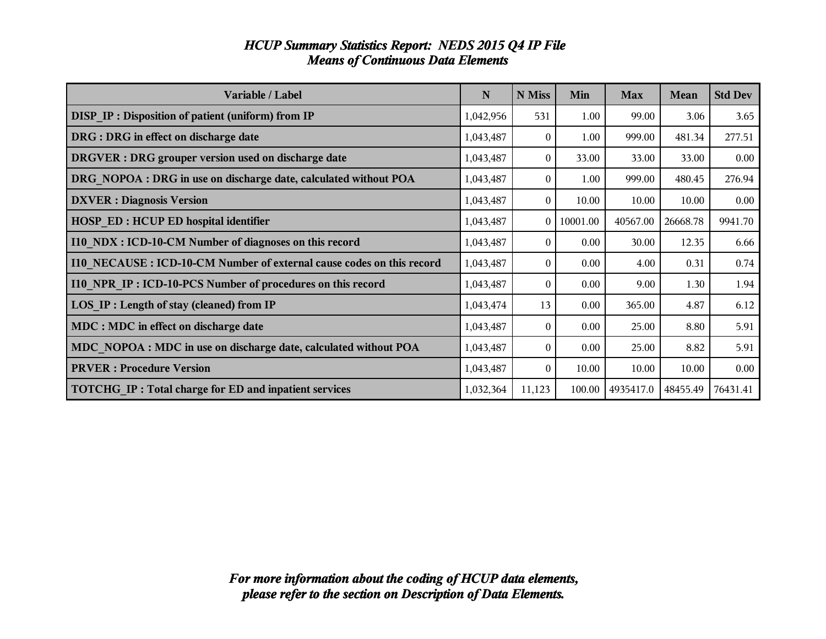| Variable / Label                                                      | $\mathbf N$ | N Miss         | Min      | <b>Max</b> | <b>Mean</b> | <b>Std Dev</b> |
|-----------------------------------------------------------------------|-------------|----------------|----------|------------|-------------|----------------|
| DISP_IP : Disposition of patient (uniform) from IP                    | 1,042,956   | 531            | 1.00     | 99.00      | 3.06        | 3.65           |
| DRG : DRG in effect on discharge date                                 | 1,043,487   | 0              | 1.00     | 999.00     | 481.34      | 277.51         |
| DRGVER : DRG grouper version used on discharge date                   | 1,043,487   | 0              | 33.00    | 33.00      | 33.00       | 0.00           |
| DRG NOPOA : DRG in use on discharge date, calculated without POA      | 1,043,487   | 0              | 1.00     | 999.00     | 480.45      | 276.94         |
| <b>DXVER</b> : Diagnosis Version                                      | 1,043,487   | $\theta$       | 10.00    | 10.00      | 10.00       | 0.00           |
| <b>HOSP ED: HCUP ED hospital identifier</b>                           | 1,043,487   | $\overline{0}$ | 10001.00 | 40567.00   | 26668.78    | 9941.70        |
| I10 NDX : ICD-10-CM Number of diagnoses on this record                | 1,043,487   | $\overline{0}$ | 0.00     | 30.00      | 12.35       | 6.66           |
| 110 NECAUSE : ICD-10-CM Number of external cause codes on this record | 1,043,487   | 0              | 0.00     | 4.00       | 0.31        | 0.74           |
| I10 NPR IP: ICD-10-PCS Number of procedures on this record            | 1,043,487   | $\overline{0}$ | 0.00     | 9.00       | 1.30        | 1.94           |
| LOS IP : Length of stay (cleaned) from IP                             | 1,043,474   | 13             | 0.00     | 365.00     | 4.87        | 6.12           |
| MDC : MDC in effect on discharge date                                 | 1,043,487   | $\Omega$       | 0.00     | 25.00      | 8.80        | 5.91           |
| MDC NOPOA : MDC in use on discharge date, calculated without POA      | 1,043,487   | $\overline{0}$ | 0.00     | 25.00      | 8.82        | 5.91           |
| <b>PRVER</b> : Procedure Version                                      | 1,043,487   | $\overline{0}$ | 10.00    | 10.00      | 10.00       | 0.00           |
| <b>TOTCHG IP: Total charge for ED and inpatient services</b>          | 1,032,364   | 11,123         | 100.00   | 4935417.0  | 48455.49    | 76431.41       |

#### *HCUP Summary Statistics Report: NEDS 2015 Q4 IP File Means of Continuous Data Elements*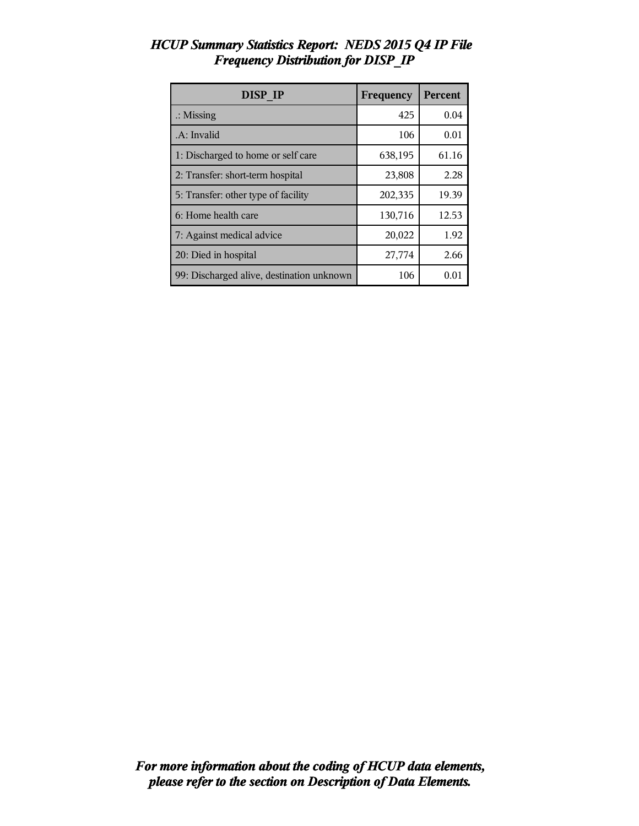| <b>DISP IP</b>                            | Frequency | <b>Percent</b> |
|-------------------------------------------|-----------|----------------|
| $\therefore$ Missing                      | 425       | 0.04           |
| .A: Invalid                               | 106       | 0.01           |
| 1: Discharged to home or self care        | 638,195   | 61.16          |
| 2: Transfer: short-term hospital          | 23,808    | 2.28           |
| 5: Transfer: other type of facility       | 202,335   | 19.39          |
| 6: Home health care                       | 130,716   | 12.53          |
| 7: Against medical advice                 | 20,022    | 1.92           |
| 20: Died in hospital                      | 27,774    | 2.66           |
| 99: Discharged alive, destination unknown | 106       | 0.01           |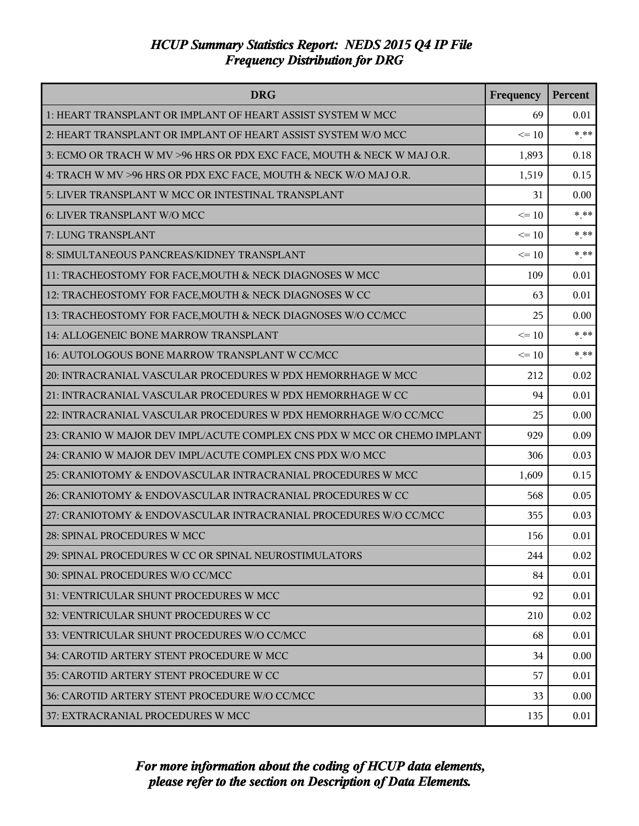| <b>DRG</b>                                                               | Frequency | Percent |
|--------------------------------------------------------------------------|-----------|---------|
| 1: HEART TRANSPLANT OR IMPLANT OF HEART ASSIST SYSTEM W MCC              | 69        | 0.01    |
| 2: HEART TRANSPLANT OR IMPLANT OF HEART ASSIST SYSTEM W/O MCC            | $\leq 10$ | $***$   |
| 3: ECMO OR TRACH W MV >96 HRS OR PDX EXC FACE, MOUTH & NECK W MAJ O.R.   | 1,893     | 0.18    |
| 4: TRACH W MV >96 HRS OR PDX EXC FACE, MOUTH & NECK W/O MAJ O.R.         | 1,519     | 0.15    |
| 5: LIVER TRANSPLANT W MCC OR INTESTINAL TRANSPLANT                       | 31        | 0.00    |
| 6: LIVER TRANSPLANT W/O MCC                                              | $\leq 10$ | $***$   |
| 7: LUNG TRANSPLANT                                                       | $\leq 10$ | $* * *$ |
| 8: SIMULTANEOUS PANCREAS/KIDNEY TRANSPLANT                               | $\leq 10$ | $***$   |
| 11: TRACHEOSTOMY FOR FACE, MOUTH & NECK DIAGNOSES W MCC                  | 109       | 0.01    |
| 12: TRACHEOSTOMY FOR FACE, MOUTH & NECK DIAGNOSES W CC                   | 63        | 0.01    |
| 13: TRACHEOSTOMY FOR FACE, MOUTH & NECK DIAGNOSES W/O CC/MCC             | 25        | 0.00    |
| 14: ALLOGENEIC BONE MARROW TRANSPLANT                                    | $\leq 10$ | $***$   |
| 16: AUTOLOGOUS BONE MARROW TRANSPLANT W CC/MCC                           | $\leq 10$ | $***$   |
| 20: INTRACRANIAL VASCULAR PROCEDURES W PDX HEMORRHAGE W MCC              | 212       | 0.02    |
| 21: INTRACRANIAL VASCULAR PROCEDURES W PDX HEMORRHAGE W CC               | 94        | 0.01    |
| 22: INTRACRANIAL VASCULAR PROCEDURES W PDX HEMORRHAGE W/O CC/MCC         | 25        | 0.00    |
| 23: CRANIO W MAJOR DEV IMPL/ACUTE COMPLEX CNS PDX W MCC OR CHEMO IMPLANT | 929       | 0.09    |
| 24: CRANIO W MAJOR DEV IMPL/ACUTE COMPLEX CNS PDX W/O MCC                | 306       | 0.03    |
| 25: CRANIOTOMY & ENDOVASCULAR INTRACRANIAL PROCEDURES W MCC              | 1,609     | 0.15    |
| 26: CRANIOTOMY & ENDOVASCULAR INTRACRANIAL PROCEDURES W CC               | 568       | 0.05    |
| 27: CRANIOTOMY & ENDOVASCULAR INTRACRANIAL PROCEDURES W/O CC/MCC         | 355       | 0.03    |
| 28: SPINAL PROCEDURES W MCC                                              | 156       | 0.01    |
| 29: SPINAL PROCEDURES W CC OR SPINAL NEUROSTIMULATORS                    | 244       | 0.02    |
| 30: SPINAL PROCEDURES W/O CC/MCC                                         | 84        | 0.01    |
| 31: VENTRICULAR SHUNT PROCEDURES W MCC                                   | 92        | 0.01    |
| 32: VENTRICULAR SHUNT PROCEDURES W CC                                    | 210       | 0.02    |
| 33: VENTRICULAR SHUNT PROCEDURES W/O CC/MCC                              | 68        | 0.01    |
| 34: CAROTID ARTERY STENT PROCEDURE W MCC                                 | 34        | 0.00    |
| 35: CAROTID ARTERY STENT PROCEDURE W CC                                  | 57        | 0.01    |
| 36: CAROTID ARTERY STENT PROCEDURE W/O CC/MCC                            | 33        | 0.00    |
| 37: EXTRACRANIAL PROCEDURES W MCC                                        | 135       | 0.01    |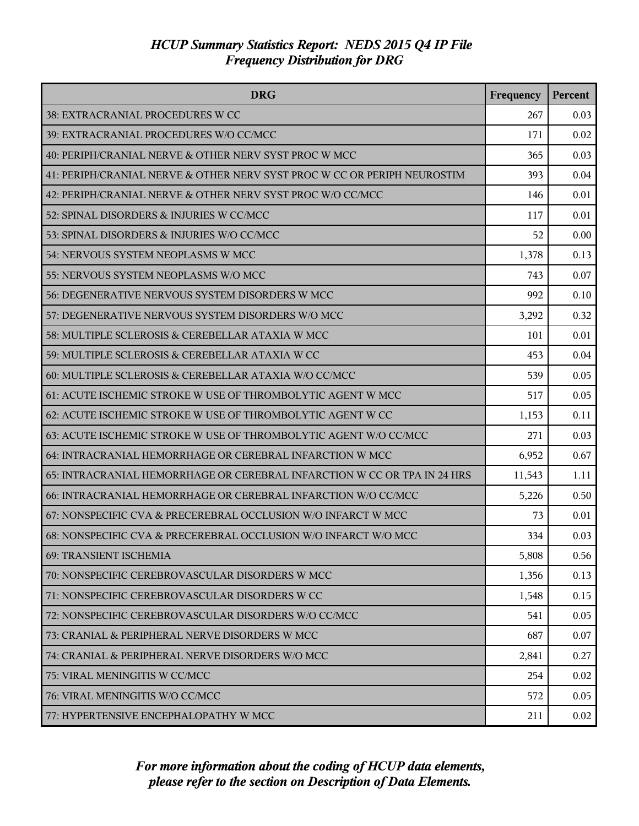| <b>DRG</b>                                                               | Frequency | Percent |
|--------------------------------------------------------------------------|-----------|---------|
| 38: EXTRACRANIAL PROCEDURES W CC                                         | 267       | 0.03    |
| 39: EXTRACRANIAL PROCEDURES W/O CC/MCC                                   | 171       | 0.02    |
| 40: PERIPH/CRANIAL NERVE & OTHER NERV SYST PROC W MCC                    | 365       | 0.03    |
| 41: PERIPH/CRANIAL NERVE & OTHER NERV SYST PROC W CC OR PERIPH NEUROSTIM | 393       | 0.04    |
| 42: PERIPH/CRANIAL NERVE & OTHER NERV SYST PROC W/O CC/MCC               | 146       | 0.01    |
| 52: SPINAL DISORDERS & INJURIES W CC/MCC                                 | 117       | 0.01    |
| 53: SPINAL DISORDERS & INJURIES W/O CC/MCC                               | 52        | 0.00    |
| 54: NERVOUS SYSTEM NEOPLASMS W MCC                                       | 1,378     | 0.13    |
| 55: NERVOUS SYSTEM NEOPLASMS W/O MCC                                     | 743       | 0.07    |
| 56: DEGENERATIVE NERVOUS SYSTEM DISORDERS W MCC                          | 992       | 0.10    |
| 57: DEGENERATIVE NERVOUS SYSTEM DISORDERS W/O MCC                        | 3,292     | 0.32    |
| 58: MULTIPLE SCLEROSIS & CEREBELLAR ATAXIA W MCC                         | 101       | 0.01    |
| 59: MULTIPLE SCLEROSIS & CEREBELLAR ATAXIA W CC                          | 453       | 0.04    |
| 60: MULTIPLE SCLEROSIS & CEREBELLAR ATAXIA W/O CC/MCC                    | 539       | 0.05    |
| 61: ACUTE ISCHEMIC STROKE W USE OF THROMBOLYTIC AGENT W MCC              | 517       | 0.05    |
| 62: ACUTE ISCHEMIC STROKE W USE OF THROMBOLYTIC AGENT W CC               | 1,153     | 0.11    |
| 63: ACUTE ISCHEMIC STROKE W USE OF THROMBOLYTIC AGENT W/O CC/MCC         | 271       | 0.03    |
| 64: INTRACRANIAL HEMORRHAGE OR CEREBRAL INFARCTION W MCC                 | 6,952     | 0.67    |
| 65: INTRACRANIAL HEMORRHAGE OR CEREBRAL INFARCTION W CC OR TPA IN 24 HRS | 11,543    | 1.11    |
| 66: INTRACRANIAL HEMORRHAGE OR CEREBRAL INFARCTION W/O CC/MCC            | 5,226     | 0.50    |
| 67: NONSPECIFIC CVA & PRECEREBRAL OCCLUSION W/O INFARCT W MCC            | 73        | 0.01    |
| 68: NONSPECIFIC CVA & PRECEREBRAL OCCLUSION W/O INFARCT W/O MCC          | 334       | 0.03    |
| <b>69: TRANSIENT ISCHEMIA</b>                                            | 5,808     | 0.56    |
| 70: NONSPECIFIC CEREBROVASCULAR DISORDERS W MCC                          | 1,356     | 0.13    |
| 71: NONSPECIFIC CEREBROVASCULAR DISORDERS W CC                           | 1,548     | 0.15    |
| 72: NONSPECIFIC CEREBROVASCULAR DISORDERS W/O CC/MCC                     | 541       | 0.05    |
| 73: CRANIAL & PERIPHERAL NERVE DISORDERS W MCC                           | 687       | 0.07    |
| 74: CRANIAL & PERIPHERAL NERVE DISORDERS W/O MCC                         | 2,841     | 0.27    |
| 75: VIRAL MENINGITIS W CC/MCC                                            | 254       | 0.02    |
| 76: VIRAL MENINGITIS W/O CC/MCC                                          | 572       | 0.05    |
| 77: HYPERTENSIVE ENCEPHALOPATHY W MCC                                    | 211       | 0.02    |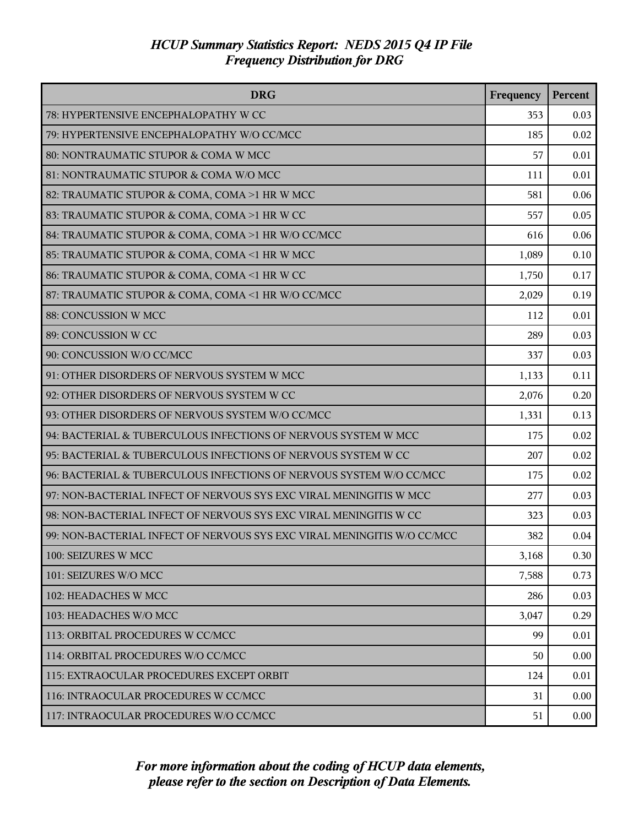| <b>DRG</b>                                                              | Frequency | Percent  |
|-------------------------------------------------------------------------|-----------|----------|
| 78: HYPERTENSIVE ENCEPHALOPATHY W CC                                    | 353       | 0.03     |
| 79: HYPERTENSIVE ENCEPHALOPATHY W/O CC/MCC                              | 185       | 0.02     |
| 80: NONTRAUMATIC STUPOR & COMA W MCC                                    | 57        | 0.01     |
| 81: NONTRAUMATIC STUPOR & COMA W/O MCC                                  | 111       | 0.01     |
| 82: TRAUMATIC STUPOR & COMA, COMA >1 HR W MCC                           | 581       | 0.06     |
| 83: TRAUMATIC STUPOR & COMA, COMA >1 HR W CC                            | 557       | 0.05     |
| 84: TRAUMATIC STUPOR & COMA, COMA >1 HR W/O CC/MCC                      | 616       | 0.06     |
| 85: TRAUMATIC STUPOR & COMA, COMA <1 HR W MCC                           | 1,089     | 0.10     |
| 86: TRAUMATIC STUPOR & COMA, COMA <1 HR W CC                            | 1,750     | 0.17     |
| 87: TRAUMATIC STUPOR & COMA, COMA <1 HR W/O CC/MCC                      | 2,029     | 0.19     |
| 88: CONCUSSION W MCC                                                    | 112       | 0.01     |
| 89: CONCUSSION W CC                                                     | 289       | 0.03     |
| 90: CONCUSSION W/O CC/MCC                                               | 337       | 0.03     |
| 91: OTHER DISORDERS OF NERVOUS SYSTEM W MCC                             | 1,133     | 0.11     |
| 92: OTHER DISORDERS OF NERVOUS SYSTEM W CC                              | 2,076     | 0.20     |
| 93: OTHER DISORDERS OF NERVOUS SYSTEM W/O CC/MCC                        | 1,331     | 0.13     |
| 94: BACTERIAL & TUBERCULOUS INFECTIONS OF NERVOUS SYSTEM W MCC          | 175       | 0.02     |
| 95: BACTERIAL & TUBERCULOUS INFECTIONS OF NERVOUS SYSTEM W CC           | 207       | 0.02     |
| 96: BACTERIAL & TUBERCULOUS INFECTIONS OF NERVOUS SYSTEM W/O CC/MCC     | 175       | 0.02     |
| 97: NON-BACTERIAL INFECT OF NERVOUS SYS EXC VIRAL MENINGITIS W MCC      | 277       | 0.03     |
| 98: NON-BACTERIAL INFECT OF NERVOUS SYS EXC VIRAL MENINGITIS W CC       | 323       | 0.03     |
| 99: NON-BACTERIAL INFECT OF NERVOUS SYS EXC VIRAL MENINGITIS W/O CC/MCC | 382       | 0.04     |
| 100: SEIZURES W MCC                                                     | 3,168     | 0.30     |
| 101: SEIZURES W/O MCC                                                   | 7,588     | 0.73     |
| 102: HEADACHES W MCC                                                    | 286       | 0.03     |
| 103: HEADACHES W/O MCC                                                  | 3,047     | 0.29     |
| 113: ORBITAL PROCEDURES W CC/MCC                                        | 99        | 0.01     |
| 114: ORBITAL PROCEDURES W/O CC/MCC                                      | 50        | 0.00     |
| 115: EXTRAOCULAR PROCEDURES EXCEPT ORBIT                                | 124       | 0.01     |
| 116: INTRAOCULAR PROCEDURES W CC/MCC                                    | 31        | 0.00     |
| 117: INTRAOCULAR PROCEDURES W/O CC/MCC                                  | 51        | $0.00\,$ |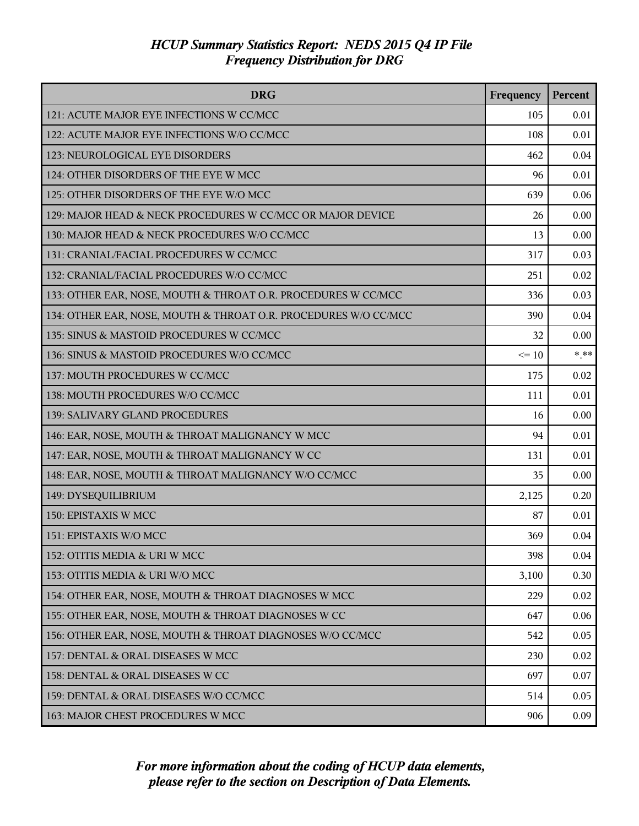| <b>DRG</b>                                                      | Frequency | Percent |
|-----------------------------------------------------------------|-----------|---------|
| 121: ACUTE MAJOR EYE INFECTIONS W CC/MCC                        | 105       | 0.01    |
| 122: ACUTE MAJOR EYE INFECTIONS W/O CC/MCC                      | 108       | 0.01    |
| 123: NEUROLOGICAL EYE DISORDERS                                 | 462       | 0.04    |
| 124: OTHER DISORDERS OF THE EYE W MCC                           | 96        | 0.01    |
| 125: OTHER DISORDERS OF THE EYE W/O MCC                         | 639       | 0.06    |
| 129: MAJOR HEAD & NECK PROCEDURES W CC/MCC OR MAJOR DEVICE      | 26        | 0.00    |
| 130: MAJOR HEAD & NECK PROCEDURES W/O CC/MCC                    | 13        | 0.00    |
| 131: CRANIAL/FACIAL PROCEDURES W CC/MCC                         | 317       | 0.03    |
| 132: CRANIAL/FACIAL PROCEDURES W/O CC/MCC                       | 251       | 0.02    |
| 133: OTHER EAR, NOSE, MOUTH & THROAT O.R. PROCEDURES W CC/MCC   | 336       | 0.03    |
| 134: OTHER EAR, NOSE, MOUTH & THROAT O.R. PROCEDURES W/O CC/MCC | 390       | 0.04    |
| 135: SINUS & MASTOID PROCEDURES W CC/MCC                        | 32        | 0.00    |
| 136: SINUS & MASTOID PROCEDURES W/O CC/MCC                      | $\leq 10$ | $***$   |
| 137: MOUTH PROCEDURES W CC/MCC                                  | 175       | 0.02    |
| 138: MOUTH PROCEDURES W/O CC/MCC                                | 111       | 0.01    |
| 139: SALIVARY GLAND PROCEDURES                                  | 16        | 0.00    |
| 146: EAR, NOSE, MOUTH & THROAT MALIGNANCY W MCC                 | 94        | 0.01    |
| 147: EAR, NOSE, MOUTH & THROAT MALIGNANCY W CC                  | 131       | 0.01    |
| 148: EAR, NOSE, MOUTH & THROAT MALIGNANCY W/O CC/MCC            | 35        | 0.00    |
| 149: DYSEQUILIBRIUM                                             | 2,125     | 0.20    |
| 150: EPISTAXIS W MCC                                            | 87        | 0.01    |
| 151: EPISTAXIS W/O MCC                                          | 369       | 0.04    |
| 152: OTITIS MEDIA & URI W MCC                                   | 398       | 0.04    |
| 153: OTITIS MEDIA & URI W/O MCC                                 | 3,100     | 0.30    |
| 154: OTHER EAR, NOSE, MOUTH & THROAT DIAGNOSES W MCC            | 229       | 0.02    |
| 155: OTHER EAR, NOSE, MOUTH & THROAT DIAGNOSES W CC             | 647       | 0.06    |
| 156: OTHER EAR, NOSE, MOUTH & THROAT DIAGNOSES W/O CC/MCC       | 542       | 0.05    |
| 157: DENTAL & ORAL DISEASES W MCC                               | 230       | 0.02    |
| 158: DENTAL & ORAL DISEASES W CC                                | 697       | 0.07    |
| 159: DENTAL & ORAL DISEASES W/O CC/MCC                          | 514       | 0.05    |
| 163: MAJOR CHEST PROCEDURES W MCC                               | 906       | 0.09    |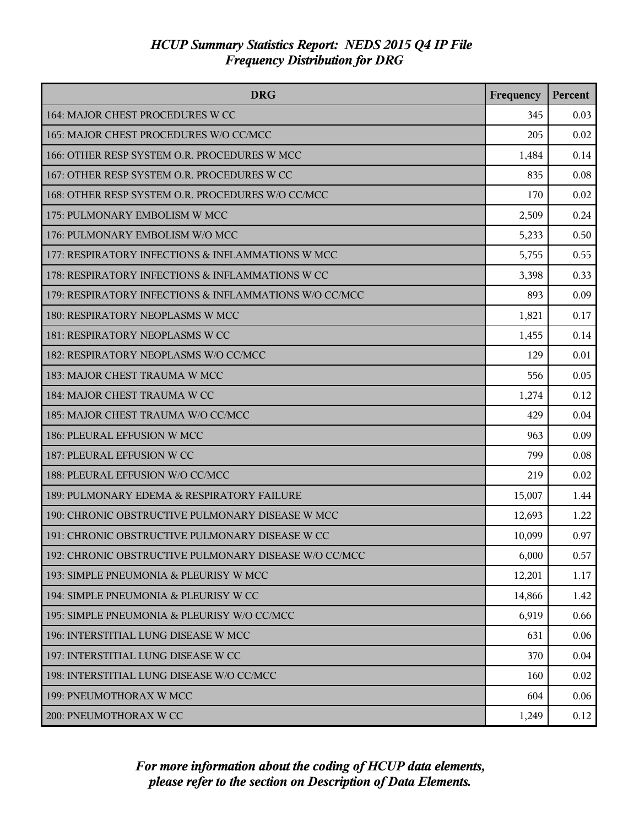| <b>DRG</b>                                             | Frequency | Percent |
|--------------------------------------------------------|-----------|---------|
| 164: MAJOR CHEST PROCEDURES W CC                       | 345       | 0.03    |
| 165: MAJOR CHEST PROCEDURES W/O CC/MCC                 | 205       | 0.02    |
| 166: OTHER RESP SYSTEM O.R. PROCEDURES W MCC           | 1,484     | 0.14    |
| 167: OTHER RESP SYSTEM O.R. PROCEDURES W CC            | 835       | 0.08    |
| 168: OTHER RESP SYSTEM O.R. PROCEDURES W/O CC/MCC      | 170       | 0.02    |
| 175: PULMONARY EMBOLISM W MCC                          | 2,509     | 0.24    |
| 176: PULMONARY EMBOLISM W/O MCC                        | 5,233     | 0.50    |
| 177: RESPIRATORY INFECTIONS & INFLAMMATIONS W MCC      | 5,755     | 0.55    |
| 178: RESPIRATORY INFECTIONS & INFLAMMATIONS W CC       | 3,398     | 0.33    |
| 179: RESPIRATORY INFECTIONS & INFLAMMATIONS W/O CC/MCC | 893       | 0.09    |
| 180: RESPIRATORY NEOPLASMS W MCC                       | 1,821     | 0.17    |
| 181: RESPIRATORY NEOPLASMS W CC                        | 1,455     | 0.14    |
| 182: RESPIRATORY NEOPLASMS W/O CC/MCC                  | 129       | 0.01    |
| 183: MAJOR CHEST TRAUMA W MCC                          | 556       | 0.05    |
| 184: MAJOR CHEST TRAUMA W CC                           | 1,274     | 0.12    |
| 185: MAJOR CHEST TRAUMA W/O CC/MCC                     | 429       | 0.04    |
| 186: PLEURAL EFFUSION W MCC                            | 963       | 0.09    |
| 187: PLEURAL EFFUSION W CC                             | 799       | 0.08    |
| 188: PLEURAL EFFUSION W/O CC/MCC                       | 219       | 0.02    |
| 189: PULMONARY EDEMA & RESPIRATORY FAILURE             | 15,007    | 1.44    |
| 190: CHRONIC OBSTRUCTIVE PULMONARY DISEASE W MCC       | 12,693    | 1.22    |
| 191: CHRONIC OBSTRUCTIVE PULMONARY DISEASE W CC        | 10,099    | 0.97    |
| 192: CHRONIC OBSTRUCTIVE PULMONARY DISEASE W/O CC/MCC  | 6,000     | 0.57    |
| 193: SIMPLE PNEUMONIA & PLEURISY W MCC                 | 12,201    | 1.17    |
| 194: SIMPLE PNEUMONIA & PLEURISY W CC                  | 14,866    | 1.42    |
| 195: SIMPLE PNEUMONIA & PLEURISY W/O CC/MCC            | 6,919     | 0.66    |
| 196: INTERSTITIAL LUNG DISEASE W MCC                   | 631       | 0.06    |
| 197: INTERSTITIAL LUNG DISEASE W CC                    | 370       | 0.04    |
| 198: INTERSTITIAL LUNG DISEASE W/O CC/MCC              | 160       | 0.02    |
| 199: PNEUMOTHORAX W MCC                                | 604       | 0.06    |
| 200: PNEUMOTHORAX W CC                                 | 1,249     | 0.12    |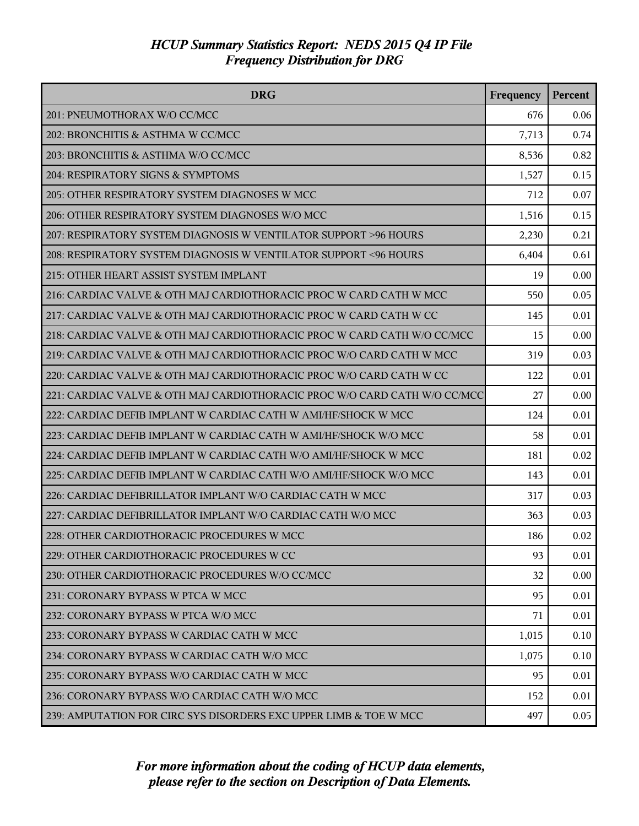| <b>DRG</b>                                                                | Frequency | Percent |
|---------------------------------------------------------------------------|-----------|---------|
| 201: PNEUMOTHORAX W/O CC/MCC                                              | 676       | 0.06    |
| 202: BRONCHITIS & ASTHMA W CC/MCC                                         | 7,713     | 0.74    |
| 203: BRONCHITIS & ASTHMA W/O CC/MCC                                       | 8,536     | 0.82    |
| 204: RESPIRATORY SIGNS & SYMPTOMS                                         | 1,527     | 0.15    |
| 205: OTHER RESPIRATORY SYSTEM DIAGNOSES W MCC                             | 712       | 0.07    |
| 206: OTHER RESPIRATORY SYSTEM DIAGNOSES W/O MCC                           | 1,516     | 0.15    |
| 207: RESPIRATORY SYSTEM DIAGNOSIS W VENTILATOR SUPPORT >96 HOURS          | 2,230     | 0.21    |
| 208: RESPIRATORY SYSTEM DIAGNOSIS W VENTILATOR SUPPORT <96 HOURS          | 6,404     | 0.61    |
| 215: OTHER HEART ASSIST SYSTEM IMPLANT                                    | 19        | 0.00    |
| 216: CARDIAC VALVE & OTH MAJ CARDIOTHORACIC PROC W CARD CATH W MCC        | 550       | 0.05    |
| 217: CARDIAC VALVE & OTH MAJ CARDIOTHORACIC PROC W CARD CATH W CC         | 145       | 0.01    |
| 218: CARDIAC VALVE & OTH MAJ CARDIOTHORACIC PROC W CARD CATH W/O CC/MCC   | 15        | 0.00    |
| 219: CARDIAC VALVE & OTH MAJ CARDIOTHORACIC PROC W/O CARD CATH W MCC      | 319       | 0.03    |
| 220: CARDIAC VALVE & OTH MAJ CARDIOTHORACIC PROC W/O CARD CATH W CC       | 122       | 0.01    |
| 221: CARDIAC VALVE & OTH MAJ CARDIOTHORACIC PROC W/O CARD CATH W/O CC/MCC | 27        | 0.00    |
| 222: CARDIAC DEFIB IMPLANT W CARDIAC CATH W AMI/HF/SHOCK W MCC            | 124       | 0.01    |
| 223: CARDIAC DEFIB IMPLANT W CARDIAC CATH W AMI/HF/SHOCK W/O MCC          | 58        | 0.01    |
| 224: CARDIAC DEFIB IMPLANT W CARDIAC CATH W/O AMI/HF/SHOCK W MCC          | 181       | 0.02    |
| 225: CARDIAC DEFIB IMPLANT W CARDIAC CATH W/O AMI/HF/SHOCK W/O MCC        | 143       | 0.01    |
| 226: CARDIAC DEFIBRILLATOR IMPLANT W/O CARDIAC CATH W MCC                 | 317       | 0.03    |
| 227: CARDIAC DEFIBRILLATOR IMPLANT W/O CARDIAC CATH W/O MCC               | 363       | 0.03    |
| 228: OTHER CARDIOTHORACIC PROCEDURES W MCC                                | 186       | 0.02    |
| 229: OTHER CARDIOTHORACIC PROCEDURES W CC                                 | 93        | 0.01    |
| 230: OTHER CARDIOTHORACIC PROCEDURES W/O CC/MCC                           | 32        | 0.00    |
| 231: CORONARY BYPASS W PTCA W MCC                                         | 95        | 0.01    |
| 232: CORONARY BYPASS W PTCA W/O MCC                                       | 71        | 0.01    |
| 233: CORONARY BYPASS W CARDIAC CATH W MCC                                 | 1,015     | 0.10    |
| 234: CORONARY BYPASS W CARDIAC CATH W/O MCC                               | 1,075     | 0.10    |
| 235: CORONARY BYPASS W/O CARDIAC CATH W MCC                               | 95        | 0.01    |
| 236: CORONARY BYPASS W/O CARDIAC CATH W/O MCC                             | 152       | 0.01    |
| 239: AMPUTATION FOR CIRC SYS DISORDERS EXC UPPER LIMB & TOE W MCC         | 497       | 0.05    |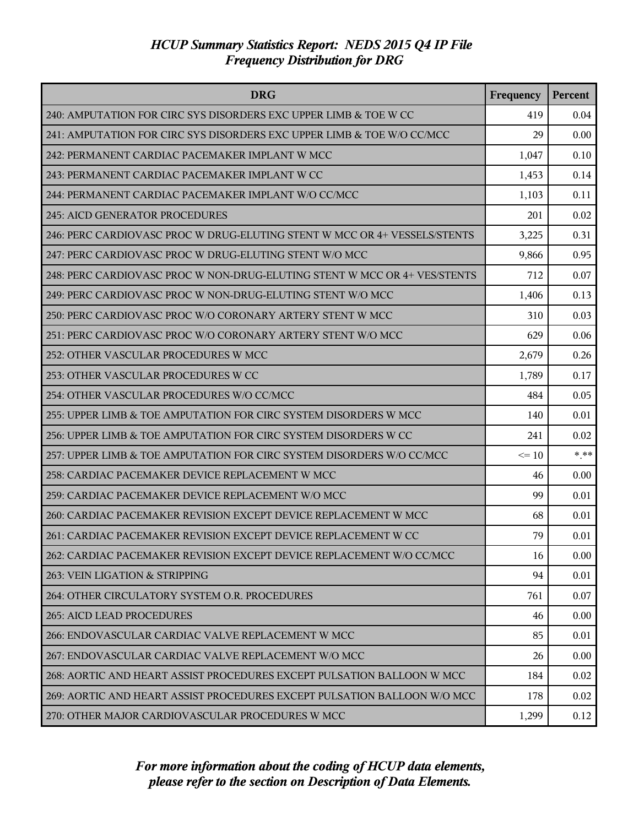| <b>DRG</b>                                                                | Frequency | <b>Percent</b> |
|---------------------------------------------------------------------------|-----------|----------------|
| 240: AMPUTATION FOR CIRC SYS DISORDERS EXC UPPER LIMB & TOE W CC          | 419       | 0.04           |
| 241: AMPUTATION FOR CIRC SYS DISORDERS EXC UPPER LIMB & TOE W/O CC/MCC    | 29        | 0.00           |
| 242: PERMANENT CARDIAC PACEMAKER IMPLANT W MCC                            | 1,047     | 0.10           |
| 243: PERMANENT CARDIAC PACEMAKER IMPLANT W CC                             | 1,453     | 0.14           |
| 244: PERMANENT CARDIAC PACEMAKER IMPLANT W/O CC/MCC                       | 1,103     | 0.11           |
| <b>245: AICD GENERATOR PROCEDURES</b>                                     | 201       | 0.02           |
| 246: PERC CARDIOVASC PROC W DRUG-ELUTING STENT W MCC OR 4+ VESSELS/STENTS | 3,225     | 0.31           |
| 247: PERC CARDIOVASC PROC W DRUG-ELUTING STENT W/O MCC                    | 9,866     | 0.95           |
| 248: PERC CARDIOVASC PROC W NON-DRUG-ELUTING STENT W MCC OR 4+ VES/STENTS | 712       | 0.07           |
| 249: PERC CARDIOVASC PROC W NON-DRUG-ELUTING STENT W/O MCC                | 1,406     | 0.13           |
| 250: PERC CARDIOVASC PROC W/O CORONARY ARTERY STENT W MCC                 | 310       | 0.03           |
| 251: PERC CARDIOVASC PROC W/O CORONARY ARTERY STENT W/O MCC               | 629       | 0.06           |
| 252: OTHER VASCULAR PROCEDURES W MCC                                      | 2,679     | 0.26           |
| 253: OTHER VASCULAR PROCEDURES W CC                                       | 1,789     | 0.17           |
| 254: OTHER VASCULAR PROCEDURES W/O CC/MCC                                 | 484       | 0.05           |
| 255: UPPER LIMB & TOE AMPUTATION FOR CIRC SYSTEM DISORDERS W MCC          | 140       | 0.01           |
| 256: UPPER LIMB & TOE AMPUTATION FOR CIRC SYSTEM DISORDERS W CC           | 241       | 0.02           |
| 257: UPPER LIMB & TOE AMPUTATION FOR CIRC SYSTEM DISORDERS W/O CC/MCC     | $\leq 10$ | $***$          |
| 258: CARDIAC PACEMAKER DEVICE REPLACEMENT W MCC                           | 46        | 0.00           |
| 259: CARDIAC PACEMAKER DEVICE REPLACEMENT W/O MCC                         | 99        | 0.01           |
| 260: CARDIAC PACEMAKER REVISION EXCEPT DEVICE REPLACEMENT W MCC           | 68        | 0.01           |
| 261: CARDIAC PACEMAKER REVISION EXCEPT DEVICE REPLACEMENT W CC            | 79        | 0.01           |
| 262: CARDIAC PACEMAKER REVISION EXCEPT DEVICE REPLACEMENT W/O CC/MCC      | 16        | 0.00           |
| 263: VEIN LIGATION & STRIPPING                                            | 94        | 0.01           |
| 264: OTHER CIRCULATORY SYSTEM O.R. PROCEDURES                             | 761       | 0.07           |
| 265: AICD LEAD PROCEDURES                                                 | 46        | 0.00           |
| 266: ENDOVASCULAR CARDIAC VALVE REPLACEMENT W MCC                         | 85        | 0.01           |
| 267: ENDOVASCULAR CARDIAC VALVE REPLACEMENT W/O MCC                       | 26        | 0.00           |
| 268: AORTIC AND HEART ASSIST PROCEDURES EXCEPT PULSATION BALLOON W MCC    | 184       | 0.02           |
| 269: AORTIC AND HEART ASSIST PROCEDURES EXCEPT PULSATION BALLOON W/O MCC  | 178       | 0.02           |
| 270: OTHER MAJOR CARDIOVASCULAR PROCEDURES W MCC                          | 1,299     | 0.12           |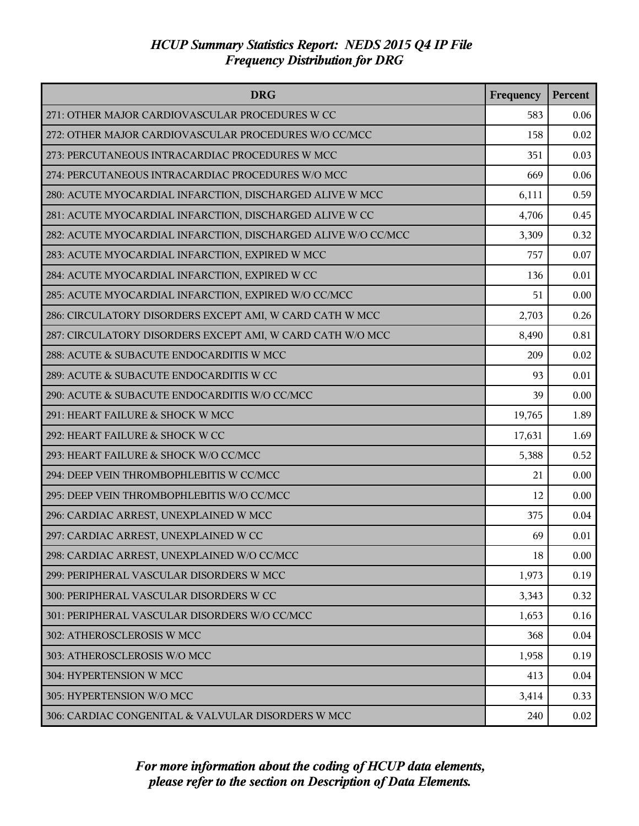| <b>DRG</b>                                                    | Frequency | Percent |
|---------------------------------------------------------------|-----------|---------|
| 271: OTHER MAJOR CARDIOVASCULAR PROCEDURES W CC               | 583       | 0.06    |
| 272: OTHER MAJOR CARDIOVASCULAR PROCEDURES W/O CC/MCC         | 158       | 0.02    |
| 273: PERCUTANEOUS INTRACARDIAC PROCEDURES W MCC               | 351       | 0.03    |
| 274: PERCUTANEOUS INTRACARDIAC PROCEDURES W/O MCC             | 669       | 0.06    |
| 280: ACUTE MYOCARDIAL INFARCTION, DISCHARGED ALIVE W MCC      | 6,111     | 0.59    |
| 281: ACUTE MYOCARDIAL INFARCTION, DISCHARGED ALIVE W CC       | 4,706     | 0.45    |
| 282: ACUTE MYOCARDIAL INFARCTION, DISCHARGED ALIVE W/O CC/MCC | 3,309     | 0.32    |
| 283: ACUTE MYOCARDIAL INFARCTION, EXPIRED W MCC               | 757       | 0.07    |
| 284: ACUTE MYOCARDIAL INFARCTION, EXPIRED W CC                | 136       | 0.01    |
| 285: ACUTE MYOCARDIAL INFARCTION, EXPIRED W/O CC/MCC          | 51        | 0.00    |
| 286: CIRCULATORY DISORDERS EXCEPT AMI, W CARD CATH W MCC      | 2,703     | 0.26    |
| 287: CIRCULATORY DISORDERS EXCEPT AMI, W CARD CATH W/O MCC    | 8,490     | 0.81    |
| 288: ACUTE & SUBACUTE ENDOCARDITIS W MCC                      | 209       | 0.02    |
| 289: ACUTE & SUBACUTE ENDOCARDITIS W CC                       | 93        | 0.01    |
| 290: ACUTE & SUBACUTE ENDOCARDITIS W/O CC/MCC                 | 39        | 0.00    |
| 291: HEART FAILURE & SHOCK W MCC                              | 19,765    | 1.89    |
| 292: HEART FAILURE & SHOCK W CC                               | 17,631    | 1.69    |
| 293: HEART FAILURE & SHOCK W/O CC/MCC                         | 5,388     | 0.52    |
| 294: DEEP VEIN THROMBOPHLEBITIS W CC/MCC                      | 21        | 0.00    |
| 295: DEEP VEIN THROMBOPHLEBITIS W/O CC/MCC                    | 12        | 0.00    |
| 296: CARDIAC ARREST, UNEXPLAINED W MCC                        | 375       | 0.04    |
| 297: CARDIAC ARREST, UNEXPLAINED W CC                         | 69        | 0.01    |
| 298: CARDIAC ARREST, UNEXPLAINED W/O CC/MCC                   | 18        | 0.00    |
| 299: PERIPHERAL VASCULAR DISORDERS W MCC                      | 1,973     | 0.19    |
| 300: PERIPHERAL VASCULAR DISORDERS W CC                       | 3,343     | 0.32    |
| 301: PERIPHERAL VASCULAR DISORDERS W/O CC/MCC                 | 1,653     | 0.16    |
| 302: ATHEROSCLEROSIS W MCC                                    | 368       | 0.04    |
| 303: ATHEROSCLEROSIS W/O MCC                                  | 1,958     | 0.19    |
| 304: HYPERTENSION W MCC                                       | 413       | 0.04    |
| 305: HYPERTENSION W/O MCC                                     | 3,414     | 0.33    |
| 306: CARDIAC CONGENITAL & VALVULAR DISORDERS W MCC            | 240       | 0.02    |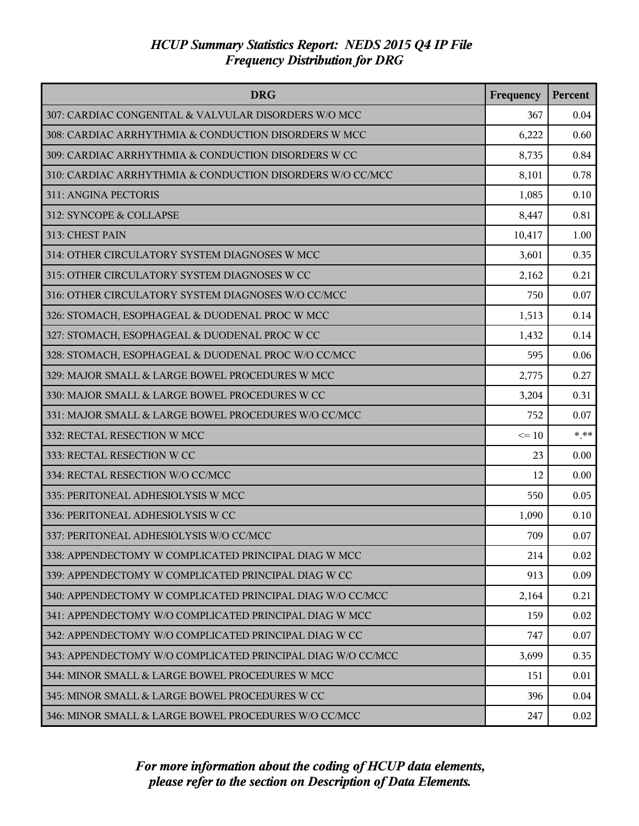| <b>DRG</b>                                                  | Frequency | Percent |
|-------------------------------------------------------------|-----------|---------|
| 307: CARDIAC CONGENITAL & VALVULAR DISORDERS W/O MCC        | 367       | 0.04    |
| 308: CARDIAC ARRHYTHMIA & CONDUCTION DISORDERS W MCC        | 6,222     | 0.60    |
| 309: CARDIAC ARRHYTHMIA & CONDUCTION DISORDERS W CC         | 8,735     | 0.84    |
| 310: CARDIAC ARRHYTHMIA & CONDUCTION DISORDERS W/O CC/MCC   | 8,101     | 0.78    |
| 311: ANGINA PECTORIS                                        | 1,085     | 0.10    |
| 312: SYNCOPE & COLLAPSE                                     | 8,447     | 0.81    |
| 313: CHEST PAIN                                             | 10,417    | 1.00    |
| 314: OTHER CIRCULATORY SYSTEM DIAGNOSES W MCC               | 3,601     | 0.35    |
| 315: OTHER CIRCULATORY SYSTEM DIAGNOSES W CC                | 2,162     | 0.21    |
| 316: OTHER CIRCULATORY SYSTEM DIAGNOSES W/O CC/MCC          | 750       | 0.07    |
| 326: STOMACH, ESOPHAGEAL & DUODENAL PROC W MCC              | 1,513     | 0.14    |
| 327: STOMACH, ESOPHAGEAL & DUODENAL PROC W CC               | 1,432     | 0.14    |
| 328: STOMACH, ESOPHAGEAL & DUODENAL PROC W/O CC/MCC         | 595       | 0.06    |
| 329: MAJOR SMALL & LARGE BOWEL PROCEDURES W MCC             | 2,775     | 0.27    |
| 330: MAJOR SMALL & LARGE BOWEL PROCEDURES W CC              | 3,204     | 0.31    |
| 331: MAJOR SMALL & LARGE BOWEL PROCEDURES W/O CC/MCC        | 752       | 0.07    |
| 332: RECTAL RESECTION W MCC                                 | $\leq 10$ | $* * *$ |
| 333: RECTAL RESECTION W CC                                  | 23        | 0.00    |
| 334: RECTAL RESECTION W/O CC/MCC                            | 12        | 0.00    |
| 335: PERITONEAL ADHESIOLYSIS W MCC                          | 550       | 0.05    |
| 336: PERITONEAL ADHESIOLYSIS W CC                           | 1,090     | 0.10    |
| 337: PERITONEAL ADHESIOLYSIS W/O CC/MCC                     | 709       | 0.07    |
| 338: APPENDECTOMY W COMPLICATED PRINCIPAL DIAG W MCC        | 214       | 0.02    |
| 339: APPENDECTOMY W COMPLICATED PRINCIPAL DIAG W CC         | 913       | 0.09    |
| 340: APPENDECTOMY W COMPLICATED PRINCIPAL DIAG W/O CC/MCC   | 2,164     | 0.21    |
| 341: APPENDECTOMY W/O COMPLICATED PRINCIPAL DIAG W MCC      | 159       | 0.02    |
| 342: APPENDECTOMY W/O COMPLICATED PRINCIPAL DIAG W CC       | 747       | 0.07    |
| 343: APPENDECTOMY W/O COMPLICATED PRINCIPAL DIAG W/O CC/MCC | 3,699     | 0.35    |
| 344: MINOR SMALL & LARGE BOWEL PROCEDURES W MCC             | 151       | 0.01    |
| 345: MINOR SMALL & LARGE BOWEL PROCEDURES W CC              | 396       | 0.04    |
| 346: MINOR SMALL & LARGE BOWEL PROCEDURES W/O CC/MCC        | 247       | 0.02    |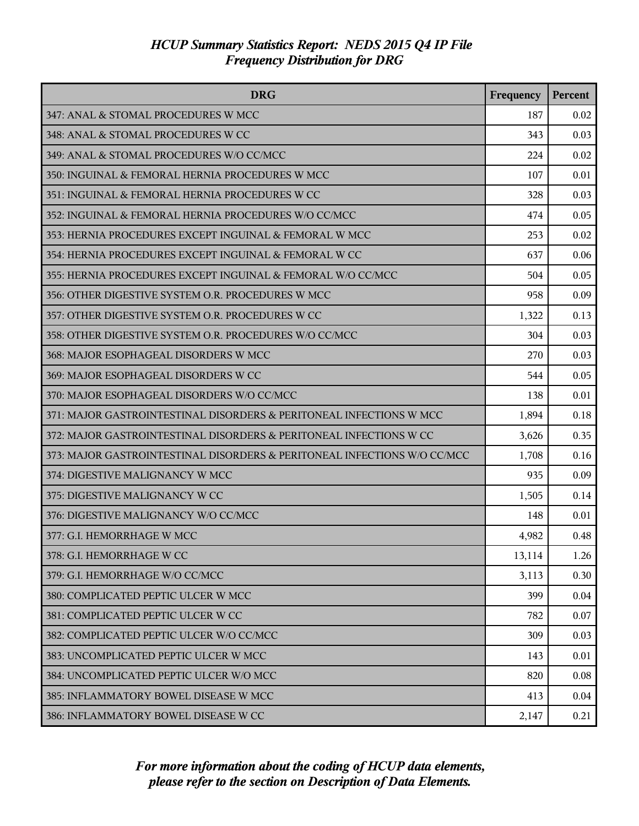| <b>DRG</b>                                                               | Frequency | <b>Percent</b> |
|--------------------------------------------------------------------------|-----------|----------------|
| 347: ANAL & STOMAL PROCEDURES W MCC                                      | 187       | 0.02           |
| 348: ANAL & STOMAL PROCEDURES W CC                                       | 343       | 0.03           |
| 349: ANAL & STOMAL PROCEDURES W/O CC/MCC                                 | 224       | 0.02           |
| 350: INGUINAL & FEMORAL HERNIA PROCEDURES W MCC                          | 107       | 0.01           |
| 351: INGUINAL & FEMORAL HERNIA PROCEDURES W CC                           | 328       | 0.03           |
| 352: INGUINAL & FEMORAL HERNIA PROCEDURES W/O CC/MCC                     | 474       | 0.05           |
| 353: HERNIA PROCEDURES EXCEPT INGUINAL & FEMORAL W MCC                   | 253       | 0.02           |
| 354: HERNIA PROCEDURES EXCEPT INGUINAL & FEMORAL W CC                    | 637       | 0.06           |
| 355: HERNIA PROCEDURES EXCEPT INGUINAL & FEMORAL W/O CC/MCC              | 504       | 0.05           |
| 356: OTHER DIGESTIVE SYSTEM O.R. PROCEDURES W MCC                        | 958       | 0.09           |
| 357: OTHER DIGESTIVE SYSTEM O.R. PROCEDURES W CC                         | 1,322     | 0.13           |
| 358: OTHER DIGESTIVE SYSTEM O.R. PROCEDURES W/O CC/MCC                   | 304       | 0.03           |
| 368: MAJOR ESOPHAGEAL DISORDERS W MCC                                    | 270       | 0.03           |
| 369: MAJOR ESOPHAGEAL DISORDERS W CC                                     | 544       | 0.05           |
| 370: MAJOR ESOPHAGEAL DISORDERS W/O CC/MCC                               | 138       | 0.01           |
| 371: MAJOR GASTROINTESTINAL DISORDERS & PERITONEAL INFECTIONS W MCC      | 1,894     | 0.18           |
| 372: MAJOR GASTROINTESTINAL DISORDERS & PERITONEAL INFECTIONS W CC       | 3,626     | 0.35           |
| 373: MAJOR GASTROINTESTINAL DISORDERS & PERITONEAL INFECTIONS W/O CC/MCC | 1,708     | 0.16           |
| 374: DIGESTIVE MALIGNANCY W MCC                                          | 935       | 0.09           |
| 375: DIGESTIVE MALIGNANCY W CC                                           | 1,505     | 0.14           |
| 376: DIGESTIVE MALIGNANCY W/O CC/MCC                                     | 148       | 0.01           |
| 377: G.I. HEMORRHAGE W MCC                                               | 4,982     | 0.48           |
| 378: G.I. HEMORRHAGE W CC                                                | 13,114    | 1.26           |
| 379: G.I. HEMORRHAGE W/O CC/MCC                                          | 3,113     | 0.30           |
| 380: COMPLICATED PEPTIC ULCER W MCC                                      | 399       | 0.04           |
| 381: COMPLICATED PEPTIC ULCER W CC                                       | 782       | 0.07           |
| 382: COMPLICATED PEPTIC ULCER W/O CC/MCC                                 | 309       | 0.03           |
| 383: UNCOMPLICATED PEPTIC ULCER W MCC                                    | 143       | 0.01           |
| 384: UNCOMPLICATED PEPTIC ULCER W/O MCC                                  | 820       | 0.08           |
| 385: INFLAMMATORY BOWEL DISEASE W MCC                                    | 413       | 0.04           |
| 386: INFLAMMATORY BOWEL DISEASE W CC                                     | 2,147     | 0.21           |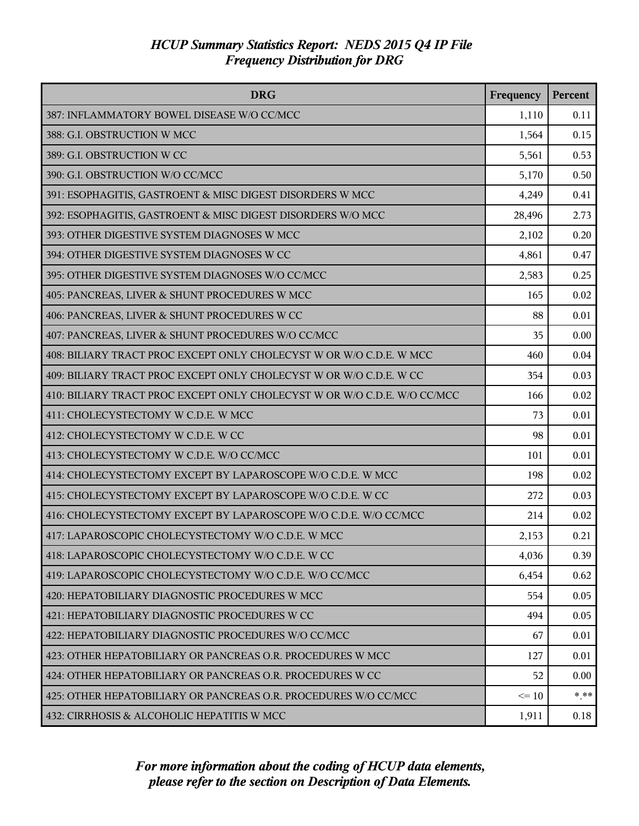| <b>DRG</b>                                                               | Frequency | Percent |
|--------------------------------------------------------------------------|-----------|---------|
| 387: INFLAMMATORY BOWEL DISEASE W/O CC/MCC                               | 1,110     | 0.11    |
| 388: G.I. OBSTRUCTION W MCC                                              | 1,564     | 0.15    |
| 389: G.I. OBSTRUCTION W CC                                               | 5,561     | 0.53    |
| 390: G.I. OBSTRUCTION W/O CC/MCC                                         | 5,170     | 0.50    |
| 391: ESOPHAGITIS, GASTROENT & MISC DIGEST DISORDERS W MCC                | 4,249     | 0.41    |
| 392: ESOPHAGITIS, GASTROENT & MISC DIGEST DISORDERS W/O MCC              | 28,496    | 2.73    |
| 393: OTHER DIGESTIVE SYSTEM DIAGNOSES W MCC                              | 2,102     | 0.20    |
| 394: OTHER DIGESTIVE SYSTEM DIAGNOSES W CC                               | 4,861     | 0.47    |
| 395: OTHER DIGESTIVE SYSTEM DIAGNOSES W/O CC/MCC                         | 2,583     | 0.25    |
| 405: PANCREAS, LIVER & SHUNT PROCEDURES W MCC                            | 165       | 0.02    |
| 406: PANCREAS, LIVER & SHUNT PROCEDURES W CC                             | 88        | 0.01    |
| 407: PANCREAS, LIVER & SHUNT PROCEDURES W/O CC/MCC                       | 35        | 0.00    |
| 408: BILIARY TRACT PROC EXCEPT ONLY CHOLECYST W OR W/O C.D.E. W MCC      | 460       | 0.04    |
| 409: BILIARY TRACT PROC EXCEPT ONLY CHOLECYST W OR W/O C.D.E. W CC       | 354       | 0.03    |
| 410: BILIARY TRACT PROC EXCEPT ONLY CHOLECYST W OR W/O C.D.E. W/O CC/MCC | 166       | 0.02    |
| 411: CHOLECYSTECTOMY W C.D.E. W MCC                                      | 73        | 0.01    |
| 412: CHOLECYSTECTOMY W C.D.E. W CC                                       | 98        | 0.01    |
| 413: CHOLECYSTECTOMY W C.D.E. W/O CC/MCC                                 | 101       | 0.01    |
| 414: CHOLECYSTECTOMY EXCEPT BY LAPAROSCOPE W/O C.D.E. W MCC              | 198       | 0.02    |
| 415: CHOLECYSTECTOMY EXCEPT BY LAPAROSCOPE W/O C.D.E. W CC               | 272       | 0.03    |
| 416: CHOLECYSTECTOMY EXCEPT BY LAPAROSCOPE W/O C.D.E. W/O CC/MCC         | 214       | 0.02    |
| 417: LAPAROSCOPIC CHOLECYSTECTOMY W/O C.D.E. W MCC                       | 2,153     | 0.21    |
| 418: LAPAROSCOPIC CHOLECYSTECTOMY W/O C.D.E. W CC                        | 4,036     | 0.39    |
| 419: LAPAROSCOPIC CHOLECYSTECTOMY W/O C.D.E. W/O CC/MCC                  | 6,454     | 0.62    |
| 420: HEPATOBILIARY DIAGNOSTIC PROCEDURES W MCC                           | 554       | 0.05    |
| 421: HEPATOBILIARY DIAGNOSTIC PROCEDURES W CC                            | 494       | 0.05    |
| 422: HEPATOBILIARY DIAGNOSTIC PROCEDURES W/O CC/MCC                      | 67        | 0.01    |
| 423: OTHER HEPATOBILIARY OR PANCREAS O.R. PROCEDURES W MCC               | 127       | 0.01    |
| 424: OTHER HEPATOBILIARY OR PANCREAS O.R. PROCEDURES W CC                | 52        | 0.00    |
| 425: OTHER HEPATOBILIARY OR PANCREAS O.R. PROCEDURES W/O CC/MCC          | $\leq 10$ | $*$ **  |
| 432: CIRRHOSIS & ALCOHOLIC HEPATITIS W MCC                               | 1,911     | 0.18    |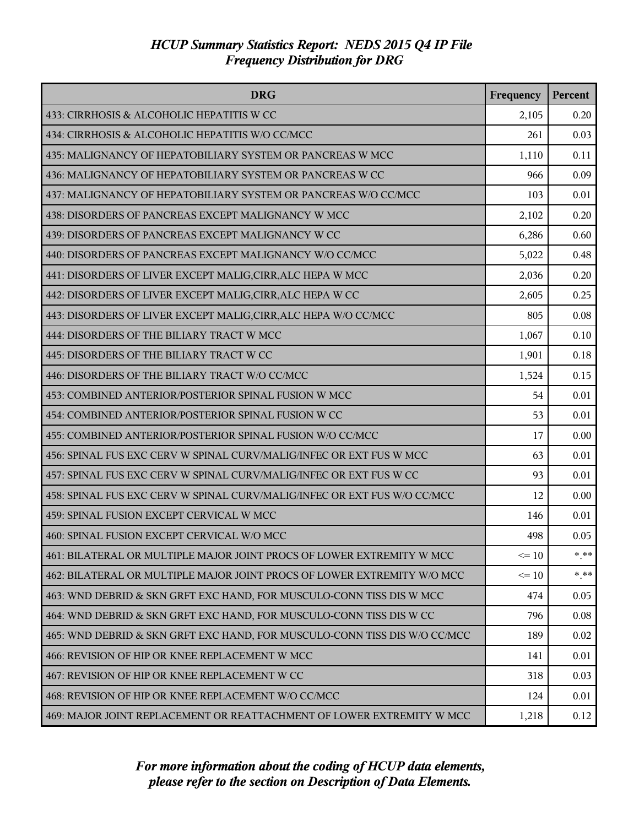| <b>DRG</b>                                                                | Frequency | Percent |
|---------------------------------------------------------------------------|-----------|---------|
| 433: CIRRHOSIS & ALCOHOLIC HEPATITIS W CC                                 | 2,105     | 0.20    |
| 434: CIRRHOSIS & ALCOHOLIC HEPATITIS W/O CC/MCC                           | 261       | 0.03    |
| 435: MALIGNANCY OF HEPATOBILIARY SYSTEM OR PANCREAS W MCC                 | 1,110     | 0.11    |
| 436: MALIGNANCY OF HEPATOBILIARY SYSTEM OR PANCREAS W CC                  | 966       | 0.09    |
| 437: MALIGNANCY OF HEPATOBILIARY SYSTEM OR PANCREAS W/O CC/MCC            | 103       | 0.01    |
| 438: DISORDERS OF PANCREAS EXCEPT MALIGNANCY W MCC                        | 2,102     | 0.20    |
| 439: DISORDERS OF PANCREAS EXCEPT MALIGNANCY W CC                         | 6,286     | 0.60    |
| 440: DISORDERS OF PANCREAS EXCEPT MALIGNANCY W/O CC/MCC                   | 5,022     | 0.48    |
| 441: DISORDERS OF LIVER EXCEPT MALIG, CIRR, ALC HEPA W MCC                | 2,036     | 0.20    |
| 442: DISORDERS OF LIVER EXCEPT MALIG, CIRR, ALC HEPA W CC                 | 2,605     | 0.25    |
| 443: DISORDERS OF LIVER EXCEPT MALIG, CIRR, ALC HEPA W/O CC/MCC           | 805       | 0.08    |
| 444: DISORDERS OF THE BILIARY TRACT W MCC                                 | 1,067     | 0.10    |
| 445: DISORDERS OF THE BILIARY TRACT W CC                                  | 1,901     | 0.18    |
| 446: DISORDERS OF THE BILIARY TRACT W/O CC/MCC                            | 1,524     | 0.15    |
| 453: COMBINED ANTERIOR/POSTERIOR SPINAL FUSION W MCC                      | 54        | 0.01    |
| 454: COMBINED ANTERIOR/POSTERIOR SPINAL FUSION W CC                       | 53        | 0.01    |
| 455: COMBINED ANTERIOR/POSTERIOR SPINAL FUSION W/O CC/MCC                 | 17        | 0.00    |
| 456: SPINAL FUS EXC CERV W SPINAL CURV/MALIG/INFEC OR EXT FUS W MCC       | 63        | 0.01    |
| 457: SPINAL FUS EXC CERV W SPINAL CURV/MALIG/INFEC OR EXT FUS W CC        | 93        | 0.01    |
| 458: SPINAL FUS EXC CERV W SPINAL CURV/MALIG/INFEC OR EXT FUS W/O CC/MCC  | 12        | 0.00    |
| 459: SPINAL FUSION EXCEPT CERVICAL W MCC                                  | 146       | 0.01    |
| 460: SPINAL FUSION EXCEPT CERVICAL W/O MCC                                | 498       | 0.05    |
| 461: BILATERAL OR MULTIPLE MAJOR JOINT PROCS OF LOWER EXTREMITY W MCC     | $\leq 10$ | $*$ **  |
| 462: BILATERAL OR MULTIPLE MAJOR JOINT PROCS OF LOWER EXTREMITY W/O MCC   | $\leq 10$ | $***$   |
| 463: WND DEBRID & SKN GRFT EXC HAND, FOR MUSCULO-CONN TISS DIS W MCC      | 474       | 0.05    |
| 464: WND DEBRID & SKN GRFT EXC HAND, FOR MUSCULO-CONN TISS DIS W CC       | 796       | 0.08    |
| 465: WND DEBRID & SKN GRFT EXC HAND, FOR MUSCULO-CONN TISS DIS W/O CC/MCC | 189       | 0.02    |
| 466: REVISION OF HIP OR KNEE REPLACEMENT W MCC                            | 141       | 0.01    |
| 467: REVISION OF HIP OR KNEE REPLACEMENT W CC                             | 318       | 0.03    |
| 468: REVISION OF HIP OR KNEE REPLACEMENT W/O CC/MCC                       | 124       | 0.01    |
| 469: MAJOR JOINT REPLACEMENT OR REATTACHMENT OF LOWER EXTREMITY W MCC     | 1,218     | 0.12    |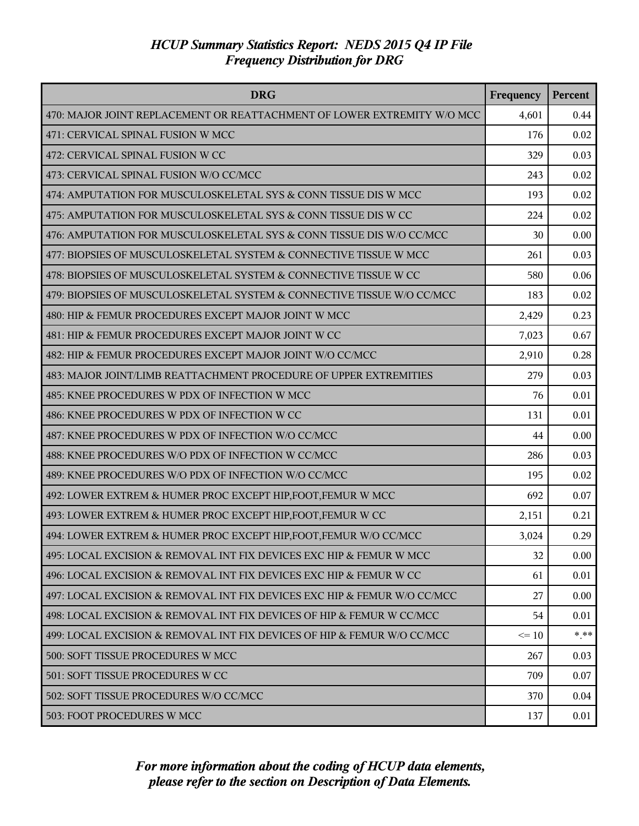| <b>DRG</b>                                                               | Frequency | Percent |
|--------------------------------------------------------------------------|-----------|---------|
| 470: MAJOR JOINT REPLACEMENT OR REATTACHMENT OF LOWER EXTREMITY W/O MCC  | 4,601     | 0.44    |
| 471: CERVICAL SPINAL FUSION W MCC                                        | 176       | 0.02    |
| 472: CERVICAL SPINAL FUSION W CC                                         | 329       | 0.03    |
| 473: CERVICAL SPINAL FUSION W/O CC/MCC                                   | 243       | 0.02    |
| 474: AMPUTATION FOR MUSCULOSKELETAL SYS & CONN TISSUE DIS W MCC          | 193       | 0.02    |
| 475: AMPUTATION FOR MUSCULOSKELETAL SYS & CONN TISSUE DIS W CC           | 224       | 0.02    |
| 476: AMPUTATION FOR MUSCULOSKELETAL SYS & CONN TISSUE DIS W/O CC/MCC     | 30        | 0.00    |
| 477: BIOPSIES OF MUSCULOSKELETAL SYSTEM & CONNECTIVE TISSUE W MCC        | 261       | 0.03    |
| 478: BIOPSIES OF MUSCULOSKELETAL SYSTEM & CONNECTIVE TISSUE W CC         | 580       | 0.06    |
| 479: BIOPSIES OF MUSCULOSKELETAL SYSTEM & CONNECTIVE TISSUE W/O CC/MCC   | 183       | 0.02    |
| 480: HIP & FEMUR PROCEDURES EXCEPT MAJOR JOINT W MCC                     | 2,429     | 0.23    |
| 481: HIP & FEMUR PROCEDURES EXCEPT MAJOR JOINT W CC                      | 7,023     | 0.67    |
| 482: HIP & FEMUR PROCEDURES EXCEPT MAJOR JOINT W/O CC/MCC                | 2,910     | 0.28    |
| 483: MAJOR JOINT/LIMB REATTACHMENT PROCEDURE OF UPPER EXTREMITIES        | 279       | 0.03    |
| 485: KNEE PROCEDURES W PDX OF INFECTION W MCC                            | 76        | 0.01    |
| 486: KNEE PROCEDURES W PDX OF INFECTION W CC                             | 131       | 0.01    |
| 487: KNEE PROCEDURES W PDX OF INFECTION W/O CC/MCC                       | 44        | 0.00    |
| 488: KNEE PROCEDURES W/O PDX OF INFECTION W CC/MCC                       | 286       | 0.03    |
| 489: KNEE PROCEDURES W/O PDX OF INFECTION W/O CC/MCC                     | 195       | 0.02    |
| 492: LOWER EXTREM & HUMER PROC EXCEPT HIP, FOOT, FEMUR W MCC             | 692       | 0.07    |
| 493: LOWER EXTREM & HUMER PROC EXCEPT HIP, FOOT, FEMUR W CC              | 2,151     | 0.21    |
| 494: LOWER EXTREM & HUMER PROC EXCEPT HIP, FOOT, FEMUR W/O CC/MCC        | 3,024     | 0.29    |
| 495: LOCAL EXCISION & REMOVAL INT FIX DEVICES EXC HIP & FEMUR W MCC      | 32        | 0.00    |
| 496: LOCAL EXCISION & REMOVAL INT FIX DEVICES EXC HIP & FEMUR W CC       | 61        | 0.01    |
| 497: LOCAL EXCISION & REMOVAL INT FIX DEVICES EXC HIP & FEMUR W/O CC/MCC | 27        | 0.00    |
| 498: LOCAL EXCISION & REMOVAL INT FIX DEVICES OF HIP & FEMUR W CC/MCC    | 54        | 0.01    |
| 499: LOCAL EXCISION & REMOVAL INT FIX DEVICES OF HIP & FEMUR W/O CC/MCC  | $\leq 10$ | $***$   |
| 500: SOFT TISSUE PROCEDURES W MCC                                        | 267       | 0.03    |
| 501: SOFT TISSUE PROCEDURES W CC                                         | 709       | 0.07    |
| 502: SOFT TISSUE PROCEDURES W/O CC/MCC                                   | 370       | 0.04    |
| 503: FOOT PROCEDURES W MCC                                               | 137       | 0.01    |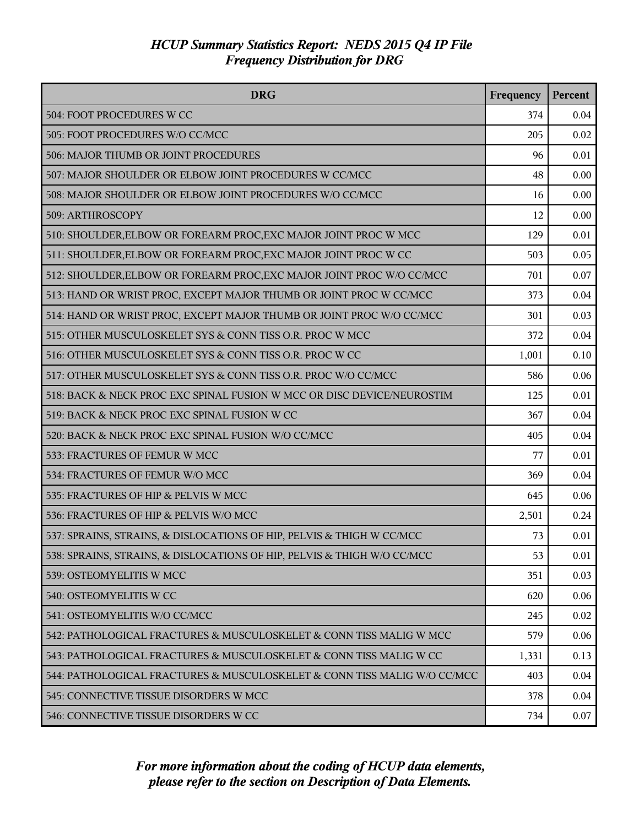| <b>DRG</b>                                                               | Frequency | <b>Percent</b> |
|--------------------------------------------------------------------------|-----------|----------------|
| 504: FOOT PROCEDURES W CC                                                | 374       | 0.04           |
| 505: FOOT PROCEDURES W/O CC/MCC                                          | 205       | 0.02           |
| 506: MAJOR THUMB OR JOINT PROCEDURES                                     | 96        | 0.01           |
| 507: MAJOR SHOULDER OR ELBOW JOINT PROCEDURES W CC/MCC                   | 48        | 0.00           |
| 508: MAJOR SHOULDER OR ELBOW JOINT PROCEDURES W/O CC/MCC                 | 16        | 0.00           |
| 509: ARTHROSCOPY                                                         | 12        | 0.00           |
| 510: SHOULDER, ELBOW OR FOREARM PROC, EXC MAJOR JOINT PROC W MCC         | 129       | 0.01           |
| 511: SHOULDER, ELBOW OR FOREARM PROC, EXC MAJOR JOINT PROC W CC          | 503       | 0.05           |
| 512: SHOULDER, ELBOW OR FOREARM PROC, EXC MAJOR JOINT PROC W/O CC/MCC    | 701       | 0.07           |
| 513: HAND OR WRIST PROC, EXCEPT MAJOR THUMB OR JOINT PROC W CC/MCC       | 373       | 0.04           |
| 514: HAND OR WRIST PROC, EXCEPT MAJOR THUMB OR JOINT PROC W/O CC/MCC     | 301       | 0.03           |
| 515: OTHER MUSCULOSKELET SYS & CONN TISS O.R. PROC W MCC                 | 372       | 0.04           |
| 516: OTHER MUSCULOSKELET SYS & CONN TISS O.R. PROC W CC                  | 1,001     | 0.10           |
| 517: OTHER MUSCULOSKELET SYS & CONN TISS O.R. PROC W/O CC/MCC            | 586       | 0.06           |
| 518: BACK & NECK PROC EXC SPINAL FUSION W MCC OR DISC DEVICE/NEUROSTIM   | 125       | 0.01           |
| 519: BACK & NECK PROC EXC SPINAL FUSION W CC                             | 367       | 0.04           |
| 520: BACK & NECK PROC EXC SPINAL FUSION W/O CC/MCC                       | 405       | 0.04           |
| 533: FRACTURES OF FEMUR W MCC                                            | 77        | 0.01           |
| 534: FRACTURES OF FEMUR W/O MCC                                          | 369       | 0.04           |
| 535: FRACTURES OF HIP & PELVIS W MCC                                     | 645       | 0.06           |
| 536: FRACTURES OF HIP & PELVIS W/O MCC                                   | 2,501     | 0.24           |
| 537: SPRAINS, STRAINS, & DISLOCATIONS OF HIP, PELVIS & THIGH W CC/MCC    | 73        | 0.01           |
| 538: SPRAINS, STRAINS, & DISLOCATIONS OF HIP, PELVIS & THIGH W/O CC/MCC  | 53        | 0.01           |
| 539: OSTEOMYELITIS W MCC                                                 | 351       | 0.03           |
| 540: OSTEOMYELITIS W CC                                                  | 620       | 0.06           |
| 541: OSTEOMYELITIS W/O CC/MCC                                            | 245       | 0.02           |
| 542: PATHOLOGICAL FRACTURES & MUSCULOSKELET & CONN TISS MALIG W MCC      | 579       | 0.06           |
| 543: PATHOLOGICAL FRACTURES & MUSCULOSKELET & CONN TISS MALIG W CC       | 1,331     | 0.13           |
| 544: PATHOLOGICAL FRACTURES & MUSCULOSKELET & CONN TISS MALIG W/O CC/MCC | 403       | 0.04           |
| 545: CONNECTIVE TISSUE DISORDERS W MCC                                   | 378       | 0.04           |
| 546: CONNECTIVE TISSUE DISORDERS W CC                                    | 734       | 0.07           |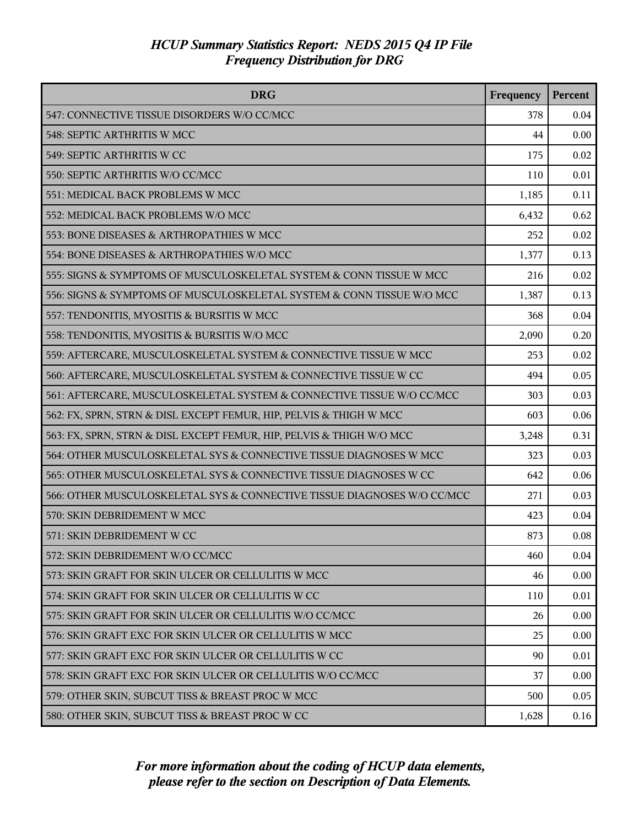| <b>DRG</b>                                                              | Frequency | Percent |
|-------------------------------------------------------------------------|-----------|---------|
| 547: CONNECTIVE TISSUE DISORDERS W/O CC/MCC                             | 378       | 0.04    |
| 548: SEPTIC ARTHRITIS W MCC                                             | 44        | 0.00    |
| 549: SEPTIC ARTHRITIS W CC                                              | 175       | 0.02    |
| 550: SEPTIC ARTHRITIS W/O CC/MCC                                        | 110       | 0.01    |
| 551: MEDICAL BACK PROBLEMS W MCC                                        | 1,185     | 0.11    |
| 552: MEDICAL BACK PROBLEMS W/O MCC                                      | 6,432     | 0.62    |
| 553: BONE DISEASES & ARTHROPATHIES W MCC                                | 252       | 0.02    |
| 554: BONE DISEASES & ARTHROPATHIES W/O MCC                              | 1,377     | 0.13    |
| 555: SIGNS & SYMPTOMS OF MUSCULOSKELETAL SYSTEM & CONN TISSUE W MCC     | 216       | 0.02    |
| 556: SIGNS & SYMPTOMS OF MUSCULOSKELETAL SYSTEM & CONN TISSUE W/O MCC   | 1,387     | 0.13    |
| 557: TENDONITIS, MYOSITIS & BURSITIS W MCC                              | 368       | 0.04    |
| 558: TENDONITIS, MYOSITIS & BURSITIS W/O MCC                            | 2,090     | 0.20    |
| 559: AFTERCARE, MUSCULOSKELETAL SYSTEM & CONNECTIVE TISSUE W MCC        | 253       | 0.02    |
| 560: AFTERCARE, MUSCULOSKELETAL SYSTEM & CONNECTIVE TISSUE W CC         | 494       | 0.05    |
| 561: AFTERCARE, MUSCULOSKELETAL SYSTEM & CONNECTIVE TISSUE W/O CC/MCC   | 303       | 0.03    |
| 562: FX, SPRN, STRN & DISL EXCEPT FEMUR, HIP, PELVIS & THIGH W MCC      | 603       | 0.06    |
| 563: FX, SPRN, STRN & DISL EXCEPT FEMUR, HIP, PELVIS & THIGH W/O MCC    | 3,248     | 0.31    |
| 564: OTHER MUSCULOSKELETAL SYS & CONNECTIVE TISSUE DIAGNOSES W MCC      | 323       | 0.03    |
| 565: OTHER MUSCULOSKELETAL SYS & CONNECTIVE TISSUE DIAGNOSES W CC       | 642       | 0.06    |
| 566: OTHER MUSCULOSKELETAL SYS & CONNECTIVE TISSUE DIAGNOSES W/O CC/MCC | 271       | 0.03    |
| 570: SKIN DEBRIDEMENT W MCC                                             | 423       | 0.04    |
| 571: SKIN DEBRIDEMENT W CC                                              | 873       | 0.08    |
| 572: SKIN DEBRIDEMENT W/O CC/MCC                                        | 460       | 0.04    |
| 573: SKIN GRAFT FOR SKIN ULCER OR CELLULITIS W MCC                      | 46        | 0.00    |
| 574: SKIN GRAFT FOR SKIN ULCER OR CELLULITIS W CC                       | 110       | 0.01    |
| 575: SKIN GRAFT FOR SKIN ULCER OR CELLULITIS W/O CC/MCC                 | 26        | 0.00    |
| 576: SKIN GRAFT EXC FOR SKIN ULCER OR CELLULITIS W MCC                  | 25        | 0.00    |
| 577: SKIN GRAFT EXC FOR SKIN ULCER OR CELLULITIS W CC                   | 90        | 0.01    |
| 578: SKIN GRAFT EXC FOR SKIN ULCER OR CELLULITIS W/O CC/MCC             | 37        | 0.00    |
| 579: OTHER SKIN, SUBCUT TISS & BREAST PROC W MCC                        | 500       | 0.05    |
| 580: OTHER SKIN, SUBCUT TISS & BREAST PROC W CC                         | 1,628     | 0.16    |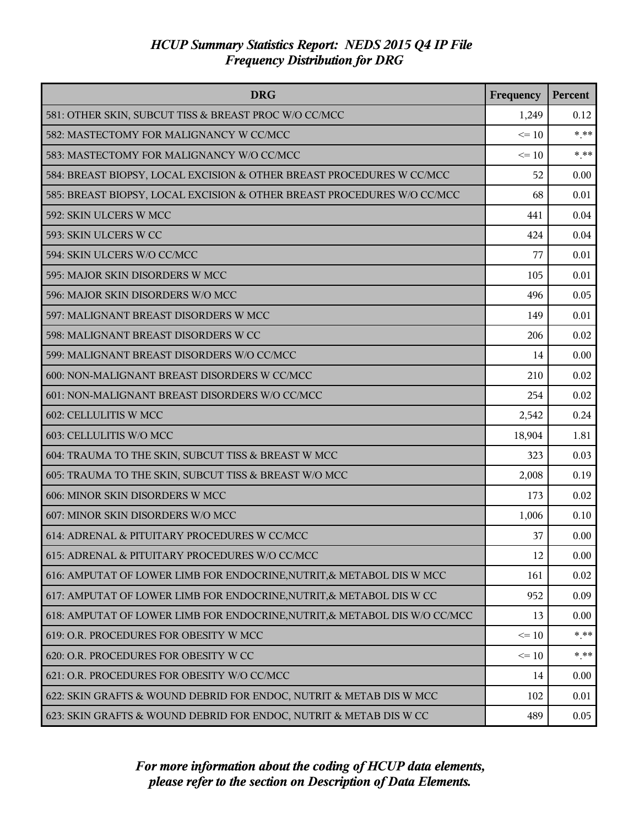| <b>DRG</b>                                                                 | Frequency | Percent |
|----------------------------------------------------------------------------|-----------|---------|
| 581: OTHER SKIN, SUBCUT TISS & BREAST PROC W/O CC/MCC                      | 1,249     | 0.12    |
| 582: MASTECTOMY FOR MALIGNANCY W CC/MCC                                    | $\leq 10$ | $***$   |
| 583: MASTECTOMY FOR MALIGNANCY W/O CC/MCC                                  | $\leq 10$ | $***$   |
| 584: BREAST BIOPSY, LOCAL EXCISION & OTHER BREAST PROCEDURES W CC/MCC      | 52        | 0.00    |
| 585: BREAST BIOPSY, LOCAL EXCISION & OTHER BREAST PROCEDURES W/O CC/MCC    | 68        | 0.01    |
| 592: SKIN ULCERS W MCC                                                     | 441       | 0.04    |
| 593: SKIN ULCERS W CC                                                      | 424       | 0.04    |
| 594: SKIN ULCERS W/O CC/MCC                                                | 77        | 0.01    |
| 595: MAJOR SKIN DISORDERS W MCC                                            | 105       | 0.01    |
| 596: MAJOR SKIN DISORDERS W/O MCC                                          | 496       | 0.05    |
| 597: MALIGNANT BREAST DISORDERS W MCC                                      | 149       | 0.01    |
| 598: MALIGNANT BREAST DISORDERS W CC                                       | 206       | 0.02    |
| 599: MALIGNANT BREAST DISORDERS W/O CC/MCC                                 | 14        | 0.00    |
| 600: NON-MALIGNANT BREAST DISORDERS W CC/MCC                               | 210       | 0.02    |
| 601: NON-MALIGNANT BREAST DISORDERS W/O CC/MCC                             | 254       | 0.02    |
| 602: CELLULITIS W MCC                                                      | 2,542     | 0.24    |
| 603: CELLULITIS W/O MCC                                                    | 18,904    | 1.81    |
| 604: TRAUMA TO THE SKIN, SUBCUT TISS & BREAST W MCC                        | 323       | 0.03    |
| 605: TRAUMA TO THE SKIN, SUBCUT TISS & BREAST W/O MCC                      | 2,008     | 0.19    |
| 606: MINOR SKIN DISORDERS W MCC                                            | 173       | 0.02    |
| 607: MINOR SKIN DISORDERS W/O MCC                                          | 1,006     | 0.10    |
| 614: ADRENAL & PITUITARY PROCEDURES W CC/MCC                               | 37        | 0.00    |
| 615: ADRENAL & PITUITARY PROCEDURES W/O CC/MCC                             | 12        | 0.00    |
| 616: AMPUTAT OF LOWER LIMB FOR ENDOCRINE, NUTRIT, & METABOL DIS W MCC      | 161       | 0.02    |
| 617: AMPUTAT OF LOWER LIMB FOR ENDOCRINE, NUTRIT, & METABOL DIS W CC       | 952       | 0.09    |
| 618: AMPUTAT OF LOWER LIMB FOR ENDOCRINE, NUTRIT, & METABOL DIS W/O CC/MCC | 13        | 0.00    |
| 619: O.R. PROCEDURES FOR OBESITY W MCC                                     | $\leq 10$ | $* * *$ |
| 620: O.R. PROCEDURES FOR OBESITY W CC                                      | $\leq 10$ | $*$ **  |
| 621: O.R. PROCEDURES FOR OBESITY W/O CC/MCC                                | 14        | 0.00    |
| 622: SKIN GRAFTS & WOUND DEBRID FOR ENDOC, NUTRIT & METAB DIS W MCC        | 102       | 0.01    |
| 623: SKIN GRAFTS & WOUND DEBRID FOR ENDOC, NUTRIT & METAB DIS W CC         | 489       | 0.05    |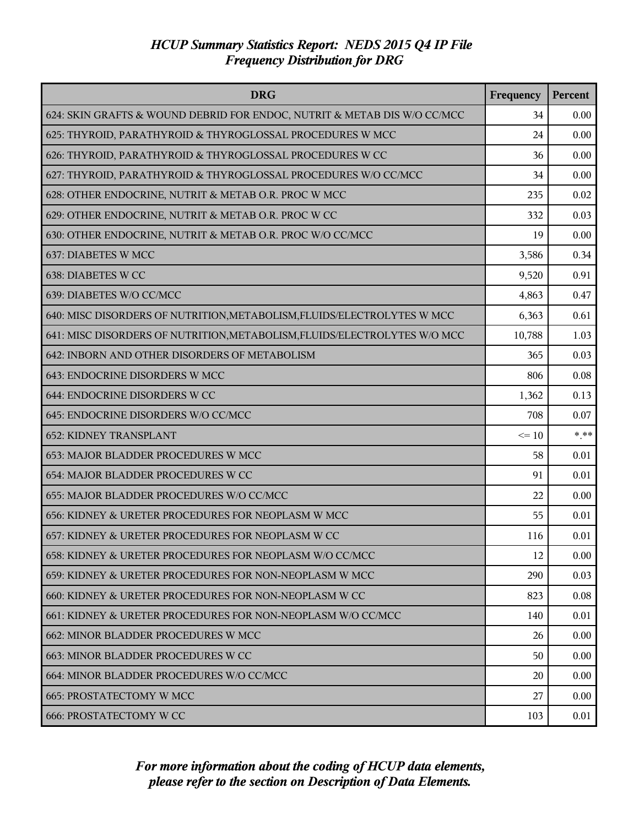| <b>DRG</b>                                                                | Frequency | Percent |
|---------------------------------------------------------------------------|-----------|---------|
| 624: SKIN GRAFTS & WOUND DEBRID FOR ENDOC, NUTRIT & METAB DIS W/O CC/MCC  | 34        | 0.00    |
| 625: THYROID, PARATHYROID & THYROGLOSSAL PROCEDURES W MCC                 | 24        | 0.00    |
| 626: THYROID, PARATHYROID & THYROGLOSSAL PROCEDURES W CC                  | 36        | 0.00    |
| 627: THYROID, PARATHYROID & THYROGLOSSAL PROCEDURES W/O CC/MCC            | 34        | 0.00    |
| 628: OTHER ENDOCRINE, NUTRIT & METAB O.R. PROC W MCC                      | 235       | 0.02    |
| 629: OTHER ENDOCRINE, NUTRIT & METAB O.R. PROC W CC                       | 332       | 0.03    |
| 630: OTHER ENDOCRINE, NUTRIT & METAB O.R. PROC W/O CC/MCC                 | 19        | 0.00    |
| 637: DIABETES W MCC                                                       | 3,586     | 0.34    |
| 638: DIABETES W CC                                                        | 9,520     | 0.91    |
| 639: DIABETES W/O CC/MCC                                                  | 4,863     | 0.47    |
| 640: MISC DISORDERS OF NUTRITION, METABOLISM, FLUIDS/ELECTROLYTES W MCC   | 6,363     | 0.61    |
| 641: MISC DISORDERS OF NUTRITION, METABOLISM, FLUIDS/ELECTROLYTES W/O MCC | 10,788    | 1.03    |
| 642: INBORN AND OTHER DISORDERS OF METABOLISM                             | 365       | 0.03    |
| 643: ENDOCRINE DISORDERS W MCC                                            | 806       | 0.08    |
| 644: ENDOCRINE DISORDERS W CC                                             | 1,362     | 0.13    |
| 645: ENDOCRINE DISORDERS W/O CC/MCC                                       | 708       | 0.07    |
| <b>652: KIDNEY TRANSPLANT</b>                                             | $\leq 10$ | $* * *$ |
| 653: MAJOR BLADDER PROCEDURES W MCC                                       | 58        | 0.01    |
| 654: MAJOR BLADDER PROCEDURES W CC                                        | 91        | 0.01    |
| 655: MAJOR BLADDER PROCEDURES W/O CC/MCC                                  | 22        | 0.00    |
| 656: KIDNEY & URETER PROCEDURES FOR NEOPLASM W MCC                        | 55        | 0.01    |
| 657: KIDNEY & URETER PROCEDURES FOR NEOPLASM W CC                         | 116       | 0.01    |
| 658: KIDNEY & URETER PROCEDURES FOR NEOPLASM W/O CC/MCC                   | 12        | 0.00    |
| 659: KIDNEY & URETER PROCEDURES FOR NON-NEOPLASM W MCC                    | 290       | 0.03    |
| 660: KIDNEY & URETER PROCEDURES FOR NON-NEOPLASM W CC                     | 823       | 0.08    |
| 661: KIDNEY & URETER PROCEDURES FOR NON-NEOPLASM W/O CC/MCC               | 140       | 0.01    |
| 662: MINOR BLADDER PROCEDURES W MCC                                       | 26        | 0.00    |
| 663: MINOR BLADDER PROCEDURES W CC                                        | 50        | 0.00    |
| 664: MINOR BLADDER PROCEDURES W/O CC/MCC                                  | 20        | 0.00    |
| <b>665: PROSTATECTOMY W MCC</b>                                           | 27        | 0.00    |
| <b>666: PROSTATECTOMY W CC</b>                                            | 103       | 0.01    |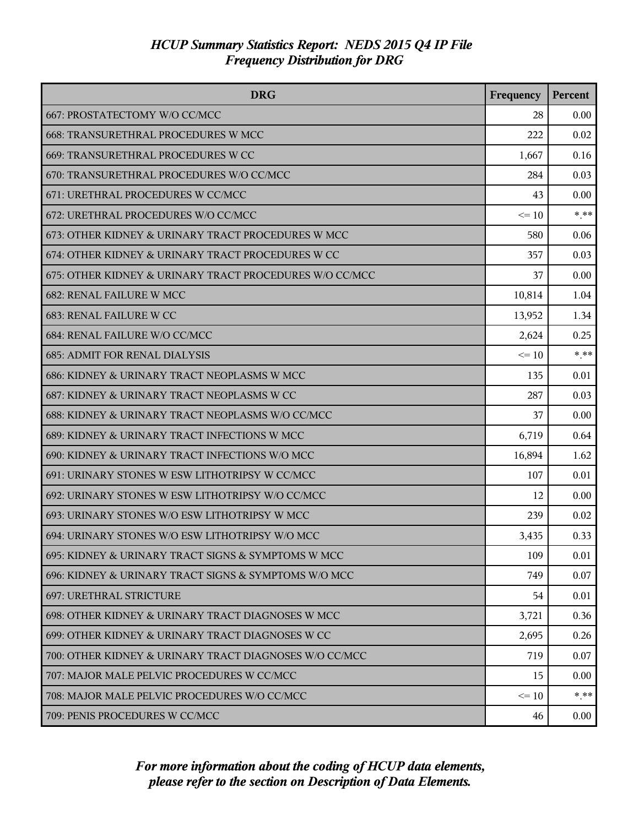| <b>DRG</b>                                              | Frequency | Percent  |
|---------------------------------------------------------|-----------|----------|
| 667: PROSTATECTOMY W/O CC/MCC                           | 28        | 0.00     |
| 668: TRANSURETHRAL PROCEDURES W MCC                     | 222       | 0.02     |
| 669: TRANSURETHRAL PROCEDURES W CC                      | 1,667     | 0.16     |
| 670: TRANSURETHRAL PROCEDURES W/O CC/MCC                | 284       | 0.03     |
| 671: URETHRAL PROCEDURES W CC/MCC                       | 43        | 0.00     |
| 672: URETHRAL PROCEDURES W/O CC/MCC                     | $\leq 10$ | * **     |
| 673: OTHER KIDNEY & URINARY TRACT PROCEDURES W MCC      | 580       | 0.06     |
| 674: OTHER KIDNEY & URINARY TRACT PROCEDURES W CC       | 357       | 0.03     |
| 675: OTHER KIDNEY & URINARY TRACT PROCEDURES W/O CC/MCC | 37        | 0.00     |
| <b>682: RENAL FAILURE W MCC</b>                         | 10,814    | 1.04     |
| 683: RENAL FAILURE W CC                                 | 13,952    | 1.34     |
| 684: RENAL FAILURE W/O CC/MCC                           | 2,624     | 0.25     |
| <b>685: ADMIT FOR RENAL DIALYSIS</b>                    | $\leq 10$ | $* * *$  |
| 686: KIDNEY & URINARY TRACT NEOPLASMS W MCC             | 135       | 0.01     |
| 687: KIDNEY & URINARY TRACT NEOPLASMS W CC              | 287       | 0.03     |
| 688: KIDNEY & URINARY TRACT NEOPLASMS W/O CC/MCC        | 37        | 0.00     |
| 689: KIDNEY & URINARY TRACT INFECTIONS W MCC            | 6,719     | 0.64     |
| 690: KIDNEY & URINARY TRACT INFECTIONS W/O MCC          | 16,894    | 1.62     |
| 691: URINARY STONES W ESW LITHOTRIPSY W CC/MCC          | 107       | $0.01\,$ |
| 692: URINARY STONES W ESW LITHOTRIPSY W/O CC/MCC        | 12        | 0.00     |
| 693: URINARY STONES W/O ESW LITHOTRIPSY W MCC           | 239       | 0.02     |
| 694: URINARY STONES W/O ESW LITHOTRIPSY W/O MCC         | 3,435     | 0.33     |
| 695: KIDNEY & URINARY TRACT SIGNS & SYMPTOMS W MCC      | 109       | 0.01     |
| 696: KIDNEY & URINARY TRACT SIGNS & SYMPTOMS W/O MCC    | 749       | 0.07     |
| 697: URETHRAL STRICTURE                                 | 54        | 0.01     |
| 698: OTHER KIDNEY & URINARY TRACT DIAGNOSES W MCC       | 3,721     | 0.36     |
| 699: OTHER KIDNEY & URINARY TRACT DIAGNOSES W CC        | 2,695     | 0.26     |
| 700: OTHER KIDNEY & URINARY TRACT DIAGNOSES W/O CC/MCC  | 719       | 0.07     |
| 707: MAJOR MALE PELVIC PROCEDURES W CC/MCC              | 15        | 0.00     |
| 708: MAJOR MALE PELVIC PROCEDURES W/O CC/MCC            | $\leq 10$ | $* * *$  |
| 709: PENIS PROCEDURES W CC/MCC                          | 46        | $0.00\,$ |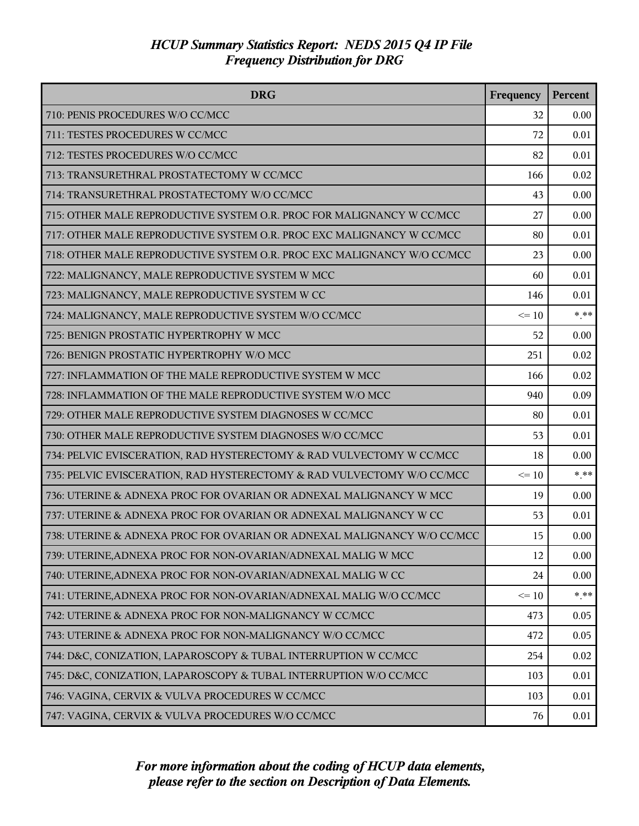| <b>DRG</b>                                                              | Frequency | Percent |
|-------------------------------------------------------------------------|-----------|---------|
| 710: PENIS PROCEDURES W/O CC/MCC                                        | 32        | 0.00    |
| 711: TESTES PROCEDURES W CC/MCC                                         | 72        | 0.01    |
| 712: TESTES PROCEDURES W/O CC/MCC                                       | 82        | 0.01    |
| 713: TRANSURETHRAL PROSTATECTOMY W CC/MCC                               | 166       | 0.02    |
| 714: TRANSURETHRAL PROSTATECTOMY W/O CC/MCC                             | 43        | 0.00    |
| 715: OTHER MALE REPRODUCTIVE SYSTEM O.R. PROC FOR MALIGNANCY W CC/MCC   | 27        | 0.00    |
| 717: OTHER MALE REPRODUCTIVE SYSTEM O.R. PROC EXC MALIGNANCY W CC/MCC   | 80        | 0.01    |
| 718: OTHER MALE REPRODUCTIVE SYSTEM O.R. PROC EXC MALIGNANCY W/O CC/MCC | 23        | 0.00    |
| 722: MALIGNANCY, MALE REPRODUCTIVE SYSTEM W MCC                         | 60        | 0.01    |
| 723: MALIGNANCY, MALE REPRODUCTIVE SYSTEM W CC                          | 146       | 0.01    |
| 724: MALIGNANCY, MALE REPRODUCTIVE SYSTEM W/O CC/MCC                    | $\leq 10$ | $***$   |
| 725: BENIGN PROSTATIC HYPERTROPHY W MCC                                 | 52        | 0.00    |
| 726: BENIGN PROSTATIC HYPERTROPHY W/O MCC                               | 251       | 0.02    |
| 727: INFLAMMATION OF THE MALE REPRODUCTIVE SYSTEM W MCC                 | 166       | 0.02    |
| 728: INFLAMMATION OF THE MALE REPRODUCTIVE SYSTEM W/O MCC               | 940       | 0.09    |
| 729: OTHER MALE REPRODUCTIVE SYSTEM DIAGNOSES W CC/MCC                  | 80        | 0.01    |
| 730: OTHER MALE REPRODUCTIVE SYSTEM DIAGNOSES W/O CC/MCC                | 53        | 0.01    |
| 734: PELVIC EVISCERATION, RAD HYSTERECTOMY & RAD VULVECTOMY W CC/MCC    | 18        | 0.00    |
| 735: PELVIC EVISCERATION, RAD HYSTERECTOMY & RAD VULVECTOMY W/O CC/MCC  | $\leq 10$ | $***$   |
| 736: UTERINE & ADNEXA PROC FOR OVARIAN OR ADNEXAL MALIGNANCY W MCC      | 19        | 0.00    |
| 737: UTERINE & ADNEXA PROC FOR OVARIAN OR ADNEXAL MALIGNANCY W CC       | 53        | 0.01    |
| 738: UTERINE & ADNEXA PROC FOR OVARIAN OR ADNEXAL MALIGNANCY W/O CC/MCC | 15        | 0.00    |
| 739: UTERINE, ADNEXA PROC FOR NON-OVARIAN/ADNEXAL MALIG W MCC           | 12        | 0.00    |
| 740: UTERINE, ADNEXA PROC FOR NON-OVARIAN/ADNEXAL MALIG W CC            | 24        | 0.00    |
| 741: UTERINE, ADNEXA PROC FOR NON-OVARIAN/ADNEXAL MALIG W/O CC/MCC      | $\leq 10$ | $* * *$ |
| 742: UTERINE & ADNEXA PROC FOR NON-MALIGNANCY W CC/MCC                  | 473       | 0.05    |
| 743: UTERINE & ADNEXA PROC FOR NON-MALIGNANCY W/O CC/MCC                | 472       | 0.05    |
| 744: D&C, CONIZATION, LAPAROSCOPY & TUBAL INTERRUPTION W CC/MCC         | 254       | 0.02    |
| 745: D&C, CONIZATION, LAPAROSCOPY & TUBAL INTERRUPTION W/O CC/MCC       | 103       | 0.01    |
| 746: VAGINA, CERVIX & VULVA PROCEDURES W CC/MCC                         | 103       | 0.01    |
| 747: VAGINA, CERVIX & VULVA PROCEDURES W/O CC/MCC                       | 76        | 0.01    |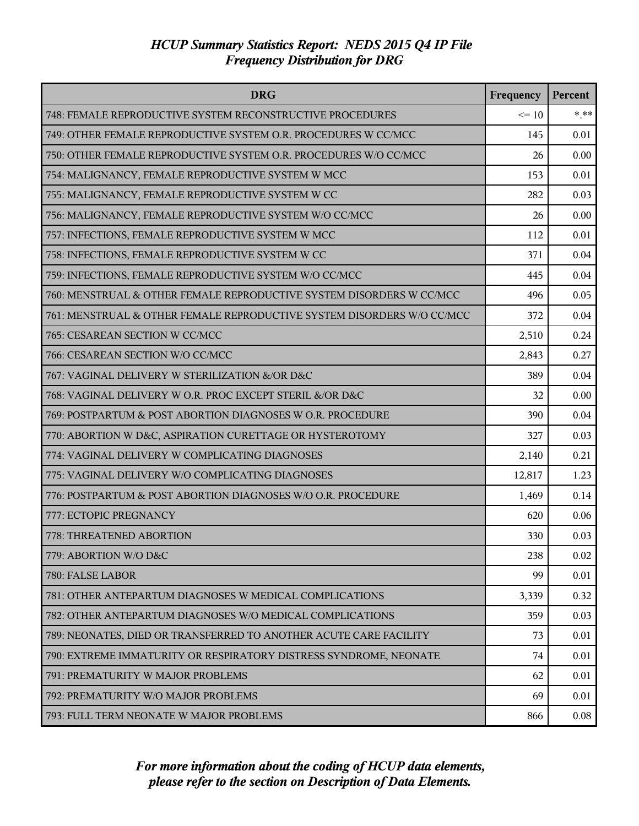| <b>DRG</b>                                                             | Frequency | <b>Percent</b> |
|------------------------------------------------------------------------|-----------|----------------|
| 748: FEMALE REPRODUCTIVE SYSTEM RECONSTRUCTIVE PROCEDURES              | $\leq 10$ | $* * *$        |
| 749: OTHER FEMALE REPRODUCTIVE SYSTEM O.R. PROCEDURES W CC/MCC         | 145       | 0.01           |
| 750: OTHER FEMALE REPRODUCTIVE SYSTEM O.R. PROCEDURES W/O CC/MCC       | 26        | 0.00           |
| 754: MALIGNANCY, FEMALE REPRODUCTIVE SYSTEM W MCC                      | 153       | 0.01           |
| 755: MALIGNANCY, FEMALE REPRODUCTIVE SYSTEM W CC                       | 282       | 0.03           |
| 756: MALIGNANCY, FEMALE REPRODUCTIVE SYSTEM W/O CC/MCC                 | 26        | 0.00           |
| 757: INFECTIONS, FEMALE REPRODUCTIVE SYSTEM W MCC                      | 112       | 0.01           |
| 758: INFECTIONS, FEMALE REPRODUCTIVE SYSTEM W CC                       | 371       | 0.04           |
| 759: INFECTIONS, FEMALE REPRODUCTIVE SYSTEM W/O CC/MCC                 | 445       | 0.04           |
| 760: MENSTRUAL & OTHER FEMALE REPRODUCTIVE SYSTEM DISORDERS W CC/MCC   | 496       | 0.05           |
| 761: MENSTRUAL & OTHER FEMALE REPRODUCTIVE SYSTEM DISORDERS W/O CC/MCC | 372       | 0.04           |
| 765: CESAREAN SECTION W CC/MCC                                         | 2,510     | 0.24           |
| 766: CESAREAN SECTION W/O CC/MCC                                       | 2,843     | 0.27           |
| 767: VAGINAL DELIVERY W STERILIZATION &/OR D&C                         | 389       | 0.04           |
| 768: VAGINAL DELIVERY W O.R. PROC EXCEPT STERIL &/OR D&C               | 32        | 0.00           |
| 769: POSTPARTUM & POST ABORTION DIAGNOSES W O.R. PROCEDURE             | 390       | 0.04           |
| 770: ABORTION W D&C, ASPIRATION CURETTAGE OR HYSTEROTOMY               | 327       | 0.03           |
| 774: VAGINAL DELIVERY W COMPLICATING DIAGNOSES                         | 2,140     | 0.21           |
| 775: VAGINAL DELIVERY W/O COMPLICATING DIAGNOSES                       | 12,817    | 1.23           |
| 776: POSTPARTUM & POST ABORTION DIAGNOSES W/O O.R. PROCEDURE           | 1,469     | 0.14           |
| 777: ECTOPIC PREGNANCY                                                 | 620       | 0.06           |
| 778: THREATENED ABORTION                                               | 330       | 0.03           |
| 779: ABORTION W/O D&C                                                  | 238       | 0.02           |
| 780: FALSE LABOR                                                       | 99        | 0.01           |
| 781: OTHER ANTEPARTUM DIAGNOSES W MEDICAL COMPLICATIONS                | 3,339     | 0.32           |
| 782: OTHER ANTEPARTUM DIAGNOSES W/O MEDICAL COMPLICATIONS              | 359       | 0.03           |
| 789: NEONATES, DIED OR TRANSFERRED TO ANOTHER ACUTE CARE FACILITY      | 73        | 0.01           |
| 790: EXTREME IMMATURITY OR RESPIRATORY DISTRESS SYNDROME, NEONATE      | 74        | 0.01           |
| 791: PREMATURITY W MAJOR PROBLEMS                                      | 62        | 0.01           |
| 792: PREMATURITY W/O MAJOR PROBLEMS                                    | 69        | 0.01           |
| 793: FULL TERM NEONATE W MAJOR PROBLEMS                                | 866       | 0.08           |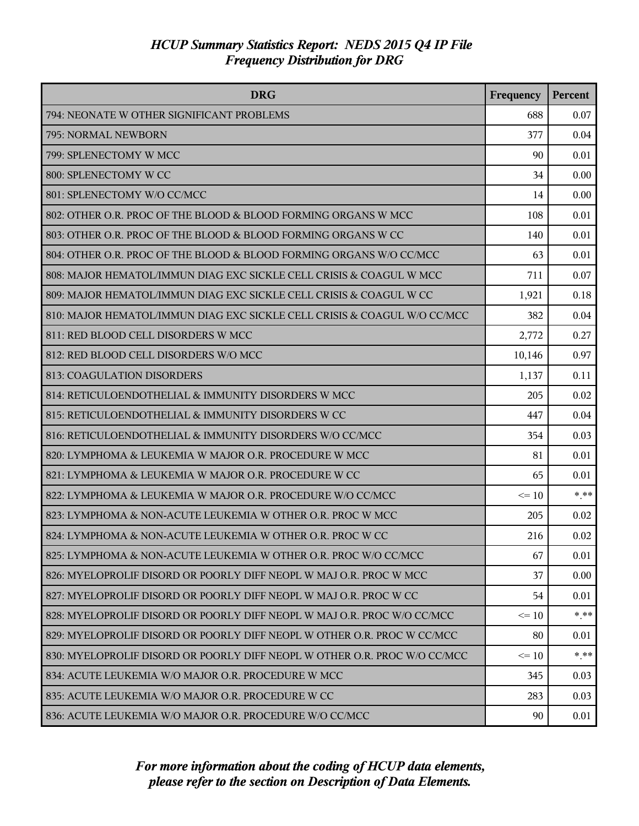| <b>DRG</b>                                                                | Frequency | Percent |
|---------------------------------------------------------------------------|-----------|---------|
| 794: NEONATE W OTHER SIGNIFICANT PROBLEMS                                 | 688       | 0.07    |
| 795: NORMAL NEWBORN                                                       | 377       | 0.04    |
| 799: SPLENECTOMY W MCC                                                    | 90        | 0.01    |
| 800: SPLENECTOMY W CC                                                     | 34        | 0.00    |
| 801: SPLENECTOMY W/O CC/MCC                                               | 14        | 0.00    |
| 802: OTHER O.R. PROC OF THE BLOOD & BLOOD FORMING ORGANS W MCC            | 108       | 0.01    |
| 803: OTHER O.R. PROC OF THE BLOOD & BLOOD FORMING ORGANS W CC             | 140       | 0.01    |
| 804: OTHER O.R. PROC OF THE BLOOD & BLOOD FORMING ORGANS W/O CC/MCC       | 63        | 0.01    |
| 808: MAJOR HEMATOL/IMMUN DIAG EXC SICKLE CELL CRISIS & COAGUL W MCC       | 711       | 0.07    |
| 809: MAJOR HEMATOL/IMMUN DIAG EXC SICKLE CELL CRISIS & COAGUL W CC        | 1,921     | 0.18    |
| 810: MAJOR HEMATOL/IMMUN DIAG EXC SICKLE CELL CRISIS & COAGUL W/O CC/MCC  | 382       | 0.04    |
| 811: RED BLOOD CELL DISORDERS W MCC                                       | 2,772     | 0.27    |
| 812: RED BLOOD CELL DISORDERS W/O MCC                                     | 10,146    | 0.97    |
| 813: COAGULATION DISORDERS                                                | 1,137     | 0.11    |
| 814: RETICULOENDOTHELIAL & IMMUNITY DISORDERS W MCC                       | 205       | 0.02    |
| 815: RETICULOENDOTHELIAL & IMMUNITY DISORDERS W CC                        | 447       | 0.04    |
| 816: RETICULOENDOTHELIAL & IMMUNITY DISORDERS W/O CC/MCC                  | 354       | 0.03    |
| 820: LYMPHOMA & LEUKEMIA W MAJOR O.R. PROCEDURE W MCC                     | 81        | 0.01    |
| 821: LYMPHOMA & LEUKEMIA W MAJOR O.R. PROCEDURE W CC                      | 65        | 0.01    |
| 822: LYMPHOMA & LEUKEMIA W MAJOR O.R. PROCEDURE W/O CC/MCC                | $\leq 10$ | $* * *$ |
| 823: LYMPHOMA & NON-ACUTE LEUKEMIA W OTHER O.R. PROC W MCC                | 205       | 0.02    |
| 824: LYMPHOMA & NON-ACUTE LEUKEMIA W OTHER O.R. PROC W CC                 | 216       | 0.02    |
| 825: LYMPHOMA & NON-ACUTE LEUKEMIA W OTHER O.R. PROC W/O CC/MCC           | 67        | 0.01    |
| 826: MYELOPROLIF DISORD OR POORLY DIFF NEOPL W MAJ O.R. PROC W MCC        | 37        | 0.00    |
| 827: MYELOPROLIF DISORD OR POORLY DIFF NEOPL W MAJ O.R. PROC W CC         | 54        | 0.01    |
| 828: MYELOPROLIF DISORD OR POORLY DIFF NEOPL W MAJ O.R. PROC W/O CC/MCC   | $\leq$ 10 | $***$   |
| 829: MYELOPROLIF DISORD OR POORLY DIFF NEOPL W OTHER O.R. PROC W CC/MCC   | 80        | 0.01    |
| 830: MYELOPROLIF DISORD OR POORLY DIFF NEOPL W OTHER O.R. PROC W/O CC/MCC | $\leq$ 10 | $* * *$ |
| 834: ACUTE LEUKEMIA W/O MAJOR O.R. PROCEDURE W MCC                        | 345       | 0.03    |
| 835: ACUTE LEUKEMIA W/O MAJOR O.R. PROCEDURE W CC                         | 283       | 0.03    |
| 836: ACUTE LEUKEMIA W/O MAJOR O.R. PROCEDURE W/O CC/MCC                   | 90        | 0.01    |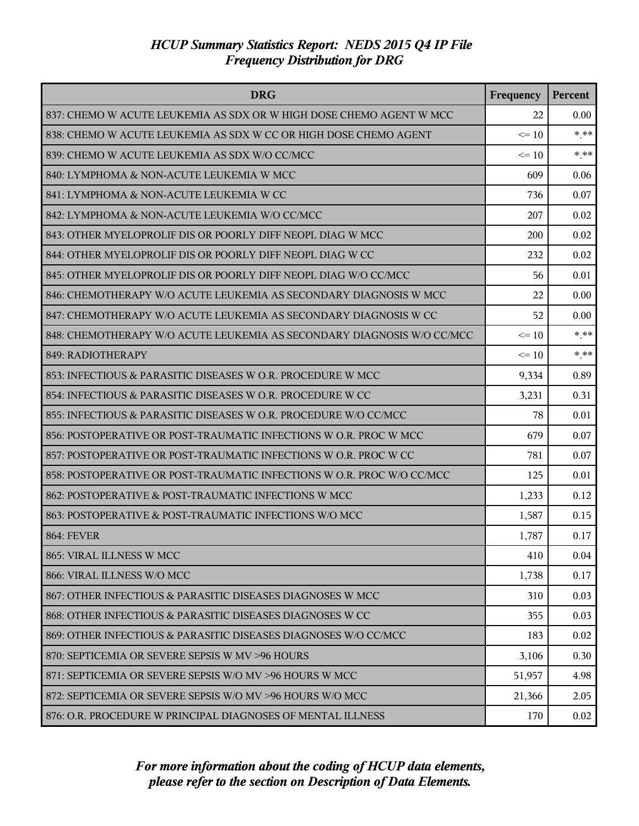| <b>DRG</b>                                                             | Frequency | <b>Percent</b> |
|------------------------------------------------------------------------|-----------|----------------|
| 837: CHEMO W ACUTE LEUKEMIA AS SDX OR W HIGH DOSE CHEMO AGENT W MCC    | 22        | 0.00           |
| 838: CHEMO W ACUTE LEUKEMIA AS SDX W CC OR HIGH DOSE CHEMO AGENT       | $\leq 10$ | $* * *$        |
| 839: CHEMO W ACUTE LEUKEMIA AS SDX W/O CC/MCC                          | $\leq 10$ | $***$          |
| 840: LYMPHOMA & NON-ACUTE LEUKEMIA W MCC                               | 609       | 0.06           |
| 841: LYMPHOMA & NON-ACUTE LEUKEMIA W CC                                | 736       | 0.07           |
| 842: LYMPHOMA & NON-ACUTE LEUKEMIA W/O CC/MCC                          | 207       | 0.02           |
| 843: OTHER MYELOPROLIF DIS OR POORLY DIFF NEOPL DIAG W MCC             | 200       | 0.02           |
| 844: OTHER MYELOPROLIF DIS OR POORLY DIFF NEOPL DIAG W CC              | 232       | 0.02           |
| 845: OTHER MYELOPROLIF DIS OR POORLY DIFF NEOPL DIAG W/O CC/MCC        | 56        | 0.01           |
| 846: CHEMOTHERAPY W/O ACUTE LEUKEMIA AS SECONDARY DIAGNOSIS W MCC      | 22        | 0.00           |
| 847: CHEMOTHERAPY W/O ACUTE LEUKEMIA AS SECONDARY DIAGNOSIS W CC       | 52        | 0.00           |
| 848: CHEMOTHERAPY W/O ACUTE LEUKEMIA AS SECONDARY DIAGNOSIS W/O CC/MCC | $\leq 10$ | $* * *$        |
| 849: RADIOTHERAPY                                                      | $\leq 10$ | $***$          |
| 853: INFECTIOUS & PARASITIC DISEASES W O.R. PROCEDURE W MCC            | 9,334     | 0.89           |
| 854: INFECTIOUS & PARASITIC DISEASES W O.R. PROCEDURE W CC             | 3,231     | 0.31           |
| 855: INFECTIOUS & PARASITIC DISEASES W O.R. PROCEDURE W/O CC/MCC       | 78        | 0.01           |
| 856: POSTOPERATIVE OR POST-TRAUMATIC INFECTIONS W O.R. PROC W MCC      | 679       | 0.07           |
| 857: POSTOPERATIVE OR POST-TRAUMATIC INFECTIONS W O.R. PROC W CC       | 781       | 0.07           |
| 858: POSTOPERATIVE OR POST-TRAUMATIC INFECTIONS W O.R. PROC W/O CC/MCC | 125       | 0.01           |
| 862: POSTOPERATIVE & POST-TRAUMATIC INFECTIONS W MCC                   | 1,233     | 0.12           |
| 863: POSTOPERATIVE & POST-TRAUMATIC INFECTIONS W/O MCC                 | 1,587     | 0.15           |
| <b>864: FEVER</b>                                                      | 1,787     | 0.17           |
| 865: VIRAL ILLNESS W MCC                                               | 410       | 0.04           |
| 866: VIRAL ILLNESS W/O MCC                                             | 1,738     | 0.17           |
| 867: OTHER INFECTIOUS & PARASITIC DISEASES DIAGNOSES W MCC             | 310       | 0.03           |
| 868: OTHER INFECTIOUS & PARASITIC DISEASES DIAGNOSES W CC              | 355       | 0.03           |
| 869: OTHER INFECTIOUS & PARASITIC DISEASES DIAGNOSES W/O CC/MCC        | 183       | 0.02           |
| 870: SEPTICEMIA OR SEVERE SEPSIS W MV >96 HOURS                        | 3,106     | 0.30           |
| 871: SEPTICEMIA OR SEVERE SEPSIS W/O MV >96 HOURS W MCC                | 51,957    | 4.98           |
| 872: SEPTICEMIA OR SEVERE SEPSIS W/O MV >96 HOURS W/O MCC              | 21,366    | 2.05           |
| 876: O.R. PROCEDURE W PRINCIPAL DIAGNOSES OF MENTAL ILLNESS            | 170       | 0.02           |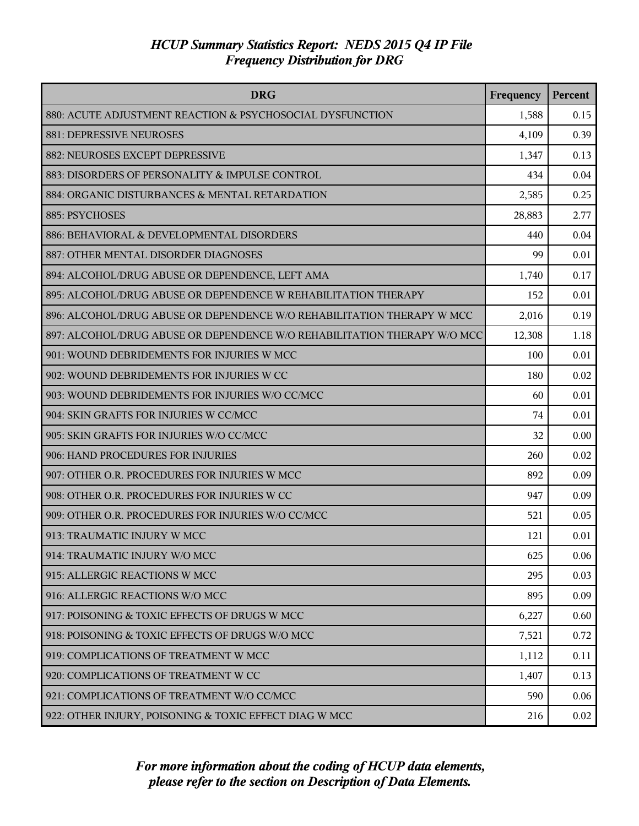| <b>DRG</b>                                                               | Frequency | Percent |
|--------------------------------------------------------------------------|-----------|---------|
| 880: ACUTE ADJUSTMENT REACTION & PSYCHOSOCIAL DYSFUNCTION                | 1,588     | 0.15    |
| 881: DEPRESSIVE NEUROSES                                                 | 4,109     | 0.39    |
| 882: NEUROSES EXCEPT DEPRESSIVE                                          | 1,347     | 0.13    |
| 883: DISORDERS OF PERSONALITY & IMPULSE CONTROL                          | 434       | 0.04    |
| 884: ORGANIC DISTURBANCES & MENTAL RETARDATION                           | 2,585     | 0.25    |
| 885: PSYCHOSES                                                           | 28,883    | 2.77    |
| 886: BEHAVIORAL & DEVELOPMENTAL DISORDERS                                | 440       | 0.04    |
| 887: OTHER MENTAL DISORDER DIAGNOSES                                     | 99        | 0.01    |
| 894: ALCOHOL/DRUG ABUSE OR DEPENDENCE, LEFT AMA                          | 1,740     | 0.17    |
| 895: ALCOHOL/DRUG ABUSE OR DEPENDENCE W REHABILITATION THERAPY           | 152       | 0.01    |
| 896: ALCOHOL/DRUG ABUSE OR DEPENDENCE W/O REHABILITATION THERAPY W MCC   | 2,016     | 0.19    |
| 897: ALCOHOL/DRUG ABUSE OR DEPENDENCE W/O REHABILITATION THERAPY W/O MCC | 12,308    | 1.18    |
| 901: WOUND DEBRIDEMENTS FOR INJURIES W MCC                               | 100       | 0.01    |
| 902: WOUND DEBRIDEMENTS FOR INJURIES W CC                                | 180       | 0.02    |
| 903: WOUND DEBRIDEMENTS FOR INJURIES W/O CC/MCC                          | 60        | 0.01    |
| 904: SKIN GRAFTS FOR INJURIES W CC/MCC                                   | 74        | 0.01    |
| 905: SKIN GRAFTS FOR INJURIES W/O CC/MCC                                 | 32        | 0.00    |
| 906: HAND PROCEDURES FOR INJURIES                                        | 260       | 0.02    |
| 907: OTHER O.R. PROCEDURES FOR INJURIES W MCC                            | 892       | 0.09    |
| 908: OTHER O.R. PROCEDURES FOR INJURIES W CC                             | 947       | 0.09    |
| 909: OTHER O.R. PROCEDURES FOR INJURIES W/O CC/MCC                       | 521       | 0.05    |
| 913: TRAUMATIC INJURY W MCC                                              | 121       | 0.01    |
| 914: TRAUMATIC INJURY W/O MCC                                            | 625       | 0.06    |
| 915: ALLERGIC REACTIONS W MCC                                            | 295       | 0.03    |
| 916: ALLERGIC REACTIONS W/O MCC                                          | 895       | 0.09    |
| 917: POISONING & TOXIC EFFECTS OF DRUGS W MCC                            | 6,227     | 0.60    |
| 918: POISONING & TOXIC EFFECTS OF DRUGS W/O MCC                          | 7,521     | 0.72    |
| 919: COMPLICATIONS OF TREATMENT W MCC                                    | 1,112     | 0.11    |
| 920: COMPLICATIONS OF TREATMENT W CC                                     | 1,407     | 0.13    |
| 921: COMPLICATIONS OF TREATMENT W/O CC/MCC                               | 590       | 0.06    |
| 922: OTHER INJURY, POISONING & TOXIC EFFECT DIAG W MCC                   | 216       | 0.02    |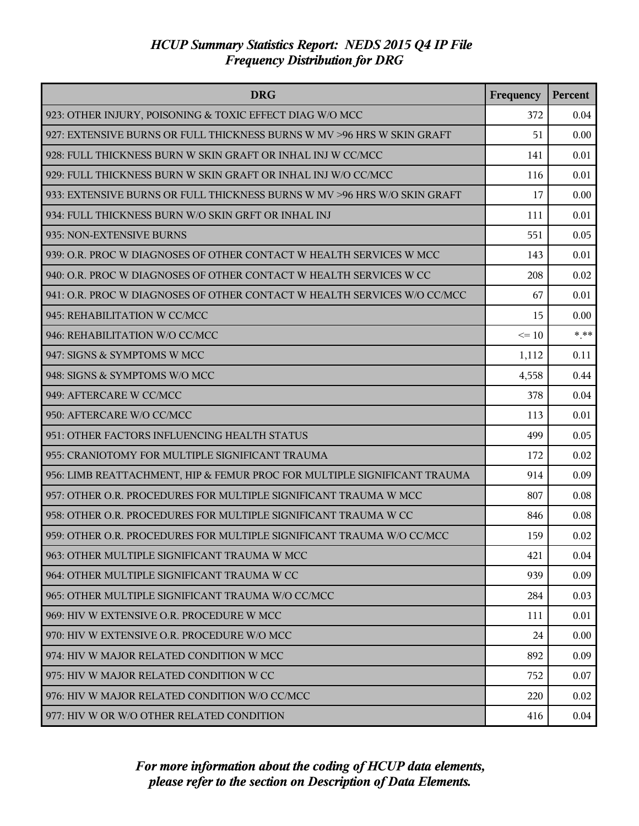| <b>DRG</b>                                                               | Frequency | Percent |
|--------------------------------------------------------------------------|-----------|---------|
| 923: OTHER INJURY, POISONING & TOXIC EFFECT DIAG W/O MCC                 | 372       | 0.04    |
| 927: EXTENSIVE BURNS OR FULL THICKNESS BURNS W MV >96 HRS W SKIN GRAFT   | 51        | 0.00    |
| 928: FULL THICKNESS BURN W SKIN GRAFT OR INHAL INJ W CC/MCC              | 141       | 0.01    |
| 929: FULL THICKNESS BURN W SKIN GRAFT OR INHAL INJ W/O CC/MCC            | 116       | 0.01    |
| 933: EXTENSIVE BURNS OR FULL THICKNESS BURNS W MV >96 HRS W/O SKIN GRAFT | 17        | 0.00    |
| 934: FULL THICKNESS BURN W/O SKIN GRFT OR INHAL INJ                      | 111       | 0.01    |
| 935: NON-EXTENSIVE BURNS                                                 | 551       | 0.05    |
| 939: O.R. PROC W DIAGNOSES OF OTHER CONTACT W HEALTH SERVICES W MCC      | 143       | 0.01    |
| 940: O.R. PROC W DIAGNOSES OF OTHER CONTACT W HEALTH SERVICES W CC       | 208       | 0.02    |
| 941: O.R. PROC W DIAGNOSES OF OTHER CONTACT W HEALTH SERVICES W/O CC/MCC | 67        | 0.01    |
| 945: REHABILITATION W CC/MCC                                             | 15        | 0.00    |
| 946: REHABILITATION W/O CC/MCC                                           | $\leq 10$ | $***$   |
| 947: SIGNS & SYMPTOMS W MCC                                              | 1,112     | 0.11    |
| 948: SIGNS & SYMPTOMS W/O MCC                                            | 4,558     | 0.44    |
| 949: AFTERCARE W CC/MCC                                                  | 378       | 0.04    |
| 950: AFTERCARE W/O CC/MCC                                                | 113       | 0.01    |
| 951: OTHER FACTORS INFLUENCING HEALTH STATUS                             | 499       | 0.05    |
| 955: CRANIOTOMY FOR MULTIPLE SIGNIFICANT TRAUMA                          | 172       | 0.02    |
| 956: LIMB REATTACHMENT, HIP & FEMUR PROC FOR MULTIPLE SIGNIFICANT TRAUMA | 914       | 0.09    |
| 957: OTHER O.R. PROCEDURES FOR MULTIPLE SIGNIFICANT TRAUMA W MCC         | 807       | 0.08    |
| 958: OTHER O.R. PROCEDURES FOR MULTIPLE SIGNIFICANT TRAUMA W CC          | 846       | 0.08    |
| 959: OTHER O.R. PROCEDURES FOR MULTIPLE SIGNIFICANT TRAUMA W/O CC/MCC    | 159       | 0.02    |
| 963: OTHER MULTIPLE SIGNIFICANT TRAUMA W MCC                             | 421       | 0.04    |
| 964: OTHER MULTIPLE SIGNIFICANT TRAUMA W CC                              | 939       | 0.09    |
| 965: OTHER MULTIPLE SIGNIFICANT TRAUMA W/O CC/MCC                        | 284       | 0.03    |
| 969: HIV W EXTENSIVE O.R. PROCEDURE W MCC                                | 111       | 0.01    |
| 970: HIV W EXTENSIVE O.R. PROCEDURE W/O MCC                              | 24        | 0.00    |
| 974: HIV W MAJOR RELATED CONDITION W MCC                                 | 892       | 0.09    |
| 975: HIV W MAJOR RELATED CONDITION W CC                                  | 752       | 0.07    |
| 976: HIV W MAJOR RELATED CONDITION W/O CC/MCC                            | 220       | 0.02    |
| 977: HIV W OR W/O OTHER RELATED CONDITION                                | 416       | 0.04    |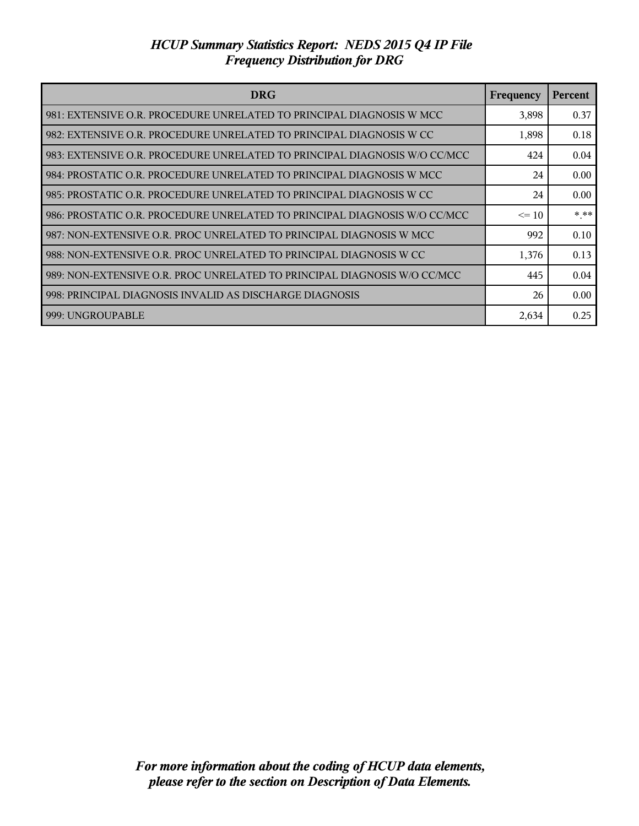| <b>DRG</b>                                                                | Frequency | Percent |
|---------------------------------------------------------------------------|-----------|---------|
| 981: EXTENSIVE O.R. PROCEDURE UNRELATED TO PRINCIPAL DIAGNOSIS W MCC      | 3,898     | 0.37    |
| 982: EXTENSIVE O.R. PROCEDURE UNRELATED TO PRINCIPAL DIAGNOSIS W CC       | 1,898     | 0.18    |
| 983: EXTENSIVE O.R. PROCEDURE UNRELATED TO PRINCIPAL DIAGNOSIS W/O CC/MCC | 424       | 0.04    |
| 984: PROSTATIC O.R. PROCEDURE UNRELATED TO PRINCIPAL DIAGNOSIS W MCC      | 24        | 0.00    |
| 985: PROSTATIC O.R. PROCEDURE UNRELATED TO PRINCIPAL DIAGNOSIS W CC       | 24        | 0.00    |
| 986: PROSTATIC O.R. PROCEDURE UNRELATED TO PRINCIPAL DIAGNOSIS W/O CC/MCC | $\leq 10$ | $***$   |
| 987: NON-EXTENSIVE O.R. PROC UNRELATED TO PRINCIPAL DIAGNOSIS W MCC       | 992       | 0.10    |
| 988: NON-EXTENSIVE O.R. PROC UNRELATED TO PRINCIPAL DIAGNOSIS W CC        | 1,376     | 0.13    |
| 989: NON-EXTENSIVE O.R. PROC UNRELATED TO PRINCIPAL DIAGNOSIS W/O CC/MCC  | 445       | 0.04    |
| 998: PRINCIPAL DIAGNOSIS INVALID AS DISCHARGE DIAGNOSIS                   | 26        | 0.00    |
| 999: UNGROUPABLE                                                          | 2,634     | 0.25    |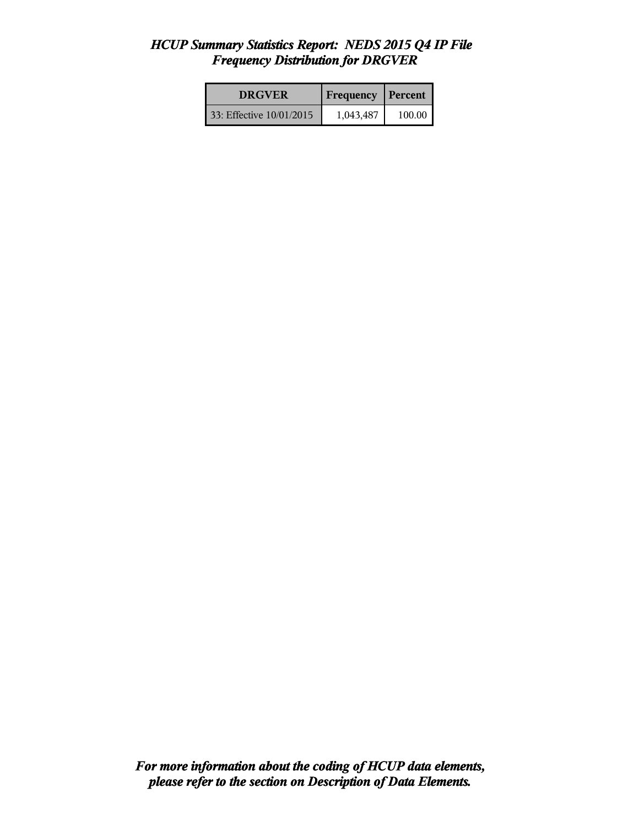| <b>DRGVER</b>            | <b>Frequency Percent</b> |        |
|--------------------------|--------------------------|--------|
| 33: Effective 10/01/2015 | 1,043,487                | 100.00 |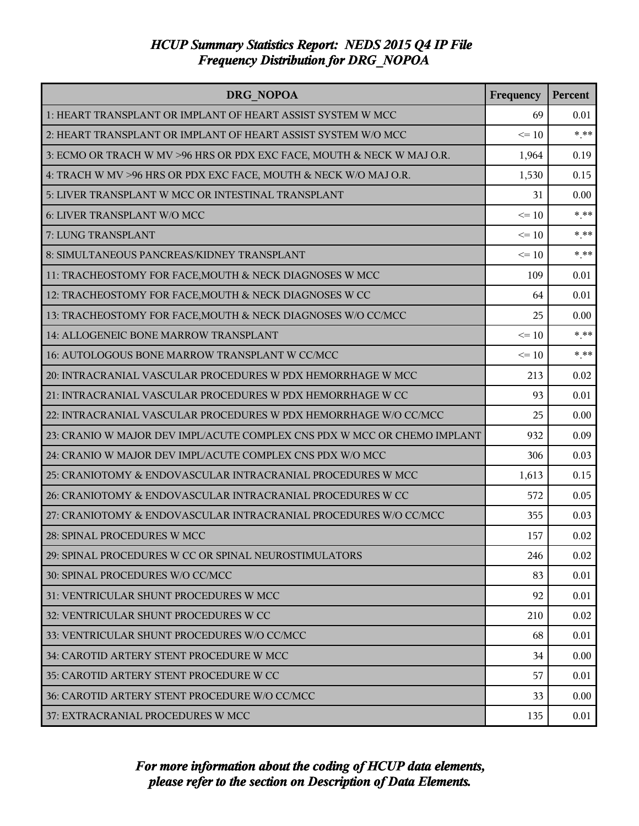| <b>DRG NOPOA</b>                                                         | Frequency | Percent |
|--------------------------------------------------------------------------|-----------|---------|
| 1: HEART TRANSPLANT OR IMPLANT OF HEART ASSIST SYSTEM W MCC              | 69        | 0.01    |
| 2: HEART TRANSPLANT OR IMPLANT OF HEART ASSIST SYSTEM W/O MCC            | $\leq 10$ | $***$   |
| 3: ECMO OR TRACH W MV >96 HRS OR PDX EXC FACE, MOUTH & NECK W MAJ O.R.   | 1,964     | 0.19    |
| 4: TRACH W MV >96 HRS OR PDX EXC FACE, MOUTH & NECK W/O MAJ O.R.         | 1,530     | 0.15    |
| 5: LIVER TRANSPLANT W MCC OR INTESTINAL TRANSPLANT                       | 31        | 0.00    |
| 6: LIVER TRANSPLANT W/O MCC                                              | $\leq 10$ | $*$ **  |
| 7: LUNG TRANSPLANT                                                       | $\leq 10$ | $* * *$ |
| 8: SIMULTANEOUS PANCREAS/KIDNEY TRANSPLANT                               | $\leq 10$ | $***$   |
| 11: TRACHEOSTOMY FOR FACE, MOUTH & NECK DIAGNOSES W MCC                  | 109       | 0.01    |
| 12: TRACHEOSTOMY FOR FACE, MOUTH & NECK DIAGNOSES W CC                   | 64        | 0.01    |
| 13: TRACHEOSTOMY FOR FACE, MOUTH & NECK DIAGNOSES W/O CC/MCC             | 25        | 0.00    |
| 14: ALLOGENEIC BONE MARROW TRANSPLANT                                    | $\leq 10$ | $* * *$ |
| 16: AUTOLOGOUS BONE MARROW TRANSPLANT W CC/MCC                           | $\leq 10$ | $***$   |
| 20: INTRACRANIAL VASCULAR PROCEDURES W PDX HEMORRHAGE W MCC              | 213       | 0.02    |
| 21: INTRACRANIAL VASCULAR PROCEDURES W PDX HEMORRHAGE W CC               | 93        | 0.01    |
| 22: INTRACRANIAL VASCULAR PROCEDURES W PDX HEMORRHAGE W/O CC/MCC         | 25        | 0.00    |
| 23: CRANIO W MAJOR DEV IMPL/ACUTE COMPLEX CNS PDX W MCC OR CHEMO IMPLANT | 932       | 0.09    |
| 24: CRANIO W MAJOR DEV IMPL/ACUTE COMPLEX CNS PDX W/O MCC                | 306       | 0.03    |
| 25: CRANIOTOMY & ENDOVASCULAR INTRACRANIAL PROCEDURES W MCC              | 1,613     | 0.15    |
| 26: CRANIOTOMY & ENDOVASCULAR INTRACRANIAL PROCEDURES W CC               | 572       | 0.05    |
| 27: CRANIOTOMY & ENDOVASCULAR INTRACRANIAL PROCEDURES W/O CC/MCC         | 355       | 0.03    |
| 28: SPINAL PROCEDURES W MCC                                              | 157       | 0.02    |
| 29: SPINAL PROCEDURES W CC OR SPINAL NEUROSTIMULATORS                    | 246       | 0.02    |
| 30: SPINAL PROCEDURES W/O CC/MCC                                         | 83        | 0.01    |
| 31: VENTRICULAR SHUNT PROCEDURES W MCC                                   | 92        | 0.01    |
| 32: VENTRICULAR SHUNT PROCEDURES W CC                                    | 210       | 0.02    |
| 33: VENTRICULAR SHUNT PROCEDURES W/O CC/MCC                              | 68        | 0.01    |
| 34: CAROTID ARTERY STENT PROCEDURE W MCC                                 | 34        | 0.00    |
| 35: CAROTID ARTERY STENT PROCEDURE W CC                                  | 57        | 0.01    |
| 36: CAROTID ARTERY STENT PROCEDURE W/O CC/MCC                            | 33        | 0.00    |
| 37: EXTRACRANIAL PROCEDURES W MCC                                        | 135       | 0.01    |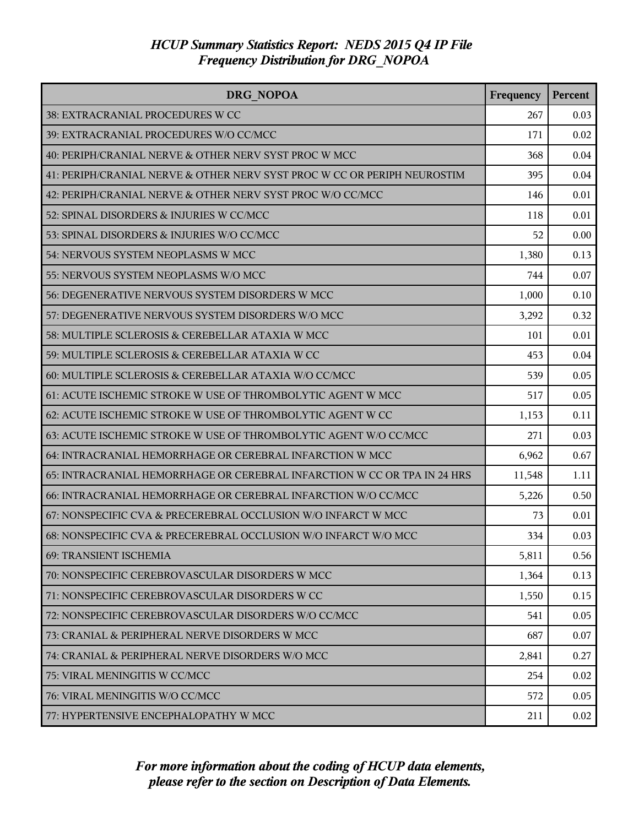| <b>DRG NOPOA</b>                                                         | Frequency | <b>Percent</b> |
|--------------------------------------------------------------------------|-----------|----------------|
| 38: EXTRACRANIAL PROCEDURES W CC                                         | 267       | 0.03           |
| 39: EXTRACRANIAL PROCEDURES W/O CC/MCC                                   | 171       | 0.02           |
| 40: PERIPH/CRANIAL NERVE & OTHER NERV SYST PROC W MCC                    | 368       | 0.04           |
| 41: PERIPH/CRANIAL NERVE & OTHER NERV SYST PROC W CC OR PERIPH NEUROSTIM | 395       | 0.04           |
| 42: PERIPH/CRANIAL NERVE & OTHER NERV SYST PROC W/O CC/MCC               | 146       | 0.01           |
| 52: SPINAL DISORDERS & INJURIES W CC/MCC                                 | 118       | 0.01           |
| 53: SPINAL DISORDERS & INJURIES W/O CC/MCC                               | 52        | 0.00           |
| 54: NERVOUS SYSTEM NEOPLASMS W MCC                                       | 1,380     | 0.13           |
| 55: NERVOUS SYSTEM NEOPLASMS W/O MCC                                     | 744       | 0.07           |
| 56: DEGENERATIVE NERVOUS SYSTEM DISORDERS W MCC                          | 1,000     | 0.10           |
| 57: DEGENERATIVE NERVOUS SYSTEM DISORDERS W/O MCC                        | 3,292     | 0.32           |
| 58: MULTIPLE SCLEROSIS & CEREBELLAR ATAXIA W MCC                         | 101       | 0.01           |
| 59: MULTIPLE SCLEROSIS & CEREBELLAR ATAXIA W CC                          | 453       | 0.04           |
| 60: MULTIPLE SCLEROSIS & CEREBELLAR ATAXIA W/O CC/MCC                    | 539       | 0.05           |
| 61: ACUTE ISCHEMIC STROKE W USE OF THROMBOLYTIC AGENT W MCC              | 517       | 0.05           |
| 62: ACUTE ISCHEMIC STROKE W USE OF THROMBOLYTIC AGENT W CC               | 1,153     | 0.11           |
| 63: ACUTE ISCHEMIC STROKE W USE OF THROMBOLYTIC AGENT W/O CC/MCC         | 271       | 0.03           |
| 64: INTRACRANIAL HEMORRHAGE OR CEREBRAL INFARCTION W MCC                 | 6,962     | 0.67           |
| 65: INTRACRANIAL HEMORRHAGE OR CEREBRAL INFARCTION W CC OR TPA IN 24 HRS | 11,548    | 1.11           |
| 66: INTRACRANIAL HEMORRHAGE OR CEREBRAL INFARCTION W/O CC/MCC            | 5,226     | 0.50           |
| 67: NONSPECIFIC CVA & PRECEREBRAL OCCLUSION W/O INFARCT W MCC            | 73        | 0.01           |
| 68: NONSPECIFIC CVA & PRECEREBRAL OCCLUSION W/O INFARCT W/O MCC          | 334       | 0.03           |
| <b>69: TRANSIENT ISCHEMIA</b>                                            | 5,811     | 0.56           |
| 70: NONSPECIFIC CEREBROVASCULAR DISORDERS W MCC                          | 1,364     | 0.13           |
| 71: NONSPECIFIC CEREBROVASCULAR DISORDERS W CC                           | 1,550     | 0.15           |
| 72: NONSPECIFIC CEREBROVASCULAR DISORDERS W/O CC/MCC                     | 541       | 0.05           |
| 73: CRANIAL & PERIPHERAL NERVE DISORDERS W MCC                           | 687       | 0.07           |
| 74: CRANIAL & PERIPHERAL NERVE DISORDERS W/O MCC                         | 2,841     | 0.27           |
| 75: VIRAL MENINGITIS W CC/MCC                                            | 254       | 0.02           |
| 76: VIRAL MENINGITIS W/O CC/MCC                                          | 572       | 0.05           |
| 77: HYPERTENSIVE ENCEPHALOPATHY W MCC                                    | 211       | 0.02           |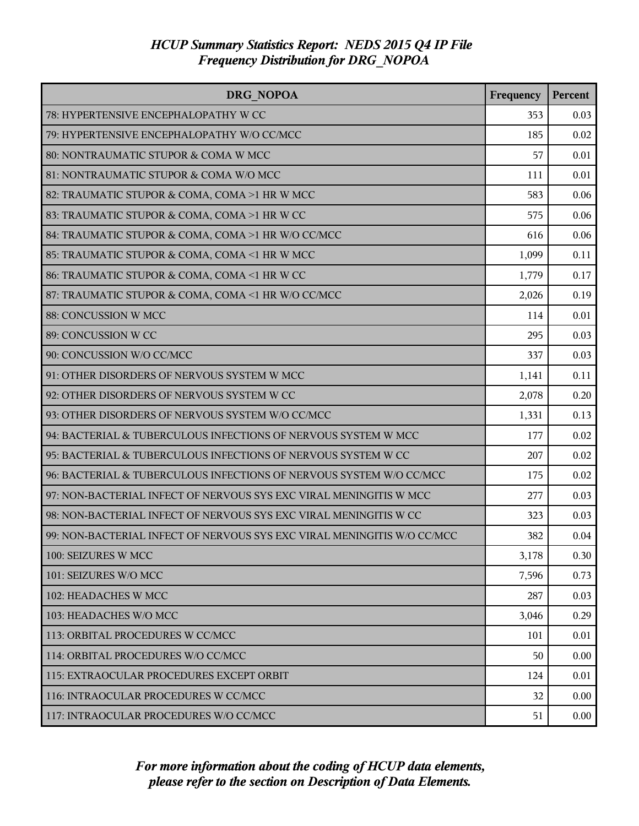| <b>DRG NOPOA</b>                                                        | Frequency | Percent |
|-------------------------------------------------------------------------|-----------|---------|
| 78: HYPERTENSIVE ENCEPHALOPATHY W CC                                    | 353       | 0.03    |
| 79: HYPERTENSIVE ENCEPHALOPATHY W/O CC/MCC                              | 185       | 0.02    |
| 80: NONTRAUMATIC STUPOR & COMA W MCC                                    | 57        | 0.01    |
| 81: NONTRAUMATIC STUPOR & COMA W/O MCC                                  | 111       | 0.01    |
| 82: TRAUMATIC STUPOR & COMA, COMA >1 HR W MCC                           | 583       | 0.06    |
| 83: TRAUMATIC STUPOR & COMA, COMA >1 HR W CC                            | 575       | 0.06    |
| 84: TRAUMATIC STUPOR & COMA, COMA >1 HR W/O CC/MCC                      | 616       | 0.06    |
| 85: TRAUMATIC STUPOR & COMA, COMA <1 HR W MCC                           | 1,099     | 0.11    |
| 86: TRAUMATIC STUPOR & COMA, COMA <1 HR W CC                            | 1,779     | 0.17    |
| 87: TRAUMATIC STUPOR & COMA, COMA <1 HR W/O CC/MCC                      | 2,026     | 0.19    |
| 88: CONCUSSION W MCC                                                    | 114       | 0.01    |
| 89: CONCUSSION W CC                                                     | 295       | 0.03    |
| 90: CONCUSSION W/O CC/MCC                                               | 337       | 0.03    |
| 91: OTHER DISORDERS OF NERVOUS SYSTEM W MCC                             | 1,141     | 0.11    |
| 92: OTHER DISORDERS OF NERVOUS SYSTEM W CC                              | 2,078     | 0.20    |
| 93: OTHER DISORDERS OF NERVOUS SYSTEM W/O CC/MCC                        | 1,331     | 0.13    |
| 94: BACTERIAL & TUBERCULOUS INFECTIONS OF NERVOUS SYSTEM W MCC          | 177       | 0.02    |
| 95: BACTERIAL & TUBERCULOUS INFECTIONS OF NERVOUS SYSTEM W CC           | 207       | 0.02    |
| 96: BACTERIAL & TUBERCULOUS INFECTIONS OF NERVOUS SYSTEM W/O CC/MCC     | 175       | 0.02    |
| 97: NON-BACTERIAL INFECT OF NERVOUS SYS EXC VIRAL MENINGITIS W MCC      | 277       | 0.03    |
| 98: NON-BACTERIAL INFECT OF NERVOUS SYS EXC VIRAL MENINGITIS W CC       | 323       | 0.03    |
| 99: NON-BACTERIAL INFECT OF NERVOUS SYS EXC VIRAL MENINGITIS W/O CC/MCC | 382       | 0.04    |
| 100: SEIZURES W MCC                                                     | 3,178     | 0.30    |
| 101: SEIZURES W/O MCC                                                   | 7,596     | 0.73    |
| 102: HEADACHES W MCC                                                    | 287       | 0.03    |
| 103: HEADACHES W/O MCC                                                  | 3,046     | 0.29    |
| 113: ORBITAL PROCEDURES W CC/MCC                                        | 101       | 0.01    |
| 114: ORBITAL PROCEDURES W/O CC/MCC                                      | 50        | 0.00    |
| 115: EXTRAOCULAR PROCEDURES EXCEPT ORBIT                                | 124       | 0.01    |
| 116: INTRAOCULAR PROCEDURES W CC/MCC                                    | 32        | 0.00    |
| 117: INTRAOCULAR PROCEDURES W/O CC/MCC                                  | 51        | 0.00    |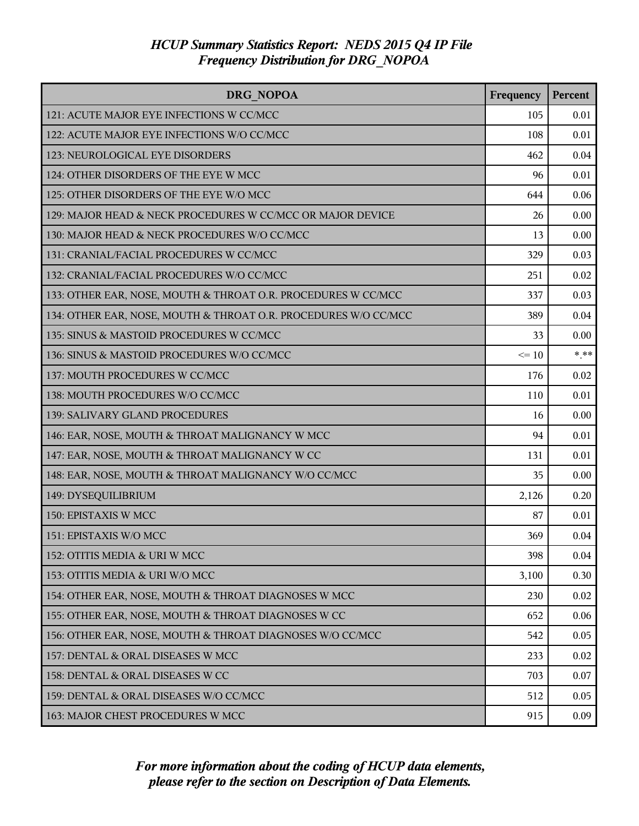| DRG NOPOA                                                       | Frequency | Percent |
|-----------------------------------------------------------------|-----------|---------|
| 121: ACUTE MAJOR EYE INFECTIONS W CC/MCC                        | 105       | 0.01    |
| 122: ACUTE MAJOR EYE INFECTIONS W/O CC/MCC                      | 108       | 0.01    |
| 123: NEUROLOGICAL EYE DISORDERS                                 | 462       | 0.04    |
| 124: OTHER DISORDERS OF THE EYE W MCC                           | 96        | 0.01    |
| 125: OTHER DISORDERS OF THE EYE W/O MCC                         | 644       | 0.06    |
| 129: MAJOR HEAD & NECK PROCEDURES W CC/MCC OR MAJOR DEVICE      | 26        | 0.00    |
| 130: MAJOR HEAD & NECK PROCEDURES W/O CC/MCC                    | 13        | 0.00    |
| 131: CRANIAL/FACIAL PROCEDURES W CC/MCC                         | 329       | 0.03    |
| 132: CRANIAL/FACIAL PROCEDURES W/O CC/MCC                       | 251       | 0.02    |
| 133: OTHER EAR, NOSE, MOUTH & THROAT O.R. PROCEDURES W CC/MCC   | 337       | 0.03    |
| 134: OTHER EAR, NOSE, MOUTH & THROAT O.R. PROCEDURES W/O CC/MCC | 389       | 0.04    |
| 135: SINUS & MASTOID PROCEDURES W CC/MCC                        | 33        | 0.00    |
| 136: SINUS & MASTOID PROCEDURES W/O CC/MCC                      | $\leq 10$ | $***$   |
| 137: MOUTH PROCEDURES W CC/MCC                                  | 176       | 0.02    |
| 138: MOUTH PROCEDURES W/O CC/MCC                                | 110       | 0.01    |
| 139: SALIVARY GLAND PROCEDURES                                  | 16        | 0.00    |
| 146: EAR, NOSE, MOUTH & THROAT MALIGNANCY W MCC                 | 94        | 0.01    |
| 147: EAR, NOSE, MOUTH & THROAT MALIGNANCY W CC                  | 131       | 0.01    |
| 148: EAR, NOSE, MOUTH & THROAT MALIGNANCY W/O CC/MCC            | 35        | 0.00    |
| 149: DYSEQUILIBRIUM                                             | 2,126     | 0.20    |
| 150: EPISTAXIS W MCC                                            | 87        | 0.01    |
| 151: EPISTAXIS W/O MCC                                          | 369       | 0.04    |
| 152: OTITIS MEDIA & URI W MCC                                   | 398       | 0.04    |
| 153: OTITIS MEDIA & URI W/O MCC                                 | 3,100     | 0.30    |
| 154: OTHER EAR, NOSE, MOUTH & THROAT DIAGNOSES W MCC            | 230       | 0.02    |
| 155: OTHER EAR, NOSE, MOUTH & THROAT DIAGNOSES W CC             | 652       | 0.06    |
| 156: OTHER EAR, NOSE, MOUTH & THROAT DIAGNOSES W/O CC/MCC       | 542       | 0.05    |
| 157: DENTAL & ORAL DISEASES W MCC                               | 233       | 0.02    |
| 158: DENTAL & ORAL DISEASES W CC                                | 703       | 0.07    |
| 159: DENTAL & ORAL DISEASES W/O CC/MCC                          | 512       | 0.05    |
| 163: MAJOR CHEST PROCEDURES W MCC                               | 915       | 0.09    |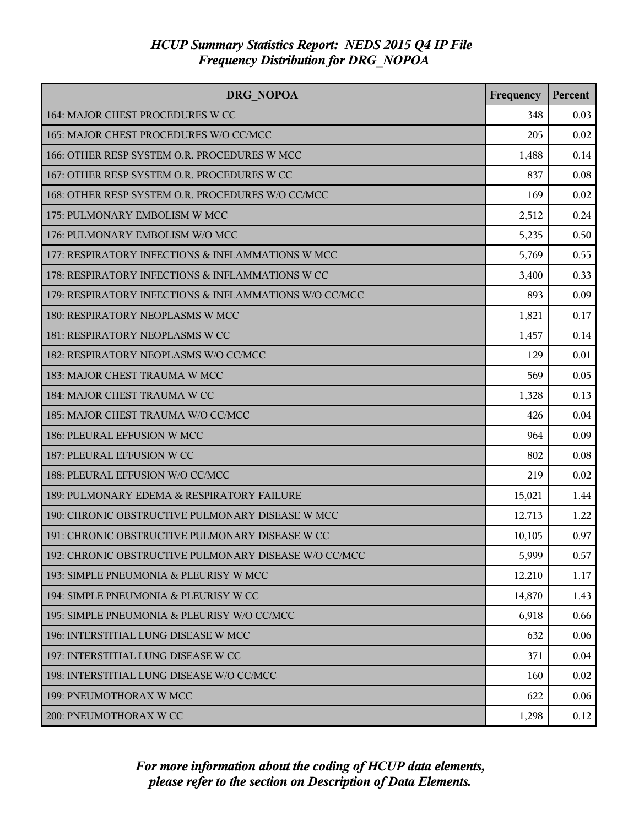| DRG NOPOA                                              | Frequency | Percent |
|--------------------------------------------------------|-----------|---------|
| 164: MAJOR CHEST PROCEDURES W CC                       | 348       | 0.03    |
| 165: MAJOR CHEST PROCEDURES W/O CC/MCC                 | 205       | 0.02    |
| 166: OTHER RESP SYSTEM O.R. PROCEDURES W MCC           | 1,488     | 0.14    |
| 167: OTHER RESP SYSTEM O.R. PROCEDURES W CC            | 837       | 0.08    |
| 168: OTHER RESP SYSTEM O.R. PROCEDURES W/O CC/MCC      | 169       | 0.02    |
| 175: PULMONARY EMBOLISM W MCC                          | 2,512     | 0.24    |
| 176: PULMONARY EMBOLISM W/O MCC                        | 5,235     | 0.50    |
| 177: RESPIRATORY INFECTIONS & INFLAMMATIONS W MCC      | 5,769     | 0.55    |
| 178: RESPIRATORY INFECTIONS & INFLAMMATIONS W CC       | 3,400     | 0.33    |
| 179: RESPIRATORY INFECTIONS & INFLAMMATIONS W/O CC/MCC | 893       | 0.09    |
| 180: RESPIRATORY NEOPLASMS W MCC                       | 1,821     | 0.17    |
| 181: RESPIRATORY NEOPLASMS W CC                        | 1,457     | 0.14    |
| 182: RESPIRATORY NEOPLASMS W/O CC/MCC                  | 129       | 0.01    |
| 183: MAJOR CHEST TRAUMA W MCC                          | 569       | 0.05    |
| 184: MAJOR CHEST TRAUMA W CC                           | 1,328     | 0.13    |
| 185: MAJOR CHEST TRAUMA W/O CC/MCC                     | 426       | 0.04    |
| 186: PLEURAL EFFUSION W MCC                            | 964       | 0.09    |
| 187: PLEURAL EFFUSION W CC                             | 802       | 0.08    |
| 188: PLEURAL EFFUSION W/O CC/MCC                       | 219       | 0.02    |
| 189: PULMONARY EDEMA & RESPIRATORY FAILURE             | 15,021    | 1.44    |
| 190: CHRONIC OBSTRUCTIVE PULMONARY DISEASE W MCC       | 12,713    | 1.22    |
| 191: CHRONIC OBSTRUCTIVE PULMONARY DISEASE W CC        | 10,105    | 0.97    |
| 192: CHRONIC OBSTRUCTIVE PULMONARY DISEASE W/O CC/MCC  | 5,999     | 0.57    |
| 193: SIMPLE PNEUMONIA & PLEURISY W MCC                 | 12,210    | 1.17    |
| 194: SIMPLE PNEUMONIA & PLEURISY W CC                  | 14,870    | 1.43    |
| 195: SIMPLE PNEUMONIA & PLEURISY W/O CC/MCC            | 6,918     | 0.66    |
| 196: INTERSTITIAL LUNG DISEASE W MCC                   | 632       | 0.06    |
| 197: INTERSTITIAL LUNG DISEASE W CC                    | 371       | 0.04    |
| 198: INTERSTITIAL LUNG DISEASE W/O CC/MCC              | 160       | 0.02    |
| 199: PNEUMOTHORAX W MCC                                | 622       | 0.06    |
| 200: PNEUMOTHORAX W CC                                 | 1,298     | 0.12    |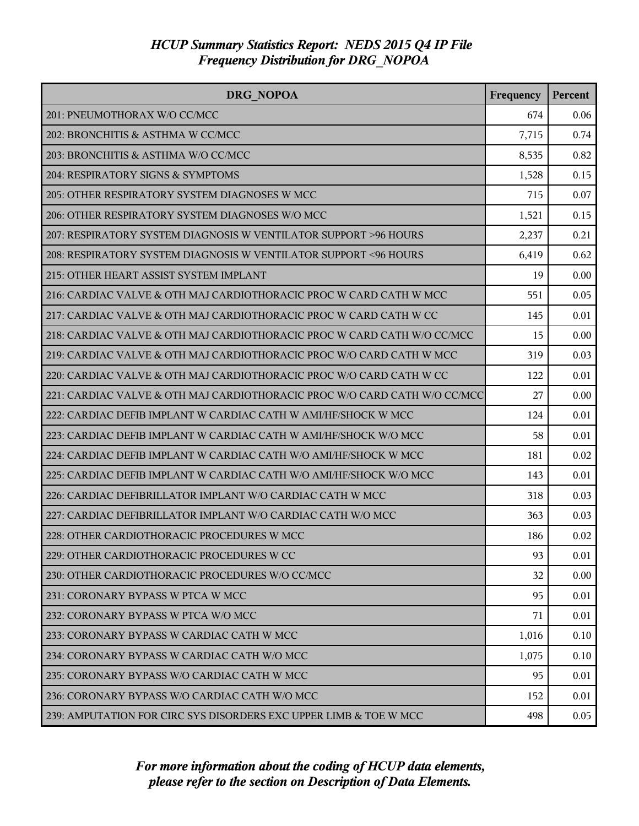| <b>DRG NOPOA</b>                                                          | Frequency | Percent |
|---------------------------------------------------------------------------|-----------|---------|
| 201: PNEUMOTHORAX W/O CC/MCC                                              | 674       | 0.06    |
| 202: BRONCHITIS & ASTHMA W CC/MCC                                         | 7,715     | 0.74    |
| 203: BRONCHITIS & ASTHMA W/O CC/MCC                                       | 8,535     | 0.82    |
| 204: RESPIRATORY SIGNS & SYMPTOMS                                         | 1,528     | 0.15    |
| 205: OTHER RESPIRATORY SYSTEM DIAGNOSES W MCC                             | 715       | 0.07    |
| 206: OTHER RESPIRATORY SYSTEM DIAGNOSES W/O MCC                           | 1,521     | 0.15    |
| 207: RESPIRATORY SYSTEM DIAGNOSIS W VENTILATOR SUPPORT >96 HOURS          | 2,237     | 0.21    |
| 208: RESPIRATORY SYSTEM DIAGNOSIS W VENTILATOR SUPPORT <96 HOURS          | 6,419     | 0.62    |
| 215: OTHER HEART ASSIST SYSTEM IMPLANT                                    | 19        | 0.00    |
| 216: CARDIAC VALVE & OTH MAJ CARDIOTHORACIC PROC W CARD CATH W MCC        | 551       | 0.05    |
| 217: CARDIAC VALVE & OTH MAJ CARDIOTHORACIC PROC W CARD CATH W CC         | 145       | 0.01    |
| 218: CARDIAC VALVE & OTH MAJ CARDIOTHORACIC PROC W CARD CATH W/O CC/MCC   | 15        | 0.00    |
| 219: CARDIAC VALVE & OTH MAJ CARDIOTHORACIC PROC W/O CARD CATH W MCC      | 319       | 0.03    |
| 220: CARDIAC VALVE & OTH MAJ CARDIOTHORACIC PROC W/O CARD CATH W CC       | 122       | 0.01    |
| 221: CARDIAC VALVE & OTH MAJ CARDIOTHORACIC PROC W/O CARD CATH W/O CC/MCC | 27        | 0.00    |
| 222: CARDIAC DEFIB IMPLANT W CARDIAC CATH W AMI/HF/SHOCK W MCC            | 124       | 0.01    |
| 223: CARDIAC DEFIB IMPLANT W CARDIAC CATH W AMI/HF/SHOCK W/O MCC          | 58        | 0.01    |
| 224: CARDIAC DEFIB IMPLANT W CARDIAC CATH W/O AMI/HF/SHOCK W MCC          | 181       | 0.02    |
| 225: CARDIAC DEFIB IMPLANT W CARDIAC CATH W/O AMI/HF/SHOCK W/O MCC        | 143       | 0.01    |
| 226: CARDIAC DEFIBRILLATOR IMPLANT W/O CARDIAC CATH W MCC                 | 318       | 0.03    |
| 227: CARDIAC DEFIBRILLATOR IMPLANT W/O CARDIAC CATH W/O MCC               | 363       | 0.03    |
| 228: OTHER CARDIOTHORACIC PROCEDURES W MCC                                | 186       | 0.02    |
| 229: OTHER CARDIOTHORACIC PROCEDURES W CC                                 | 93        | 0.01    |
| 230: OTHER CARDIOTHORACIC PROCEDURES W/O CC/MCC                           | 32        | 0.00    |
| 231: CORONARY BYPASS W PTCA W MCC                                         | 95        | 0.01    |
| 232: CORONARY BYPASS W PTCA W/O MCC                                       | 71        | 0.01    |
| 233: CORONARY BYPASS W CARDIAC CATH W MCC                                 | 1,016     | 0.10    |
| 234: CORONARY BYPASS W CARDIAC CATH W/O MCC                               | 1,075     | 0.10    |
| 235: CORONARY BYPASS W/O CARDIAC CATH W MCC                               | 95        | 0.01    |
| 236: CORONARY BYPASS W/O CARDIAC CATH W/O MCC                             | 152       | 0.01    |
| 239: AMPUTATION FOR CIRC SYS DISORDERS EXC UPPER LIMB & TOE W MCC         | 498       | 0.05    |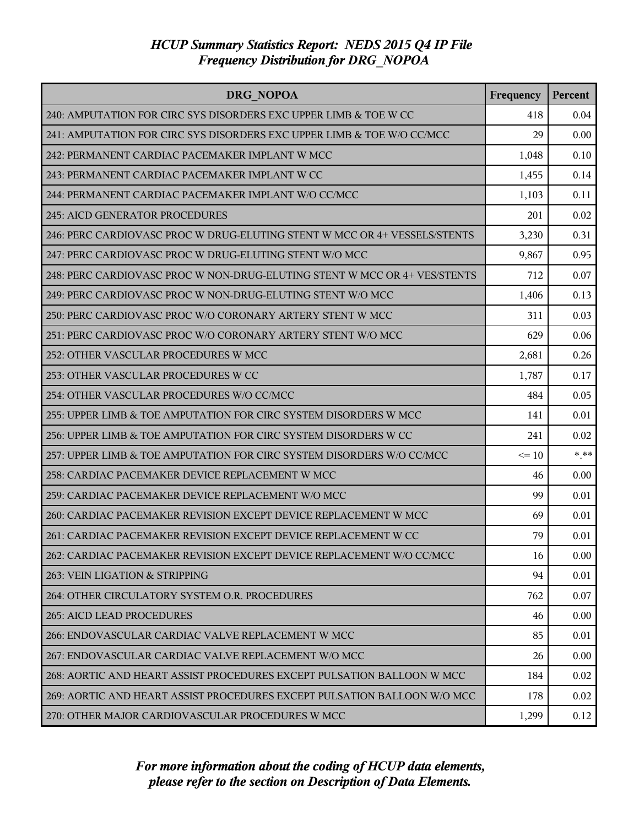| <b>DRG NOPOA</b>                                                          | Frequency | <b>Percent</b> |
|---------------------------------------------------------------------------|-----------|----------------|
| 240: AMPUTATION FOR CIRC SYS DISORDERS EXC UPPER LIMB & TOE W CC          | 418       | 0.04           |
| 241: AMPUTATION FOR CIRC SYS DISORDERS EXC UPPER LIMB & TOE W/O CC/MCC    | 29        | 0.00           |
| 242: PERMANENT CARDIAC PACEMAKER IMPLANT W MCC                            | 1,048     | 0.10           |
| 243: PERMANENT CARDIAC PACEMAKER IMPLANT W CC                             | 1,455     | 0.14           |
| 244: PERMANENT CARDIAC PACEMAKER IMPLANT W/O CC/MCC                       | 1,103     | 0.11           |
| 245: AICD GENERATOR PROCEDURES                                            | 201       | 0.02           |
| 246: PERC CARDIOVASC PROC W DRUG-ELUTING STENT W MCC OR 4+ VESSELS/STENTS | 3,230     | 0.31           |
| 247: PERC CARDIOVASC PROC W DRUG-ELUTING STENT W/O MCC                    | 9,867     | 0.95           |
| 248: PERC CARDIOVASC PROC W NON-DRUG-ELUTING STENT W MCC OR 4+ VES/STENTS | 712       | 0.07           |
| 249: PERC CARDIOVASC PROC W NON-DRUG-ELUTING STENT W/O MCC                | 1,406     | 0.13           |
| 250: PERC CARDIOVASC PROC W/O CORONARY ARTERY STENT W MCC                 | 311       | 0.03           |
| 251: PERC CARDIOVASC PROC W/O CORONARY ARTERY STENT W/O MCC               | 629       | 0.06           |
| 252: OTHER VASCULAR PROCEDURES W MCC                                      | 2,681     | 0.26           |
| 253: OTHER VASCULAR PROCEDURES W CC                                       | 1,787     | 0.17           |
| 254: OTHER VASCULAR PROCEDURES W/O CC/MCC                                 | 484       | 0.05           |
| 255: UPPER LIMB & TOE AMPUTATION FOR CIRC SYSTEM DISORDERS W MCC          | 141       | 0.01           |
| 256: UPPER LIMB & TOE AMPUTATION FOR CIRC SYSTEM DISORDERS W CC           | 241       | 0.02           |
| 257: UPPER LIMB & TOE AMPUTATION FOR CIRC SYSTEM DISORDERS W/O CC/MCC     | $\leq 10$ | $***$          |
| 258: CARDIAC PACEMAKER DEVICE REPLACEMENT W MCC                           | 46        | 0.00           |
| 259: CARDIAC PACEMAKER DEVICE REPLACEMENT W/O MCC                         | 99        | 0.01           |
| 260: CARDIAC PACEMAKER REVISION EXCEPT DEVICE REPLACEMENT W MCC           | 69        | 0.01           |
| 261: CARDIAC PACEMAKER REVISION EXCEPT DEVICE REPLACEMENT W CC            | 79        | 0.01           |
| 262: CARDIAC PACEMAKER REVISION EXCEPT DEVICE REPLACEMENT W/O CC/MCC      | 16        | 0.00           |
| 263: VEIN LIGATION & STRIPPING                                            | 94        | 0.01           |
| 264: OTHER CIRCULATORY SYSTEM O.R. PROCEDURES                             | 762       | 0.07           |
| <b>265: AICD LEAD PROCEDURES</b>                                          | 46        | 0.00           |
| 266: ENDOVASCULAR CARDIAC VALVE REPLACEMENT W MCC                         | 85        | 0.01           |
| 267: ENDOVASCULAR CARDIAC VALVE REPLACEMENT W/O MCC                       | 26        | 0.00           |
| 268: AORTIC AND HEART ASSIST PROCEDURES EXCEPT PULSATION BALLOON W MCC    | 184       | 0.02           |
| 269: AORTIC AND HEART ASSIST PROCEDURES EXCEPT PULSATION BALLOON W/O MCC  | 178       | 0.02           |
| 270: OTHER MAJOR CARDIOVASCULAR PROCEDURES W MCC                          | 1,299     | 0.12           |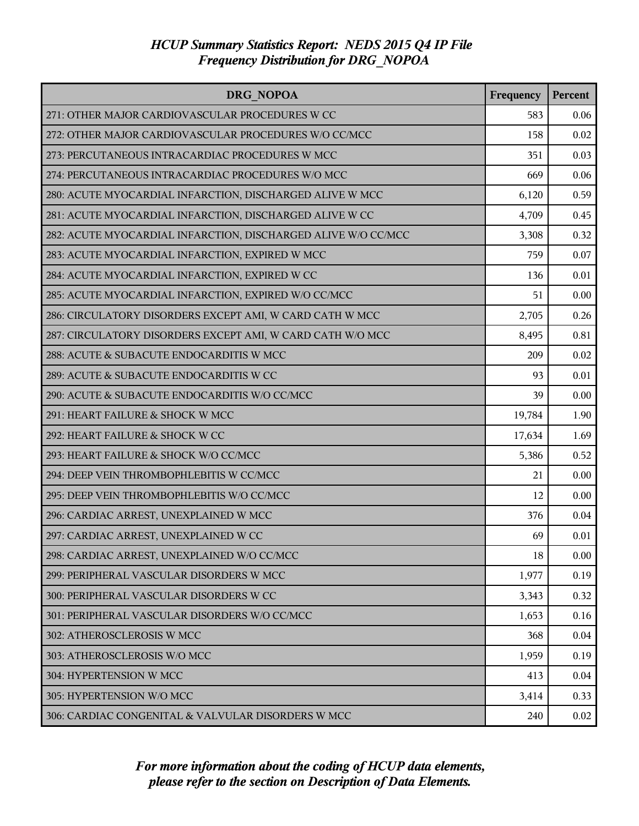| DRG NOPOA                                                     | Frequency | Percent |
|---------------------------------------------------------------|-----------|---------|
| 271: OTHER MAJOR CARDIOVASCULAR PROCEDURES W CC               | 583       | 0.06    |
| 272: OTHER MAJOR CARDIOVASCULAR PROCEDURES W/O CC/MCC         | 158       | 0.02    |
| 273: PERCUTANEOUS INTRACARDIAC PROCEDURES W MCC               | 351       | 0.03    |
| 274: PERCUTANEOUS INTRACARDIAC PROCEDURES W/O MCC             | 669       | 0.06    |
| 280: ACUTE MYOCARDIAL INFARCTION, DISCHARGED ALIVE W MCC      | 6,120     | 0.59    |
| 281: ACUTE MYOCARDIAL INFARCTION, DISCHARGED ALIVE W CC       | 4,709     | 0.45    |
| 282: ACUTE MYOCARDIAL INFARCTION, DISCHARGED ALIVE W/O CC/MCC | 3,308     | 0.32    |
| 283: ACUTE MYOCARDIAL INFARCTION, EXPIRED W MCC               | 759       | 0.07    |
| 284: ACUTE MYOCARDIAL INFARCTION, EXPIRED W CC                | 136       | 0.01    |
| 285: ACUTE MYOCARDIAL INFARCTION, EXPIRED W/O CC/MCC          | 51        | 0.00    |
| 286: CIRCULATORY DISORDERS EXCEPT AMI, W CARD CATH W MCC      | 2,705     | 0.26    |
| 287: CIRCULATORY DISORDERS EXCEPT AMI, W CARD CATH W/O MCC    | 8,495     | 0.81    |
| 288: ACUTE & SUBACUTE ENDOCARDITIS W MCC                      | 209       | 0.02    |
| 289: ACUTE & SUBACUTE ENDOCARDITIS W CC                       | 93        | 0.01    |
| 290: ACUTE & SUBACUTE ENDOCARDITIS W/O CC/MCC                 | 39        | 0.00    |
| 291: HEART FAILURE & SHOCK W MCC                              | 19,784    | 1.90    |
| 292: HEART FAILURE & SHOCK W CC                               | 17,634    | 1.69    |
| 293: HEART FAILURE & SHOCK W/O CC/MCC                         | 5,386     | 0.52    |
| 294: DEEP VEIN THROMBOPHLEBITIS W CC/MCC                      | 21        | 0.00    |
| 295: DEEP VEIN THROMBOPHLEBITIS W/O CC/MCC                    | 12        | 0.00    |
| 296: CARDIAC ARREST, UNEXPLAINED W MCC                        | 376       | 0.04    |
| 297: CARDIAC ARREST, UNEXPLAINED W CC                         | 69        | 0.01    |
| 298: CARDIAC ARREST, UNEXPLAINED W/O CC/MCC                   | 18        | 0.00    |
| 299: PERIPHERAL VASCULAR DISORDERS W MCC                      | 1,977     | 0.19    |
| 300: PERIPHERAL VASCULAR DISORDERS W CC                       | 3,343     | 0.32    |
| 301: PERIPHERAL VASCULAR DISORDERS W/O CC/MCC                 | 1,653     | 0.16    |
| 302: ATHEROSCLEROSIS W MCC                                    | 368       | 0.04    |
| 303: ATHEROSCLEROSIS W/O MCC                                  | 1,959     | 0.19    |
| 304: HYPERTENSION W MCC                                       | 413       | 0.04    |
| 305: HYPERTENSION W/O MCC                                     | 3,414     | 0.33    |
| 306: CARDIAC CONGENITAL & VALVULAR DISORDERS W MCC            | 240       | 0.02    |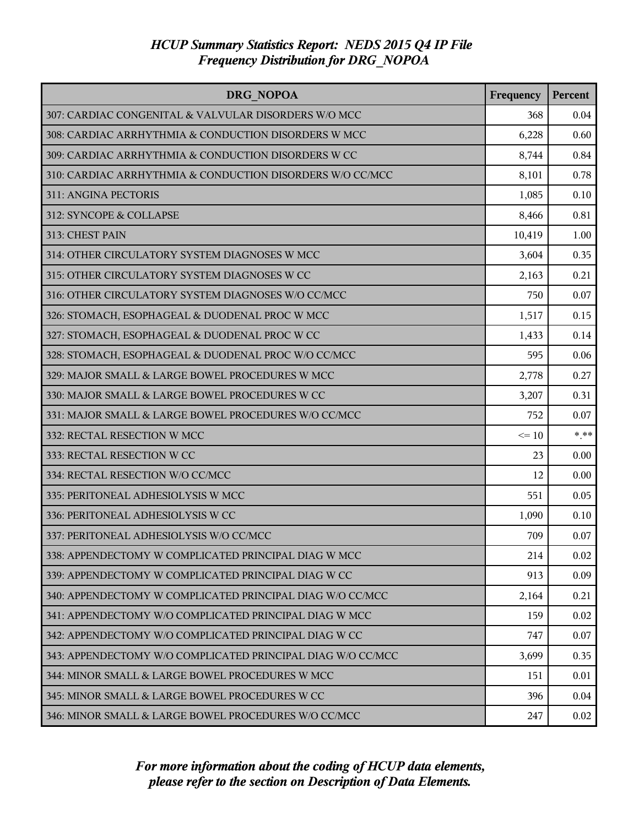| DRG NOPOA                                                   | Frequency | Percent |
|-------------------------------------------------------------|-----------|---------|
| 307: CARDIAC CONGENITAL & VALVULAR DISORDERS W/O MCC        | 368       | 0.04    |
| 308: CARDIAC ARRHYTHMIA & CONDUCTION DISORDERS W MCC        | 6,228     | 0.60    |
| 309: CARDIAC ARRHYTHMIA & CONDUCTION DISORDERS W CC         | 8,744     | 0.84    |
| 310: CARDIAC ARRHYTHMIA & CONDUCTION DISORDERS W/O CC/MCC   | 8,101     | 0.78    |
| 311: ANGINA PECTORIS                                        | 1,085     | 0.10    |
| 312: SYNCOPE & COLLAPSE                                     | 8,466     | 0.81    |
| 313: CHEST PAIN                                             | 10,419    | 1.00    |
| 314: OTHER CIRCULATORY SYSTEM DIAGNOSES W MCC               | 3,604     | 0.35    |
| 315: OTHER CIRCULATORY SYSTEM DIAGNOSES W CC                | 2,163     | 0.21    |
| 316: OTHER CIRCULATORY SYSTEM DIAGNOSES W/O CC/MCC          | 750       | 0.07    |
| 326: STOMACH, ESOPHAGEAL & DUODENAL PROC W MCC              | 1,517     | 0.15    |
| 327: STOMACH, ESOPHAGEAL & DUODENAL PROC W CC               | 1,433     | 0.14    |
| 328: STOMACH, ESOPHAGEAL & DUODENAL PROC W/O CC/MCC         | 595       | 0.06    |
| 329: MAJOR SMALL & LARGE BOWEL PROCEDURES W MCC             | 2,778     | 0.27    |
| 330: MAJOR SMALL & LARGE BOWEL PROCEDURES W CC              | 3,207     | 0.31    |
| 331: MAJOR SMALL & LARGE BOWEL PROCEDURES W/O CC/MCC        | 752       | 0.07    |
| 332: RECTAL RESECTION W MCC                                 | $\leq 10$ | $*$ **  |
| 333: RECTAL RESECTION W CC                                  | 23        | 0.00    |
| 334: RECTAL RESECTION W/O CC/MCC                            | 12        | 0.00    |
| 335: PERITONEAL ADHESIOLYSIS W MCC                          | 551       | 0.05    |
| 336: PERITONEAL ADHESIOLYSIS W CC                           | 1,090     | 0.10    |
| 337: PERITONEAL ADHESIOLYSIS W/O CC/MCC                     | 709       | 0.07    |
| 338: APPENDECTOMY W COMPLICATED PRINCIPAL DIAG W MCC        | 214       | 0.02    |
| 339: APPENDECTOMY W COMPLICATED PRINCIPAL DIAG W CC         | 913       | 0.09    |
| 340: APPENDECTOMY W COMPLICATED PRINCIPAL DIAG W/O CC/MCC   | 2,164     | 0.21    |
| 341: APPENDECTOMY W/O COMPLICATED PRINCIPAL DIAG W MCC      | 159       | 0.02    |
| 342: APPENDECTOMY W/O COMPLICATED PRINCIPAL DIAG W CC       | 747       | 0.07    |
| 343: APPENDECTOMY W/O COMPLICATED PRINCIPAL DIAG W/O CC/MCC | 3,699     | 0.35    |
| 344: MINOR SMALL & LARGE BOWEL PROCEDURES W MCC             | 151       | 0.01    |
| 345: MINOR SMALL & LARGE BOWEL PROCEDURES W CC              | 396       | 0.04    |
| 346: MINOR SMALL & LARGE BOWEL PROCEDURES W/O CC/MCC        | 247       | 0.02    |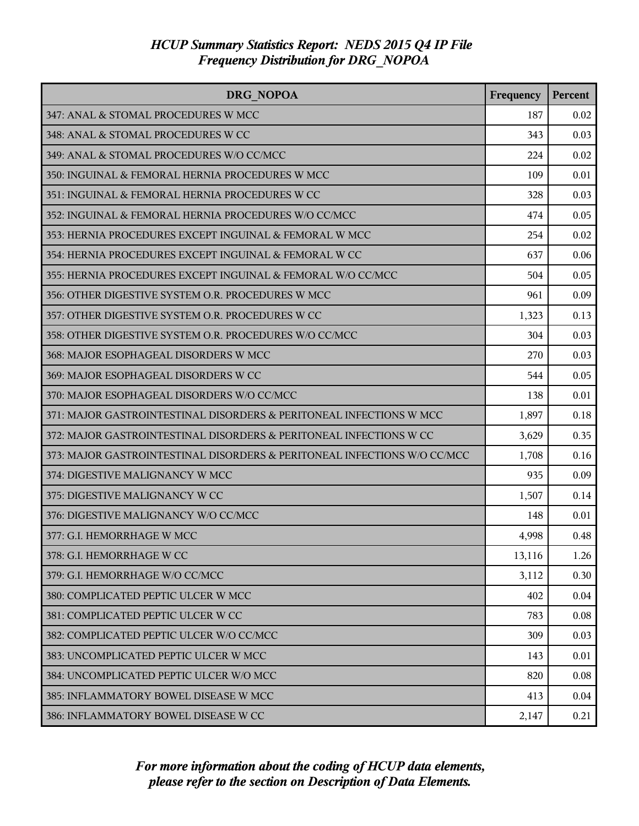| <b>DRG NOPOA</b>                                                         | Frequency | <b>Percent</b> |
|--------------------------------------------------------------------------|-----------|----------------|
| 347: ANAL & STOMAL PROCEDURES W MCC                                      | 187       | 0.02           |
| 348: ANAL & STOMAL PROCEDURES W CC                                       | 343       | 0.03           |
| 349: ANAL & STOMAL PROCEDURES W/O CC/MCC                                 | 224       | 0.02           |
| 350: INGUINAL & FEMORAL HERNIA PROCEDURES W MCC                          | 109       | 0.01           |
| 351: INGUINAL & FEMORAL HERNIA PROCEDURES W CC                           | 328       | 0.03           |
| 352: INGUINAL & FEMORAL HERNIA PROCEDURES W/O CC/MCC                     | 474       | 0.05           |
| 353: HERNIA PROCEDURES EXCEPT INGUINAL & FEMORAL W MCC                   | 254       | 0.02           |
| 354: HERNIA PROCEDURES EXCEPT INGUINAL & FEMORAL W CC                    | 637       | 0.06           |
| 355: HERNIA PROCEDURES EXCEPT INGUINAL & FEMORAL W/O CC/MCC              | 504       | 0.05           |
| 356: OTHER DIGESTIVE SYSTEM O.R. PROCEDURES W MCC                        | 961       | 0.09           |
| 357: OTHER DIGESTIVE SYSTEM O.R. PROCEDURES W CC                         | 1,323     | 0.13           |
| 358: OTHER DIGESTIVE SYSTEM O.R. PROCEDURES W/O CC/MCC                   | 304       | 0.03           |
| 368: MAJOR ESOPHAGEAL DISORDERS W MCC                                    | 270       | 0.03           |
| 369: MAJOR ESOPHAGEAL DISORDERS W CC                                     | 544       | 0.05           |
| 370: MAJOR ESOPHAGEAL DISORDERS W/O CC/MCC                               | 138       | 0.01           |
| 371: MAJOR GASTROINTESTINAL DISORDERS & PERITONEAL INFECTIONS W MCC      | 1,897     | 0.18           |
| 372: MAJOR GASTROINTESTINAL DISORDERS & PERITONEAL INFECTIONS W CC       | 3,629     | 0.35           |
| 373: MAJOR GASTROINTESTINAL DISORDERS & PERITONEAL INFECTIONS W/O CC/MCC | 1,708     | 0.16           |
| 374: DIGESTIVE MALIGNANCY W MCC                                          | 935       | 0.09           |
| 375: DIGESTIVE MALIGNANCY W CC                                           | 1,507     | 0.14           |
| 376: DIGESTIVE MALIGNANCY W/O CC/MCC                                     | 148       | 0.01           |
| 377: G.I. HEMORRHAGE W MCC                                               | 4,998     | 0.48           |
| 378: G.I. HEMORRHAGE W CC                                                | 13,116    | 1.26           |
| 379: G.I. HEMORRHAGE W/O CC/MCC                                          | 3,112     | 0.30           |
| 380: COMPLICATED PEPTIC ULCER W MCC                                      | 402       | 0.04           |
| 381: COMPLICATED PEPTIC ULCER W CC                                       | 783       | 0.08           |
| 382: COMPLICATED PEPTIC ULCER W/O CC/MCC                                 | 309       | 0.03           |
| 383: UNCOMPLICATED PEPTIC ULCER W MCC                                    | 143       | 0.01           |
| 384: UNCOMPLICATED PEPTIC ULCER W/O MCC                                  | 820       | 0.08           |
| 385: INFLAMMATORY BOWEL DISEASE W MCC                                    | 413       | 0.04           |
| 386: INFLAMMATORY BOWEL DISEASE W CC                                     | 2,147     | 0.21           |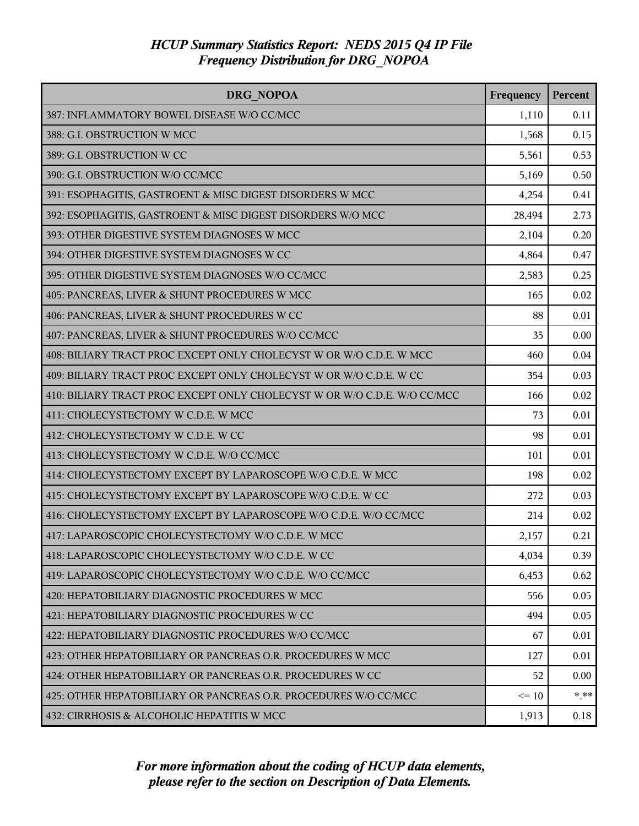| <b>DRG NOPOA</b>                                                         | Frequency | Percent |
|--------------------------------------------------------------------------|-----------|---------|
| 387: INFLAMMATORY BOWEL DISEASE W/O CC/MCC                               | 1,110     | 0.11    |
| 388: G.I. OBSTRUCTION W MCC                                              | 1,568     | 0.15    |
| 389: G.I. OBSTRUCTION W CC                                               | 5,561     | 0.53    |
| 390: G.I. OBSTRUCTION W/O CC/MCC                                         | 5,169     | 0.50    |
| 391: ESOPHAGITIS, GASTROENT & MISC DIGEST DISORDERS W MCC                | 4,254     | 0.41    |
| 392: ESOPHAGITIS, GASTROENT & MISC DIGEST DISORDERS W/O MCC              | 28,494    | 2.73    |
| 393: OTHER DIGESTIVE SYSTEM DIAGNOSES W MCC                              | 2,104     | 0.20    |
| 394: OTHER DIGESTIVE SYSTEM DIAGNOSES W CC                               | 4,864     | 0.47    |
| 395: OTHER DIGESTIVE SYSTEM DIAGNOSES W/O CC/MCC                         | 2,583     | 0.25    |
| 405: PANCREAS, LIVER & SHUNT PROCEDURES W MCC                            | 165       | 0.02    |
| 406: PANCREAS, LIVER & SHUNT PROCEDURES W CC                             | 88        | 0.01    |
| 407: PANCREAS, LIVER & SHUNT PROCEDURES W/O CC/MCC                       | 35        | 0.00    |
| 408: BILIARY TRACT PROC EXCEPT ONLY CHOLECYST W OR W/O C.D.E. W MCC      | 460       | 0.04    |
| 409: BILIARY TRACT PROC EXCEPT ONLY CHOLECYST W OR W/O C.D.E. W CC       | 354       | 0.03    |
| 410: BILIARY TRACT PROC EXCEPT ONLY CHOLECYST W OR W/O C.D.E. W/O CC/MCC | 166       | 0.02    |
| 411: CHOLECYSTECTOMY W C.D.E. W MCC                                      | 73        | 0.01    |
| 412: CHOLECYSTECTOMY W C.D.E. W CC                                       | 98        | 0.01    |
| 413: CHOLECYSTECTOMY W C.D.E. W/O CC/MCC                                 | 101       | 0.01    |
| 414: CHOLECYSTECTOMY EXCEPT BY LAPAROSCOPE W/O C.D.E. W MCC              | 198       | 0.02    |
| 415: CHOLECYSTECTOMY EXCEPT BY LAPAROSCOPE W/O C.D.E. W CC               | 272       | 0.03    |
| 416: CHOLECYSTECTOMY EXCEPT BY LAPAROSCOPE W/O C.D.E. W/O CC/MCC         | 214       | 0.02    |
| 417: LAPAROSCOPIC CHOLECYSTECTOMY W/O C.D.E. W MCC                       | 2,157     | 0.21    |
| 418: LAPAROSCOPIC CHOLECYSTECTOMY W/O C.D.E. W CC                        | 4,034     | 0.39    |
| 419: LAPAROSCOPIC CHOLECYSTECTOMY W/O C.D.E. W/O CC/MCC                  | 6,453     | 0.62    |
| 420: HEPATOBILIARY DIAGNOSTIC PROCEDURES W MCC                           | 556       | 0.05    |
| 421: HEPATOBILIARY DIAGNOSTIC PROCEDURES W CC                            | 494       | 0.05    |
| 422: HEPATOBILIARY DIAGNOSTIC PROCEDURES W/O CC/MCC                      | 67        | 0.01    |
| 423: OTHER HEPATOBILIARY OR PANCREAS O.R. PROCEDURES W MCC               | 127       | 0.01    |
| 424: OTHER HEPATOBILIARY OR PANCREAS O.R. PROCEDURES W CC                | 52        | 0.00    |
| 425: OTHER HEPATOBILIARY OR PANCREAS O.R. PROCEDURES W/O CC/MCC          | $\leq 10$ | $***$   |
| 432: CIRRHOSIS & ALCOHOLIC HEPATITIS W MCC                               | 1,913     | 0.18    |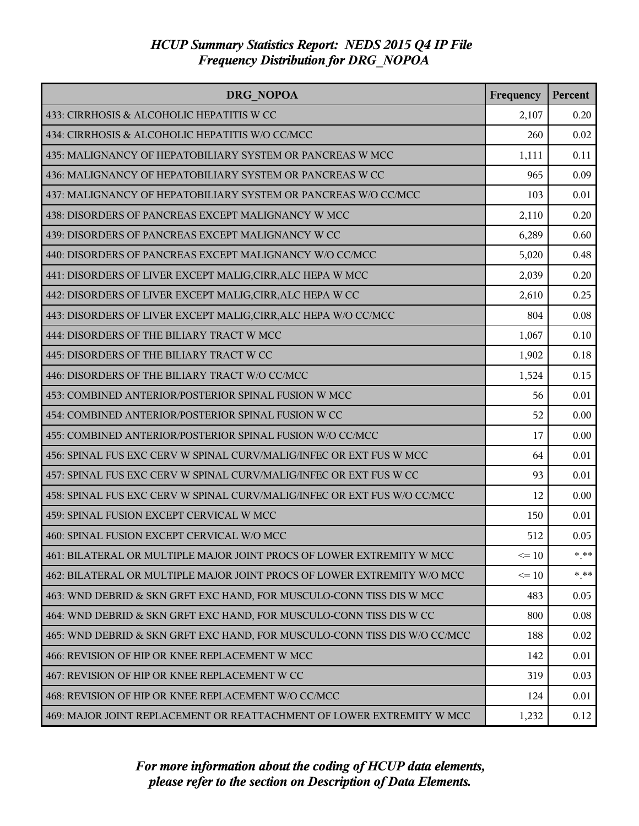| DRG NOPOA                                                                 | Frequency | Percent |
|---------------------------------------------------------------------------|-----------|---------|
| 433: CIRRHOSIS & ALCOHOLIC HEPATITIS W CC                                 | 2,107     | 0.20    |
| 434: CIRRHOSIS & ALCOHOLIC HEPATITIS W/O CC/MCC                           | 260       | 0.02    |
| 435: MALIGNANCY OF HEPATOBILIARY SYSTEM OR PANCREAS W MCC                 | 1,111     | 0.11    |
| 436: MALIGNANCY OF HEPATOBILIARY SYSTEM OR PANCREAS W CC                  | 965       | 0.09    |
| 437: MALIGNANCY OF HEPATOBILIARY SYSTEM OR PANCREAS W/O CC/MCC            | 103       | 0.01    |
| 438: DISORDERS OF PANCREAS EXCEPT MALIGNANCY W MCC                        | 2,110     | 0.20    |
| 439: DISORDERS OF PANCREAS EXCEPT MALIGNANCY W CC                         | 6,289     | 0.60    |
| 440: DISORDERS OF PANCREAS EXCEPT MALIGNANCY W/O CC/MCC                   | 5,020     | 0.48    |
| 441: DISORDERS OF LIVER EXCEPT MALIG, CIRR, ALC HEPA W MCC                | 2,039     | 0.20    |
| 442: DISORDERS OF LIVER EXCEPT MALIG, CIRR, ALC HEPA W CC                 | 2,610     | 0.25    |
| 443: DISORDERS OF LIVER EXCEPT MALIG, CIRR, ALC HEPA W/O CC/MCC           | 804       | 0.08    |
| 444: DISORDERS OF THE BILIARY TRACT W MCC                                 | 1,067     | 0.10    |
| 445: DISORDERS OF THE BILIARY TRACT W CC                                  | 1,902     | 0.18    |
| 446: DISORDERS OF THE BILIARY TRACT W/O CC/MCC                            | 1,524     | 0.15    |
| 453: COMBINED ANTERIOR/POSTERIOR SPINAL FUSION W MCC                      | 56        | 0.01    |
| 454: COMBINED ANTERIOR/POSTERIOR SPINAL FUSION W CC                       | 52        | 0.00    |
| 455: COMBINED ANTERIOR/POSTERIOR SPINAL FUSION W/O CC/MCC                 | 17        | 0.00    |
| 456: SPINAL FUS EXC CERV W SPINAL CURV/MALIG/INFEC OR EXT FUS W MCC       | 64        | 0.01    |
| 457: SPINAL FUS EXC CERV W SPINAL CURV/MALIG/INFEC OR EXT FUS W CC        | 93        | 0.01    |
| 458: SPINAL FUS EXC CERV W SPINAL CURV/MALIG/INFEC OR EXT FUS W/O CC/MCC  | 12        | 0.00    |
| 459: SPINAL FUSION EXCEPT CERVICAL W MCC                                  | 150       | 0.01    |
| 460: SPINAL FUSION EXCEPT CERVICAL W/O MCC                                | 512       | 0.05    |
| 461: BILATERAL OR MULTIPLE MAJOR JOINT PROCS OF LOWER EXTREMITY W MCC     | $\leq 10$ | $* * *$ |
| 462: BILATERAL OR MULTIPLE MAJOR JOINT PROCS OF LOWER EXTREMITY W/O MCC   | $\leq 10$ | $*$ **  |
| 463: WND DEBRID & SKN GRFT EXC HAND, FOR MUSCULO-CONN TISS DIS W MCC      | 483       | 0.05    |
| 464: WND DEBRID & SKN GRFT EXC HAND, FOR MUSCULO-CONN TISS DIS W CC       | 800       | 0.08    |
| 465: WND DEBRID & SKN GRFT EXC HAND, FOR MUSCULO-CONN TISS DIS W/O CC/MCC | 188       | 0.02    |
| 466: REVISION OF HIP OR KNEE REPLACEMENT W MCC                            | 142       | 0.01    |
| 467: REVISION OF HIP OR KNEE REPLACEMENT W CC                             | 319       | 0.03    |
| 468: REVISION OF HIP OR KNEE REPLACEMENT W/O CC/MCC                       | 124       | 0.01    |
| 469: MAJOR JOINT REPLACEMENT OR REATTACHMENT OF LOWER EXTREMITY W MCC     | 1,232     | 0.12    |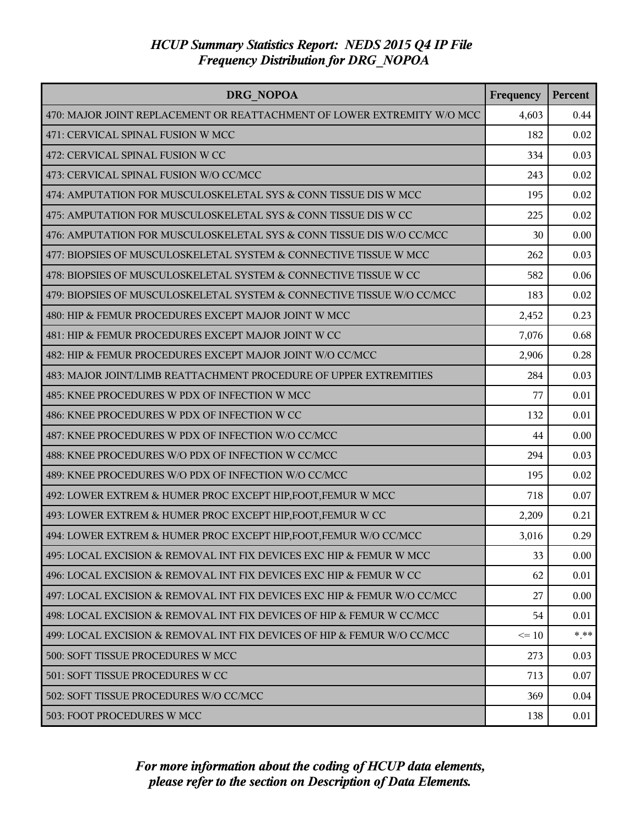| <b>DRG NOPOA</b>                                                         | Frequency | Percent |
|--------------------------------------------------------------------------|-----------|---------|
| 470: MAJOR JOINT REPLACEMENT OR REATTACHMENT OF LOWER EXTREMITY W/O MCC  | 4,603     | 0.44    |
| 471: CERVICAL SPINAL FUSION W MCC                                        | 182       | 0.02    |
| 472: CERVICAL SPINAL FUSION W CC                                         | 334       | 0.03    |
| 473: CERVICAL SPINAL FUSION W/O CC/MCC                                   | 243       | 0.02    |
| 474: AMPUTATION FOR MUSCULOSKELETAL SYS & CONN TISSUE DIS W MCC          | 195       | 0.02    |
| 475: AMPUTATION FOR MUSCULOSKELETAL SYS & CONN TISSUE DIS W CC           | 225       | 0.02    |
| 476: AMPUTATION FOR MUSCULOSKELETAL SYS & CONN TISSUE DIS W/O CC/MCC     | 30        | 0.00    |
| 477: BIOPSIES OF MUSCULOSKELETAL SYSTEM & CONNECTIVE TISSUE W MCC        | 262       | 0.03    |
| 478: BIOPSIES OF MUSCULOSKELETAL SYSTEM & CONNECTIVE TISSUE W CC         | 582       | 0.06    |
| 479: BIOPSIES OF MUSCULOSKELETAL SYSTEM & CONNECTIVE TISSUE W/O CC/MCC   | 183       | 0.02    |
| 480: HIP & FEMUR PROCEDURES EXCEPT MAJOR JOINT W MCC                     | 2,452     | 0.23    |
| 481: HIP & FEMUR PROCEDURES EXCEPT MAJOR JOINT W CC                      | 7,076     | 0.68    |
| 482: HIP & FEMUR PROCEDURES EXCEPT MAJOR JOINT W/O CC/MCC                | 2,906     | 0.28    |
| 483: MAJOR JOINT/LIMB REATTACHMENT PROCEDURE OF UPPER EXTREMITIES        | 284       | 0.03    |
| 485: KNEE PROCEDURES W PDX OF INFECTION W MCC                            | 77        | 0.01    |
| 486: KNEE PROCEDURES W PDX OF INFECTION W CC                             | 132       | 0.01    |
| 487: KNEE PROCEDURES W PDX OF INFECTION W/O CC/MCC                       | 44        | 0.00    |
| 488: KNEE PROCEDURES W/O PDX OF INFECTION W CC/MCC                       | 294       | 0.03    |
| 489: KNEE PROCEDURES W/O PDX OF INFECTION W/O CC/MCC                     | 195       | 0.02    |
| 492: LOWER EXTREM & HUMER PROC EXCEPT HIP, FOOT, FEMUR W MCC             | 718       | 0.07    |
| 493: LOWER EXTREM & HUMER PROC EXCEPT HIP, FOOT, FEMUR W CC              | 2,209     | 0.21    |
| 494: LOWER EXTREM & HUMER PROC EXCEPT HIP, FOOT, FEMUR W/O CC/MCC        | 3,016     | 0.29    |
| 495: LOCAL EXCISION & REMOVAL INT FIX DEVICES EXC HIP & FEMUR W MCC      | 33        | 0.00    |
| 496: LOCAL EXCISION & REMOVAL INT FIX DEVICES EXC HIP & FEMUR W CC       | 62        | 0.01    |
| 497: LOCAL EXCISION & REMOVAL INT FIX DEVICES EXC HIP & FEMUR W/O CC/MCC | 27        | 0.00    |
| 498: LOCAL EXCISION & REMOVAL INT FIX DEVICES OF HIP & FEMUR W CC/MCC    | 54        | 0.01    |
| 499: LOCAL EXCISION & REMOVAL INT FIX DEVICES OF HIP & FEMUR W/O CC/MCC  | $\leq 10$ | $* * *$ |
| 500: SOFT TISSUE PROCEDURES W MCC                                        | 273       | 0.03    |
| 501: SOFT TISSUE PROCEDURES W CC                                         | 713       | 0.07    |
| 502: SOFT TISSUE PROCEDURES W/O CC/MCC                                   | 369       | 0.04    |
| 503: FOOT PROCEDURES W MCC                                               | 138       | 0.01    |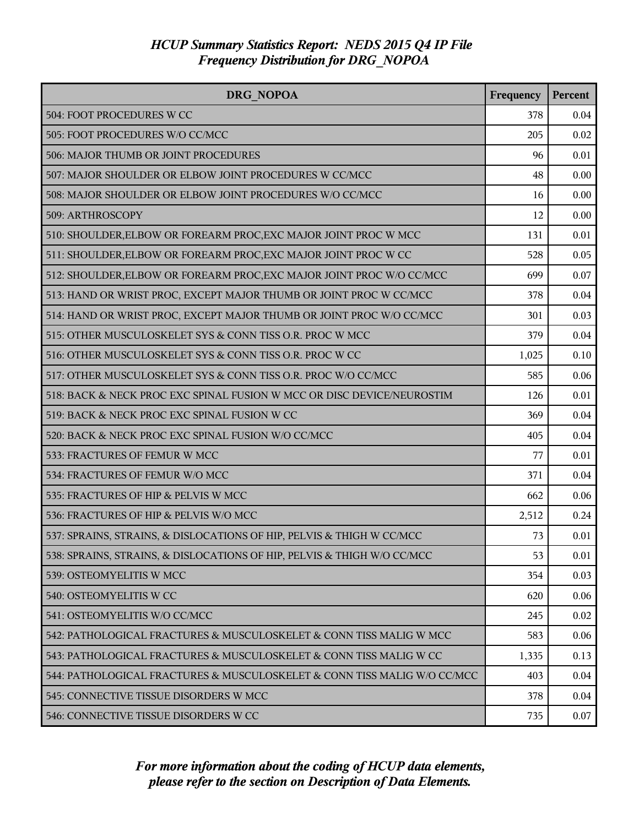| DRG NOPOA                                                                | Frequency | Percent |
|--------------------------------------------------------------------------|-----------|---------|
| 504: FOOT PROCEDURES W CC                                                | 378       | 0.04    |
| 505: FOOT PROCEDURES W/O CC/MCC                                          | 205       | 0.02    |
| 506: MAJOR THUMB OR JOINT PROCEDURES                                     | 96        | 0.01    |
| 507: MAJOR SHOULDER OR ELBOW JOINT PROCEDURES W CC/MCC                   | 48        | 0.00    |
| 508: MAJOR SHOULDER OR ELBOW JOINT PROCEDURES W/O CC/MCC                 | 16        | 0.00    |
| 509: ARTHROSCOPY                                                         | 12        | 0.00    |
| 510: SHOULDER, ELBOW OR FOREARM PROC, EXC MAJOR JOINT PROC W MCC         | 131       | 0.01    |
| 511: SHOULDER, ELBOW OR FOREARM PROC, EXC MAJOR JOINT PROC W CC          | 528       | 0.05    |
| 512: SHOULDER, ELBOW OR FOREARM PROC, EXC MAJOR JOINT PROC W/O CC/MCC    | 699       | 0.07    |
| 513: HAND OR WRIST PROC, EXCEPT MAJOR THUMB OR JOINT PROC W CC/MCC       | 378       | 0.04    |
| 514: HAND OR WRIST PROC, EXCEPT MAJOR THUMB OR JOINT PROC W/O CC/MCC     | 301       | 0.03    |
| 515: OTHER MUSCULOSKELET SYS & CONN TISS O.R. PROC W MCC                 | 379       | 0.04    |
| 516: OTHER MUSCULOSKELET SYS & CONN TISS O.R. PROC W CC                  | 1,025     | 0.10    |
| 517: OTHER MUSCULOSKELET SYS & CONN TISS O.R. PROC W/O CC/MCC            | 585       | 0.06    |
| 518: BACK & NECK PROC EXC SPINAL FUSION W MCC OR DISC DEVICE/NEUROSTIM   | 126       | 0.01    |
| 519: BACK & NECK PROC EXC SPINAL FUSION W CC                             | 369       | 0.04    |
| 520: BACK & NECK PROC EXC SPINAL FUSION W/O CC/MCC                       | 405       | 0.04    |
| 533: FRACTURES OF FEMUR W MCC                                            | 77        | 0.01    |
| 534: FRACTURES OF FEMUR W/O MCC                                          | 371       | 0.04    |
| 535: FRACTURES OF HIP & PELVIS W MCC                                     | 662       | 0.06    |
| 536: FRACTURES OF HIP & PELVIS W/O MCC                                   | 2,512     | 0.24    |
| 537: SPRAINS, STRAINS, & DISLOCATIONS OF HIP, PELVIS & THIGH W CC/MCC    | 73        | 0.01    |
| 538: SPRAINS, STRAINS, & DISLOCATIONS OF HIP, PELVIS & THIGH W/O CC/MCC  | 53        | 0.01    |
| 539: OSTEOMYELITIS W MCC                                                 | 354       | 0.03    |
| 540: OSTEOMYELITIS W CC                                                  | 620       | 0.06    |
| 541: OSTEOMYELITIS W/O CC/MCC                                            | 245       | 0.02    |
| 542: PATHOLOGICAL FRACTURES & MUSCULOSKELET & CONN TISS MALIG W MCC      | 583       | 0.06    |
| 543: PATHOLOGICAL FRACTURES & MUSCULOSKELET & CONN TISS MALIG W CC       | 1,335     | 0.13    |
| 544: PATHOLOGICAL FRACTURES & MUSCULOSKELET & CONN TISS MALIG W/O CC/MCC | 403       | 0.04    |
| 545: CONNECTIVE TISSUE DISORDERS W MCC                                   | 378       | 0.04    |
| 546: CONNECTIVE TISSUE DISORDERS W CC                                    | 735       | 0.07    |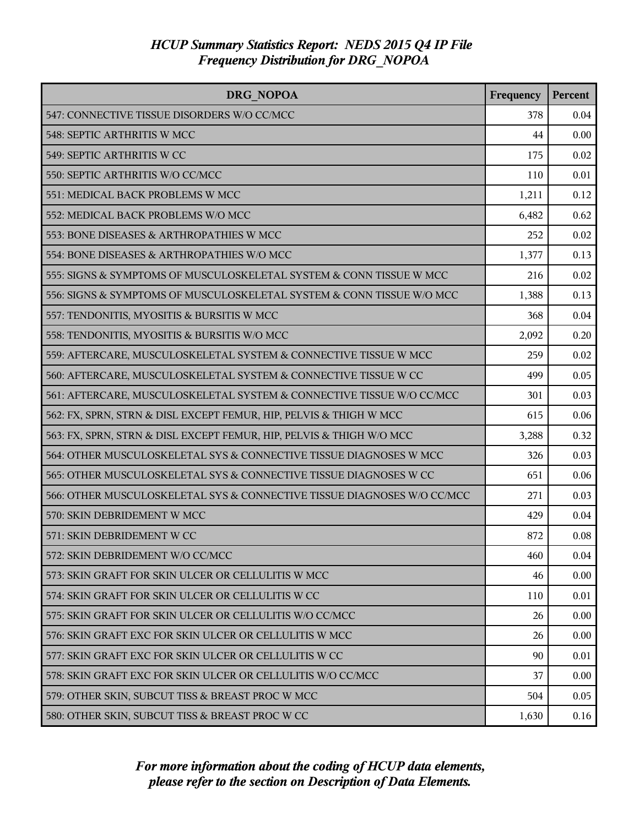| <b>DRG NOPOA</b>                                                        | Frequency | Percent |
|-------------------------------------------------------------------------|-----------|---------|
| 547: CONNECTIVE TISSUE DISORDERS W/O CC/MCC                             | 378       | 0.04    |
| 548: SEPTIC ARTHRITIS W MCC                                             | 44        | 0.00    |
| 549: SEPTIC ARTHRITIS W CC                                              | 175       | 0.02    |
| 550: SEPTIC ARTHRITIS W/O CC/MCC                                        | 110       | 0.01    |
| 551: MEDICAL BACK PROBLEMS W MCC                                        | 1,211     | 0.12    |
| 552: MEDICAL BACK PROBLEMS W/O MCC                                      | 6,482     | 0.62    |
| 553: BONE DISEASES & ARTHROPATHIES W MCC                                | 252       | 0.02    |
| 554: BONE DISEASES & ARTHROPATHIES W/O MCC                              | 1,377     | 0.13    |
| 555: SIGNS & SYMPTOMS OF MUSCULOSKELETAL SYSTEM & CONN TISSUE W MCC     | 216       | 0.02    |
| 556: SIGNS & SYMPTOMS OF MUSCULOSKELETAL SYSTEM & CONN TISSUE W/O MCC   | 1,388     | 0.13    |
| 557: TENDONITIS, MYOSITIS & BURSITIS W MCC                              | 368       | 0.04    |
| 558: TENDONITIS, MYOSITIS & BURSITIS W/O MCC                            | 2,092     | 0.20    |
| 559: AFTERCARE, MUSCULOSKELETAL SYSTEM & CONNECTIVE TISSUE W MCC        | 259       | 0.02    |
| 560: AFTERCARE, MUSCULOSKELETAL SYSTEM & CONNECTIVE TISSUE W CC         | 499       | 0.05    |
| 561: AFTERCARE, MUSCULOSKELETAL SYSTEM & CONNECTIVE TISSUE W/O CC/MCC   | 301       | 0.03    |
| 562: FX, SPRN, STRN & DISL EXCEPT FEMUR, HIP, PELVIS & THIGH W MCC      | 615       | 0.06    |
| 563: FX, SPRN, STRN & DISL EXCEPT FEMUR, HIP, PELVIS & THIGH W/O MCC    | 3,288     | 0.32    |
| 564: OTHER MUSCULOSKELETAL SYS & CONNECTIVE TISSUE DIAGNOSES W MCC      | 326       | 0.03    |
| 565: OTHER MUSCULOSKELETAL SYS & CONNECTIVE TISSUE DIAGNOSES W CC       | 651       | 0.06    |
| 566: OTHER MUSCULOSKELETAL SYS & CONNECTIVE TISSUE DIAGNOSES W/O CC/MCC | 271       | 0.03    |
| 570: SKIN DEBRIDEMENT W MCC                                             | 429       | 0.04    |
| 571: SKIN DEBRIDEMENT W CC                                              | 872       | 0.08    |
| 572: SKIN DEBRIDEMENT W/O CC/MCC                                        | 460       | 0.04    |
| 573: SKIN GRAFT FOR SKIN ULCER OR CELLULITIS W MCC                      | 46        | 0.00    |
| 574: SKIN GRAFT FOR SKIN ULCER OR CELLULITIS W CC                       | 110       | 0.01    |
| 575: SKIN GRAFT FOR SKIN ULCER OR CELLULITIS W/O CC/MCC                 | 26        | 0.00    |
| 576: SKIN GRAFT EXC FOR SKIN ULCER OR CELLULITIS W MCC                  | 26        | 0.00    |
| 577: SKIN GRAFT EXC FOR SKIN ULCER OR CELLULITIS W CC                   | 90        | 0.01    |
| 578: SKIN GRAFT EXC FOR SKIN ULCER OR CELLULITIS W/O CC/MCC             | 37        | 0.00    |
| 579: OTHER SKIN, SUBCUT TISS & BREAST PROC W MCC                        | 504       | 0.05    |
| 580: OTHER SKIN, SUBCUT TISS & BREAST PROC W CC                         | 1,630     | 0.16    |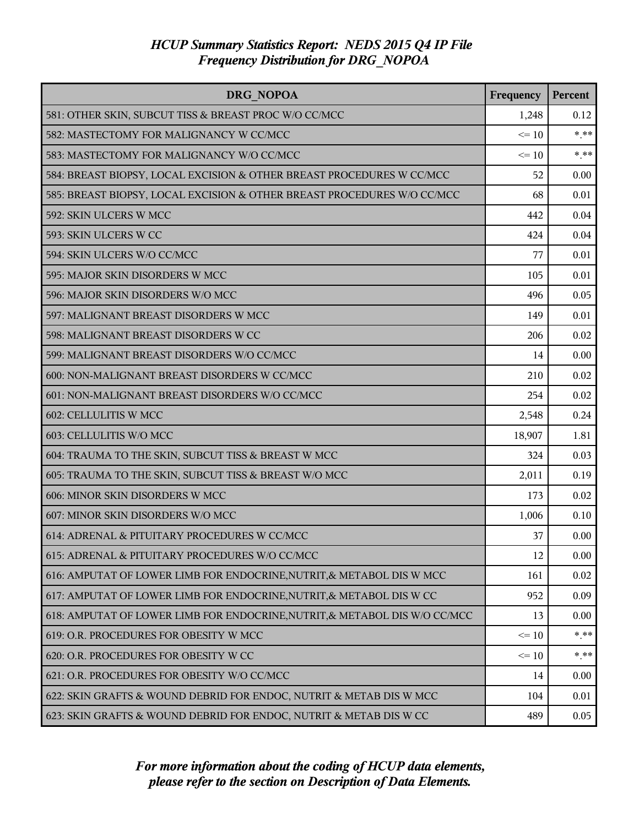| DRG NOPOA                                                                  | Frequency | Percent |
|----------------------------------------------------------------------------|-----------|---------|
| 581: OTHER SKIN, SUBCUT TISS & BREAST PROC W/O CC/MCC                      | 1,248     | 0.12    |
| 582: MASTECTOMY FOR MALIGNANCY W CC/MCC                                    | $\leq 10$ | $***$   |
| 583: MASTECTOMY FOR MALIGNANCY W/O CC/MCC                                  | $\leq 10$ | $***$   |
| 584: BREAST BIOPSY, LOCAL EXCISION & OTHER BREAST PROCEDURES W CC/MCC      | 52        | 0.00    |
| 585: BREAST BIOPSY, LOCAL EXCISION & OTHER BREAST PROCEDURES W/O CC/MCC    | 68        | 0.01    |
| 592: SKIN ULCERS W MCC                                                     | 442       | 0.04    |
| 593: SKIN ULCERS W CC                                                      | 424       | 0.04    |
| 594: SKIN ULCERS W/O CC/MCC                                                | 77        | 0.01    |
| 595: MAJOR SKIN DISORDERS W MCC                                            | 105       | 0.01    |
| 596: MAJOR SKIN DISORDERS W/O MCC                                          | 496       | 0.05    |
| 597: MALIGNANT BREAST DISORDERS W MCC                                      | 149       | 0.01    |
| 598: MALIGNANT BREAST DISORDERS W CC                                       | 206       | 0.02    |
| 599: MALIGNANT BREAST DISORDERS W/O CC/MCC                                 | 14        | 0.00    |
| 600: NON-MALIGNANT BREAST DISORDERS W CC/MCC                               | 210       | 0.02    |
| 601: NON-MALIGNANT BREAST DISORDERS W/O CC/MCC                             | 254       | 0.02    |
| 602: CELLULITIS W MCC                                                      | 2,548     | 0.24    |
| 603: CELLULITIS W/O MCC                                                    | 18,907    | 1.81    |
| 604: TRAUMA TO THE SKIN, SUBCUT TISS & BREAST W MCC                        | 324       | 0.03    |
| 605: TRAUMA TO THE SKIN, SUBCUT TISS & BREAST W/O MCC                      | 2,011     | 0.19    |
| 606: MINOR SKIN DISORDERS W MCC                                            | 173       | 0.02    |
| 607: MINOR SKIN DISORDERS W/O MCC                                          | 1,006     | 0.10    |
| 614: ADRENAL & PITUITARY PROCEDURES W CC/MCC                               | 37        | 0.00    |
| 615: ADRENAL & PITUITARY PROCEDURES W/O CC/MCC                             | 12        | 0.00    |
| 616: AMPUTAT OF LOWER LIMB FOR ENDOCRINE, NUTRIT, & METABOL DIS W MCC      | 161       | 0.02    |
| 617: AMPUTAT OF LOWER LIMB FOR ENDOCRINE, NUTRIT, & METABOL DIS W CC       | 952       | 0.09    |
| 618: AMPUTAT OF LOWER LIMB FOR ENDOCRINE, NUTRIT, & METABOL DIS W/O CC/MCC | 13        | 0.00    |
| 619: O.R. PROCEDURES FOR OBESITY W MCC                                     | $\leq 10$ | $* * *$ |
| 620: O.R. PROCEDURES FOR OBESITY W CC                                      | $\leq 10$ | $*$ **  |
| 621: O.R. PROCEDURES FOR OBESITY W/O CC/MCC                                | 14        | 0.00    |
| 622: SKIN GRAFTS & WOUND DEBRID FOR ENDOC, NUTRIT & METAB DIS W MCC        | 104       | 0.01    |
| 623: SKIN GRAFTS & WOUND DEBRID FOR ENDOC, NUTRIT & METAB DIS W CC         | 489       | 0.05    |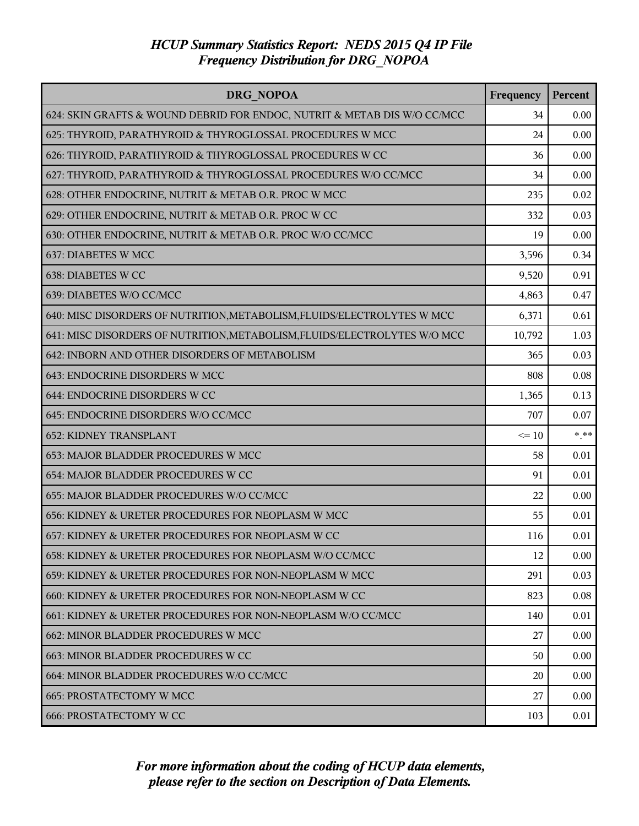| DRG NOPOA                                                                 | Frequency | Percent |
|---------------------------------------------------------------------------|-----------|---------|
| 624: SKIN GRAFTS & WOUND DEBRID FOR ENDOC, NUTRIT & METAB DIS W/O CC/MCC  | 34        | 0.00    |
| 625: THYROID, PARATHYROID & THYROGLOSSAL PROCEDURES W MCC                 | 24        | 0.00    |
| 626: THYROID, PARATHYROID & THYROGLOSSAL PROCEDURES W CC                  | 36        | 0.00    |
| 627: THYROID, PARATHYROID & THYROGLOSSAL PROCEDURES W/O CC/MCC            | 34        | 0.00    |
| 628: OTHER ENDOCRINE, NUTRIT & METAB O.R. PROC W MCC                      | 235       | 0.02    |
| 629: OTHER ENDOCRINE, NUTRIT & METAB O.R. PROC W CC                       | 332       | 0.03    |
| 630: OTHER ENDOCRINE, NUTRIT & METAB O.R. PROC W/O CC/MCC                 | 19        | 0.00    |
| 637: DIABETES W MCC                                                       | 3,596     | 0.34    |
| 638: DIABETES W CC                                                        | 9,520     | 0.91    |
| 639: DIABETES W/O CC/MCC                                                  | 4,863     | 0.47    |
| 640: MISC DISORDERS OF NUTRITION, METABOLISM, FLUIDS/ELECTROLYTES W MCC   | 6,371     | 0.61    |
| 641: MISC DISORDERS OF NUTRITION, METABOLISM, FLUIDS/ELECTROLYTES W/O MCC | 10,792    | 1.03    |
| 642: INBORN AND OTHER DISORDERS OF METABOLISM                             | 365       | 0.03    |
| 643: ENDOCRINE DISORDERS W MCC                                            | 808       | 0.08    |
| 644: ENDOCRINE DISORDERS W CC                                             | 1,365     | 0.13    |
| 645: ENDOCRINE DISORDERS W/O CC/MCC                                       | 707       | 0.07    |
| <b>652: KIDNEY TRANSPLANT</b>                                             | $\leq 10$ | $* * *$ |
| 653: MAJOR BLADDER PROCEDURES W MCC                                       | 58        | 0.01    |
| 654: MAJOR BLADDER PROCEDURES W CC                                        | 91        | 0.01    |
| 655: MAJOR BLADDER PROCEDURES W/O CC/MCC                                  | 22        | 0.00    |
| 656: KIDNEY & URETER PROCEDURES FOR NEOPLASM W MCC                        | 55        | 0.01    |
| 657: KIDNEY & URETER PROCEDURES FOR NEOPLASM W CC                         | 116       | 0.01    |
| 658: KIDNEY & URETER PROCEDURES FOR NEOPLASM W/O CC/MCC                   | 12        | 0.00    |
| 659: KIDNEY & URETER PROCEDURES FOR NON-NEOPLASM W MCC                    | 291       | 0.03    |
| 660: KIDNEY & URETER PROCEDURES FOR NON-NEOPLASM W CC                     | 823       | 0.08    |
| 661: KIDNEY & URETER PROCEDURES FOR NON-NEOPLASM W/O CC/MCC               | 140       | 0.01    |
| 662: MINOR BLADDER PROCEDURES W MCC                                       | 27        | 0.00    |
| 663: MINOR BLADDER PROCEDURES W CC                                        | 50        | 0.00    |
| 664: MINOR BLADDER PROCEDURES W/O CC/MCC                                  | 20        | 0.00    |
| <b>665: PROSTATECTOMY W MCC</b>                                           | 27        | 0.00    |
| <b>666: PROSTATECTOMY W CC</b>                                            | 103       | 0.01    |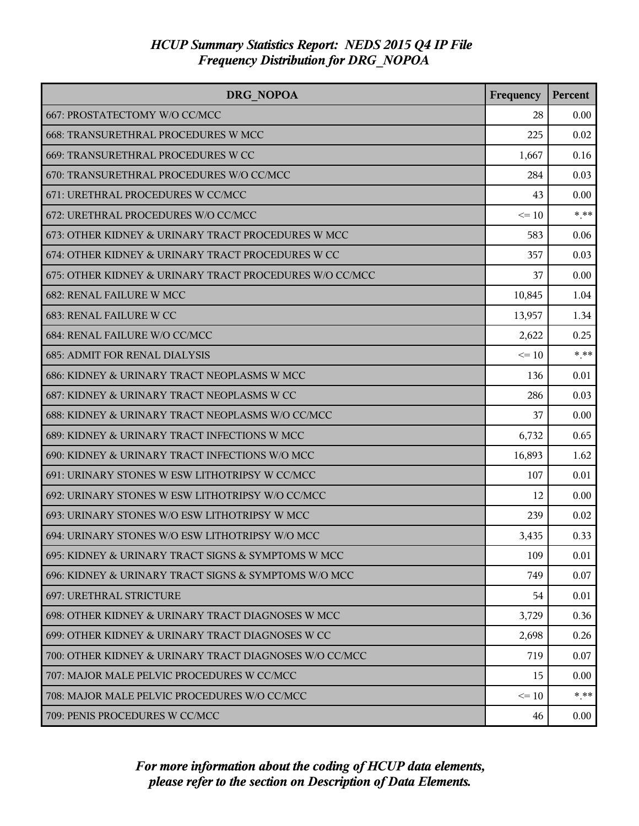| DRG NOPOA                                               | Frequency | <b>Percent</b> |
|---------------------------------------------------------|-----------|----------------|
| 667: PROSTATECTOMY W/O CC/MCC                           | 28        | 0.00           |
| 668: TRANSURETHRAL PROCEDURES W MCC                     | 225       | 0.02           |
| 669: TRANSURETHRAL PROCEDURES W CC                      | 1,667     | 0.16           |
| 670: TRANSURETHRAL PROCEDURES W/O CC/MCC                | 284       | 0.03           |
| 671: URETHRAL PROCEDURES W CC/MCC                       | 43        | 0.00           |
| 672: URETHRAL PROCEDURES W/O CC/MCC                     | $\leq 10$ | $***$          |
| 673: OTHER KIDNEY & URINARY TRACT PROCEDURES W MCC      | 583       | 0.06           |
| 674: OTHER KIDNEY & URINARY TRACT PROCEDURES W CC       | 357       | 0.03           |
| 675: OTHER KIDNEY & URINARY TRACT PROCEDURES W/O CC/MCC | 37        | 0.00           |
| <b>682: RENAL FAILURE W MCC</b>                         | 10,845    | 1.04           |
| <b>683: RENAL FAILURE W CC</b>                          | 13,957    | 1.34           |
| 684: RENAL FAILURE W/O CC/MCC                           | 2,622     | 0.25           |
| <b>685: ADMIT FOR RENAL DIALYSIS</b>                    | $\leq 10$ | $***$          |
| 686: KIDNEY & URINARY TRACT NEOPLASMS W MCC             | 136       | 0.01           |
| 687: KIDNEY & URINARY TRACT NEOPLASMS W CC              | 286       | 0.03           |
| 688: KIDNEY & URINARY TRACT NEOPLASMS W/O CC/MCC        | 37        | 0.00           |
| 689: KIDNEY & URINARY TRACT INFECTIONS W MCC            | 6,732     | 0.65           |
| 690: KIDNEY & URINARY TRACT INFECTIONS W/O MCC          | 16,893    | 1.62           |
| 691: URINARY STONES W ESW LITHOTRIPSY W CC/MCC          | 107       | 0.01           |
| 692: URINARY STONES W ESW LITHOTRIPSY W/O CC/MCC        | 12        | 0.00           |
| 693: URINARY STONES W/O ESW LITHOTRIPSY W MCC           | 239       | 0.02           |
| 694: URINARY STONES W/O ESW LITHOTRIPSY W/O MCC         | 3,435     | 0.33           |
| 695: KIDNEY & URINARY TRACT SIGNS & SYMPTOMS W MCC      | 109       | 0.01           |
| 696: KIDNEY & URINARY TRACT SIGNS & SYMPTOMS W/O MCC    | 749       | 0.07           |
| 697: URETHRAL STRICTURE                                 | 54        | 0.01           |
| 698: OTHER KIDNEY & URINARY TRACT DIAGNOSES W MCC       | 3,729     | 0.36           |
| 699: OTHER KIDNEY & URINARY TRACT DIAGNOSES W CC        | 2,698     | 0.26           |
| 700: OTHER KIDNEY & URINARY TRACT DIAGNOSES W/O CC/MCC  | 719       | 0.07           |
| 707: MAJOR MALE PELVIC PROCEDURES W CC/MCC              | 15        | 0.00           |
| 708: MAJOR MALE PELVIC PROCEDURES W/O CC/MCC            | $\leq 10$ | $* * *$        |
| 709: PENIS PROCEDURES W CC/MCC                          | 46        | $0.00\,$       |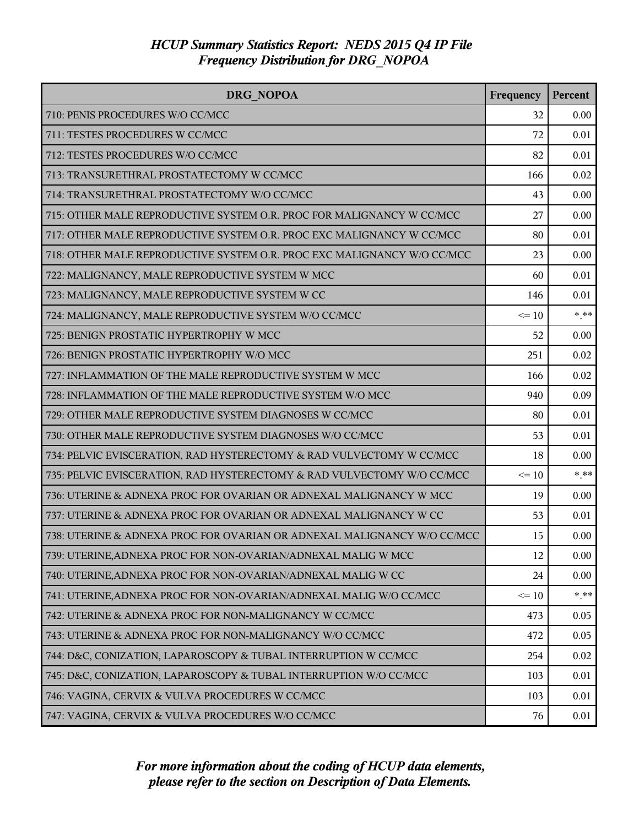| <b>DRG NOPOA</b>                                                        | Frequency | Percent |
|-------------------------------------------------------------------------|-----------|---------|
| 710: PENIS PROCEDURES W/O CC/MCC                                        | 32        | 0.00    |
| 711: TESTES PROCEDURES W CC/MCC                                         | 72        | 0.01    |
| 712: TESTES PROCEDURES W/O CC/MCC                                       | 82        | 0.01    |
| 713: TRANSURETHRAL PROSTATECTOMY W CC/MCC                               | 166       | 0.02    |
| 714: TRANSURETHRAL PROSTATECTOMY W/O CC/MCC                             | 43        | 0.00    |
| 715: OTHER MALE REPRODUCTIVE SYSTEM O.R. PROC FOR MALIGNANCY W CC/MCC   | 27        | 0.00    |
| 717: OTHER MALE REPRODUCTIVE SYSTEM O.R. PROC EXC MALIGNANCY W CC/MCC   | 80        | 0.01    |
| 718: OTHER MALE REPRODUCTIVE SYSTEM O.R. PROC EXC MALIGNANCY W/O CC/MCC | 23        | 0.00    |
| 722: MALIGNANCY, MALE REPRODUCTIVE SYSTEM W MCC                         | 60        | 0.01    |
| 723: MALIGNANCY, MALE REPRODUCTIVE SYSTEM W CC                          | 146       | 0.01    |
| 724: MALIGNANCY, MALE REPRODUCTIVE SYSTEM W/O CC/MCC                    | $\leq 10$ | $*$ **  |
| 725: BENIGN PROSTATIC HYPERTROPHY W MCC                                 | 52        | 0.00    |
| 726: BENIGN PROSTATIC HYPERTROPHY W/O MCC                               | 251       | 0.02    |
| 727: INFLAMMATION OF THE MALE REPRODUCTIVE SYSTEM W MCC                 | 166       | 0.02    |
| 728: INFLAMMATION OF THE MALE REPRODUCTIVE SYSTEM W/O MCC               | 940       | 0.09    |
| 729: OTHER MALE REPRODUCTIVE SYSTEM DIAGNOSES W CC/MCC                  | 80        | 0.01    |
| 730: OTHER MALE REPRODUCTIVE SYSTEM DIAGNOSES W/O CC/MCC                | 53        | 0.01    |
| 734: PELVIC EVISCERATION, RAD HYSTERECTOMY & RAD VULVECTOMY W CC/MCC    | 18        | 0.00    |
| 735: PELVIC EVISCERATION, RAD HYSTERECTOMY & RAD VULVECTOMY W/O CC/MCC  | $\leq 10$ | $***$   |
| 736: UTERINE & ADNEXA PROC FOR OVARIAN OR ADNEXAL MALIGNANCY W MCC      | 19        | 0.00    |
| 737: UTERINE & ADNEXA PROC FOR OVARIAN OR ADNEXAL MALIGNANCY W CC       | 53        | 0.01    |
| 738: UTERINE & ADNEXA PROC FOR OVARIAN OR ADNEXAL MALIGNANCY W/O CC/MCC | 15        | 0.00    |
| 739: UTERINE, ADNEXA PROC FOR NON-OVARIAN/ADNEXAL MALIG W MCC           | 12        | 0.00    |
| 740: UTERINE, ADNEXA PROC FOR NON-OVARIAN/ADNEXAL MALIG W CC            | 24        | 0.00    |
| 741: UTERINE, ADNEXA PROC FOR NON-OVARIAN/ADNEXAL MALIG W/O CC/MCC      | $\leq 10$ | $* * *$ |
| 742: UTERINE & ADNEXA PROC FOR NON-MALIGNANCY W CC/MCC                  | 473       | 0.05    |
| 743: UTERINE & ADNEXA PROC FOR NON-MALIGNANCY W/O CC/MCC                | 472       | 0.05    |
| 744: D&C, CONIZATION, LAPAROSCOPY & TUBAL INTERRUPTION W CC/MCC         | 254       | 0.02    |
| 745: D&C, CONIZATION, LAPAROSCOPY & TUBAL INTERRUPTION W/O CC/MCC       | 103       | 0.01    |
| 746: VAGINA, CERVIX & VULVA PROCEDURES W CC/MCC                         | 103       | 0.01    |
| 747: VAGINA, CERVIX & VULVA PROCEDURES W/O CC/MCC                       | 76        | 0.01    |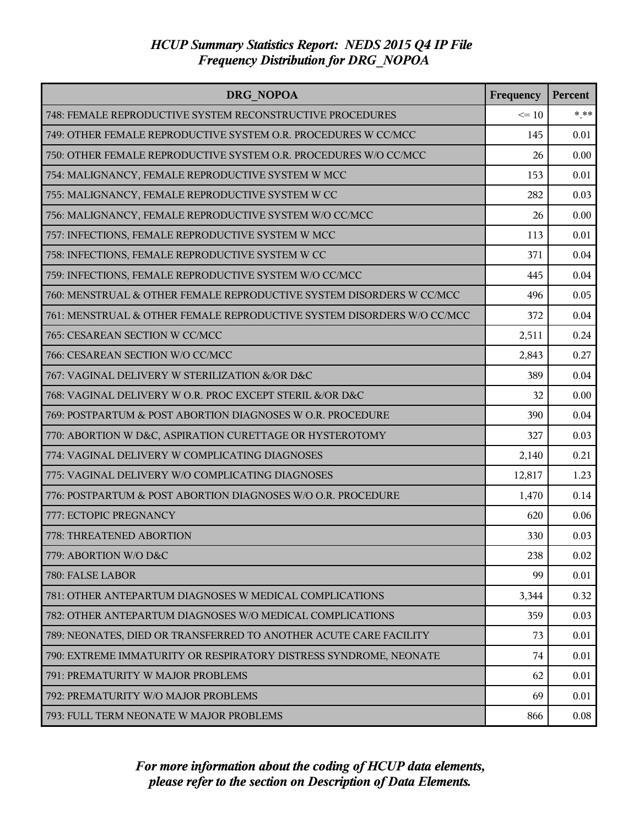| DRG NOPOA                                                              | Frequency | Percent  |
|------------------------------------------------------------------------|-----------|----------|
| 748: FEMALE REPRODUCTIVE SYSTEM RECONSTRUCTIVE PROCEDURES              | $\leq 10$ | $*$ $**$ |
| 749: OTHER FEMALE REPRODUCTIVE SYSTEM O.R. PROCEDURES W CC/MCC         | 145       | 0.01     |
| 750: OTHER FEMALE REPRODUCTIVE SYSTEM O.R. PROCEDURES W/O CC/MCC       | 26        | 0.00     |
| 754: MALIGNANCY, FEMALE REPRODUCTIVE SYSTEM W MCC                      | 153       | 0.01     |
| 755: MALIGNANCY, FEMALE REPRODUCTIVE SYSTEM W CC                       | 282       | 0.03     |
| 756: MALIGNANCY, FEMALE REPRODUCTIVE SYSTEM W/O CC/MCC                 | 26        | 0.00     |
| 757: INFECTIONS, FEMALE REPRODUCTIVE SYSTEM W MCC                      | 113       | 0.01     |
| 758: INFECTIONS, FEMALE REPRODUCTIVE SYSTEM W CC                       | 371       | 0.04     |
| 759: INFECTIONS, FEMALE REPRODUCTIVE SYSTEM W/O CC/MCC                 | 445       | 0.04     |
| 760: MENSTRUAL & OTHER FEMALE REPRODUCTIVE SYSTEM DISORDERS W CC/MCC   | 496       | 0.05     |
| 761: MENSTRUAL & OTHER FEMALE REPRODUCTIVE SYSTEM DISORDERS W/O CC/MCC | 372       | 0.04     |
| 765: CESAREAN SECTION W CC/MCC                                         | 2,511     | 0.24     |
| 766: CESAREAN SECTION W/O CC/MCC                                       | 2,843     | 0.27     |
| 767: VAGINAL DELIVERY W STERILIZATION &/OR D&C                         | 389       | 0.04     |
| 768: VAGINAL DELIVERY W O.R. PROC EXCEPT STERIL &/OR D&C               | 32        | 0.00     |
| 769: POSTPARTUM & POST ABORTION DIAGNOSES W O.R. PROCEDURE             | 390       | 0.04     |
| 770: ABORTION W D&C, ASPIRATION CURETTAGE OR HYSTEROTOMY               | 327       | 0.03     |
| 774: VAGINAL DELIVERY W COMPLICATING DIAGNOSES                         | 2,140     | 0.21     |
| 775: VAGINAL DELIVERY W/O COMPLICATING DIAGNOSES                       | 12,817    | 1.23     |
| 776: POSTPARTUM & POST ABORTION DIAGNOSES W/O O.R. PROCEDURE           | 1,470     | 0.14     |
| 777: ECTOPIC PREGNANCY                                                 | 620       | 0.06     |
| 778: THREATENED ABORTION                                               | 330       | 0.03     |
| 779: ABORTION W/O D&C                                                  | 238       | 0.02     |
| 780: FALSE LABOR                                                       | 99        | 0.01     |
| 781: OTHER ANTEPARTUM DIAGNOSES W MEDICAL COMPLICATIONS                | 3,344     | 0.32     |
| 782: OTHER ANTEPARTUM DIAGNOSES W/O MEDICAL COMPLICATIONS              | 359       | 0.03     |
| 789: NEONATES, DIED OR TRANSFERRED TO ANOTHER ACUTE CARE FACILITY      | 73        | 0.01     |
| 790: EXTREME IMMATURITY OR RESPIRATORY DISTRESS SYNDROME, NEONATE      | 74        | 0.01     |
| 791: PREMATURITY W MAJOR PROBLEMS                                      | 62        | 0.01     |
| 792: PREMATURITY W/O MAJOR PROBLEMS                                    | 69        | 0.01     |
| 793: FULL TERM NEONATE W MAJOR PROBLEMS                                | 866       | 0.08     |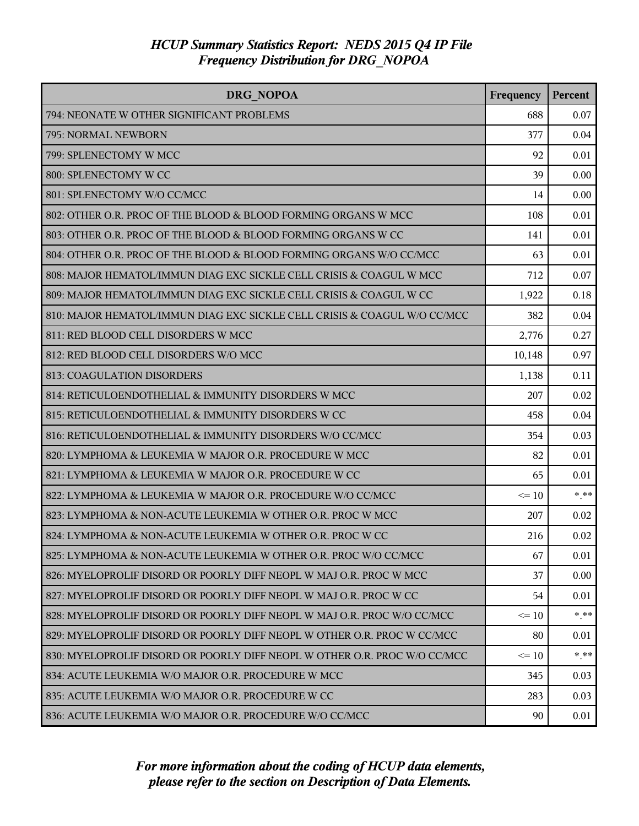| DRG NOPOA                                                                 | Frequency | Percent |
|---------------------------------------------------------------------------|-----------|---------|
| 794: NEONATE W OTHER SIGNIFICANT PROBLEMS                                 | 688       | 0.07    |
| 795: NORMAL NEWBORN                                                       | 377       | 0.04    |
| 799: SPLENECTOMY W MCC                                                    | 92        | 0.01    |
| 800: SPLENECTOMY W CC                                                     | 39        | 0.00    |
| 801: SPLENECTOMY W/O CC/MCC                                               | 14        | 0.00    |
| 802: OTHER O.R. PROC OF THE BLOOD & BLOOD FORMING ORGANS W MCC            | 108       | 0.01    |
| 803: OTHER O.R. PROC OF THE BLOOD & BLOOD FORMING ORGANS W CC             | 141       | 0.01    |
| 804: OTHER O.R. PROC OF THE BLOOD & BLOOD FORMING ORGANS W/O CC/MCC       | 63        | 0.01    |
| 808: MAJOR HEMATOL/IMMUN DIAG EXC SICKLE CELL CRISIS & COAGUL W MCC       | 712       | 0.07    |
| 809: MAJOR HEMATOL/IMMUN DIAG EXC SICKLE CELL CRISIS & COAGUL W CC        | 1,922     | 0.18    |
| 810: MAJOR HEMATOL/IMMUN DIAG EXC SICKLE CELL CRISIS & COAGUL W/O CC/MCC  | 382       | 0.04    |
| 811: RED BLOOD CELL DISORDERS W MCC                                       | 2,776     | 0.27    |
| 812: RED BLOOD CELL DISORDERS W/O MCC                                     | 10,148    | 0.97    |
| 813: COAGULATION DISORDERS                                                | 1,138     | 0.11    |
| 814: RETICULOENDOTHELIAL & IMMUNITY DISORDERS W MCC                       | 207       | 0.02    |
| 815: RETICULOENDOTHELIAL & IMMUNITY DISORDERS W CC                        | 458       | 0.04    |
| 816: RETICULOENDOTHELIAL & IMMUNITY DISORDERS W/O CC/MCC                  | 354       | 0.03    |
| 820: LYMPHOMA & LEUKEMIA W MAJOR O.R. PROCEDURE W MCC                     | 82        | 0.01    |
| 821: LYMPHOMA & LEUKEMIA W MAJOR O.R. PROCEDURE W CC                      | 65        | 0.01    |
| 822: LYMPHOMA & LEUKEMIA W MAJOR O.R. PROCEDURE W/O CC/MCC                | $\leq 10$ | $* * *$ |
| 823: LYMPHOMA & NON-ACUTE LEUKEMIA W OTHER O.R. PROC W MCC                | 207       | 0.02    |
| 824: LYMPHOMA & NON-ACUTE LEUKEMIA W OTHER O.R. PROC W CC                 | 216       | 0.02    |
| 825: LYMPHOMA & NON-ACUTE LEUKEMIA W OTHER O.R. PROC W/O CC/MCC           | 67        | 0.01    |
| 826: MYELOPROLIF DISORD OR POORLY DIFF NEOPL W MAJ O.R. PROC W MCC        | 37        | 0.00    |
| 827: MYELOPROLIF DISORD OR POORLY DIFF NEOPL W MAJ O.R. PROC W CC         | 54        | 0.01    |
| 828: MYELOPROLIF DISORD OR POORLY DIFF NEOPL W MAJ O.R. PROC W/O CC/MCC   | $\leq 10$ | $***$   |
| 829: MYELOPROLIF DISORD OR POORLY DIFF NEOPL W OTHER O.R. PROC W CC/MCC   | 80        | 0.01    |
| 830: MYELOPROLIF DISORD OR POORLY DIFF NEOPL W OTHER O.R. PROC W/O CC/MCC | $\leq$ 10 | $* * *$ |
| 834: ACUTE LEUKEMIA W/O MAJOR O.R. PROCEDURE W MCC                        | 345       | 0.03    |
| 835: ACUTE LEUKEMIA W/O MAJOR O.R. PROCEDURE W CC                         | 283       | 0.03    |
| 836: ACUTE LEUKEMIA W/O MAJOR O.R. PROCEDURE W/O CC/MCC                   | 90        | 0.01    |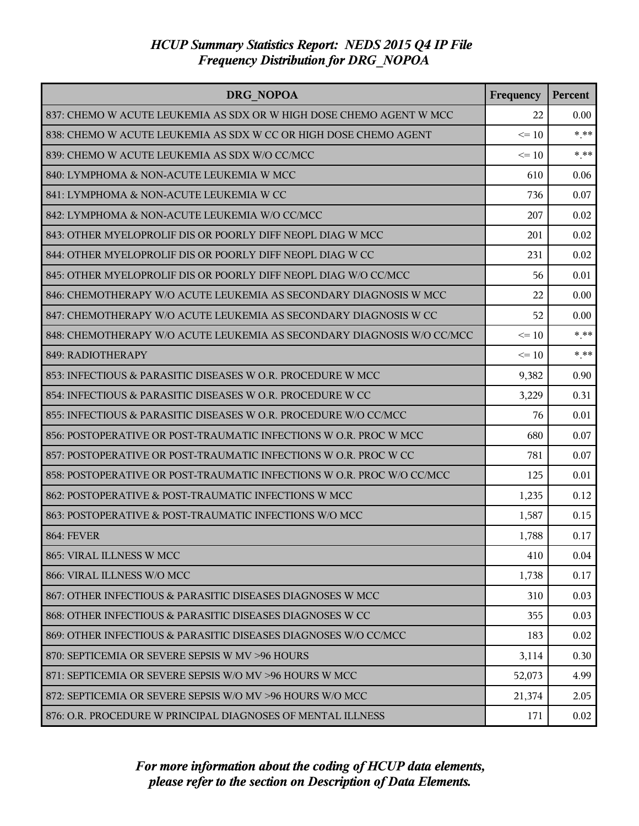| <b>DRG NOPOA</b>                                                       | Frequency | <b>Percent</b> |
|------------------------------------------------------------------------|-----------|----------------|
| 837: CHEMO W ACUTE LEUKEMIA AS SDX OR W HIGH DOSE CHEMO AGENT W MCC    | 22        | 0.00           |
| 838: CHEMO W ACUTE LEUKEMIA AS SDX W CC OR HIGH DOSE CHEMO AGENT       | $\leq 10$ | $* * *$        |
| 839: CHEMO W ACUTE LEUKEMIA AS SDX W/O CC/MCC                          | $\leq 10$ | $***$          |
| 840: LYMPHOMA & NON-ACUTE LEUKEMIA W MCC                               | 610       | 0.06           |
| 841: LYMPHOMA & NON-ACUTE LEUKEMIA W CC                                | 736       | 0.07           |
| 842: LYMPHOMA & NON-ACUTE LEUKEMIA W/O CC/MCC                          | 207       | 0.02           |
| 843: OTHER MYELOPROLIF DIS OR POORLY DIFF NEOPL DIAG W MCC             | 201       | 0.02           |
| 844: OTHER MYELOPROLIF DIS OR POORLY DIFF NEOPL DIAG W CC              | 231       | 0.02           |
| 845: OTHER MYELOPROLIF DIS OR POORLY DIFF NEOPL DIAG W/O CC/MCC        | 56        | 0.01           |
| 846: CHEMOTHERAPY W/O ACUTE LEUKEMIA AS SECONDARY DIAGNOSIS W MCC      | 22        | 0.00           |
| 847: CHEMOTHERAPY W/O ACUTE LEUKEMIA AS SECONDARY DIAGNOSIS W CC       | 52        | 0.00           |
| 848: CHEMOTHERAPY W/O ACUTE LEUKEMIA AS SECONDARY DIAGNOSIS W/O CC/MCC | $\leq$ 10 | $* * *$        |
| 849: RADIOTHERAPY                                                      | $\leq 10$ | $***$          |
| 853: INFECTIOUS & PARASITIC DISEASES W O.R. PROCEDURE W MCC            | 9,382     | 0.90           |
| 854: INFECTIOUS & PARASITIC DISEASES W O.R. PROCEDURE W CC             | 3,229     | 0.31           |
| 855: INFECTIOUS & PARASITIC DISEASES W O.R. PROCEDURE W/O CC/MCC       | 76        | 0.01           |
| 856: POSTOPERATIVE OR POST-TRAUMATIC INFECTIONS W O.R. PROC W MCC      | 680       | 0.07           |
| 857: POSTOPERATIVE OR POST-TRAUMATIC INFECTIONS W O.R. PROC W CC       | 781       | 0.07           |
| 858: POSTOPERATIVE OR POST-TRAUMATIC INFECTIONS W O.R. PROC W/O CC/MCC | 125       | 0.01           |
| 862: POSTOPERATIVE & POST-TRAUMATIC INFECTIONS W MCC                   | 1,235     | 0.12           |
| 863: POSTOPERATIVE & POST-TRAUMATIC INFECTIONS W/O MCC                 | 1,587     | 0.15           |
| <b>864: FEVER</b>                                                      | 1,788     | 0.17           |
| 865: VIRAL ILLNESS W MCC                                               | 410       | 0.04           |
| 866: VIRAL ILLNESS W/O MCC                                             | 1,738     | 0.17           |
| 867: OTHER INFECTIOUS & PARASITIC DISEASES DIAGNOSES W MCC             | 310       | 0.03           |
| 868: OTHER INFECTIOUS & PARASITIC DISEASES DIAGNOSES W CC              | 355       | 0.03           |
| 869: OTHER INFECTIOUS & PARASITIC DISEASES DIAGNOSES W/O CC/MCC        | 183       | 0.02           |
| 870: SEPTICEMIA OR SEVERE SEPSIS W MV >96 HOURS                        | 3,114     | 0.30           |
| 871: SEPTICEMIA OR SEVERE SEPSIS W/O MV >96 HOURS W MCC                | 52,073    | 4.99           |
| 872: SEPTICEMIA OR SEVERE SEPSIS W/O MV >96 HOURS W/O MCC              | 21,374    | 2.05           |
| 876: O.R. PROCEDURE W PRINCIPAL DIAGNOSES OF MENTAL ILLNESS            | 171       | 0.02           |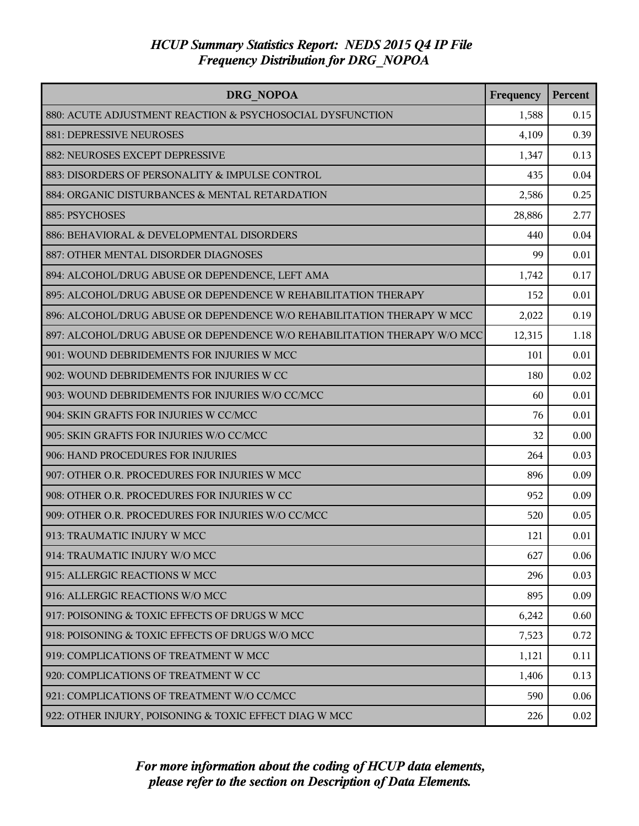| DRG NOPOA                                                                | Frequency | Percent |
|--------------------------------------------------------------------------|-----------|---------|
| 880: ACUTE ADJUSTMENT REACTION & PSYCHOSOCIAL DYSFUNCTION                | 1,588     | 0.15    |
| <b>881: DEPRESSIVE NEUROSES</b>                                          | 4,109     | 0.39    |
| 882: NEUROSES EXCEPT DEPRESSIVE                                          | 1,347     | 0.13    |
| 883: DISORDERS OF PERSONALITY & IMPULSE CONTROL                          | 435       | 0.04    |
| 884: ORGANIC DISTURBANCES & MENTAL RETARDATION                           | 2,586     | 0.25    |
| 885: PSYCHOSES                                                           | 28,886    | 2.77    |
| 886: BEHAVIORAL & DEVELOPMENTAL DISORDERS                                | 440       | 0.04    |
| 887: OTHER MENTAL DISORDER DIAGNOSES                                     | 99        | 0.01    |
| 894: ALCOHOL/DRUG ABUSE OR DEPENDENCE, LEFT AMA                          | 1,742     | 0.17    |
| 895: ALCOHOL/DRUG ABUSE OR DEPENDENCE W REHABILITATION THERAPY           | 152       | 0.01    |
| 896: ALCOHOL/DRUG ABUSE OR DEPENDENCE W/O REHABILITATION THERAPY W MCC   | 2,022     | 0.19    |
| 897: ALCOHOL/DRUG ABUSE OR DEPENDENCE W/O REHABILITATION THERAPY W/O MCC | 12,315    | 1.18    |
| 901: WOUND DEBRIDEMENTS FOR INJURIES W MCC                               | 101       | 0.01    |
| 902: WOUND DEBRIDEMENTS FOR INJURIES W CC                                | 180       | 0.02    |
| 903: WOUND DEBRIDEMENTS FOR INJURIES W/O CC/MCC                          | 60        | 0.01    |
| 904: SKIN GRAFTS FOR INJURIES W CC/MCC                                   | 76        | 0.01    |
| 905: SKIN GRAFTS FOR INJURIES W/O CC/MCC                                 | 32        | 0.00    |
| 906: HAND PROCEDURES FOR INJURIES                                        | 264       | 0.03    |
| 907: OTHER O.R. PROCEDURES FOR INJURIES W MCC                            | 896       | 0.09    |
| 908: OTHER O.R. PROCEDURES FOR INJURIES W CC                             | 952       | 0.09    |
| 909: OTHER O.R. PROCEDURES FOR INJURIES W/O CC/MCC                       | 520       | 0.05    |
| 913: TRAUMATIC INJURY W MCC                                              | 121       | 0.01    |
| 914: TRAUMATIC INJURY W/O MCC                                            | 627       | 0.06    |
| 915: ALLERGIC REACTIONS W MCC                                            | 296       | 0.03    |
| 916: ALLERGIC REACTIONS W/O MCC                                          | 895       | 0.09    |
| 917: POISONING & TOXIC EFFECTS OF DRUGS W MCC                            | 6,242     | 0.60    |
| 918: POISONING & TOXIC EFFECTS OF DRUGS W/O MCC                          | 7,523     | 0.72    |
| 919: COMPLICATIONS OF TREATMENT W MCC                                    | 1,121     | 0.11    |
| 920: COMPLICATIONS OF TREATMENT W CC                                     | 1,406     | 0.13    |
| 921: COMPLICATIONS OF TREATMENT W/O CC/MCC                               | 590       | 0.06    |
| 922: OTHER INJURY, POISONING & TOXIC EFFECT DIAG W MCC                   | 226       | 0.02    |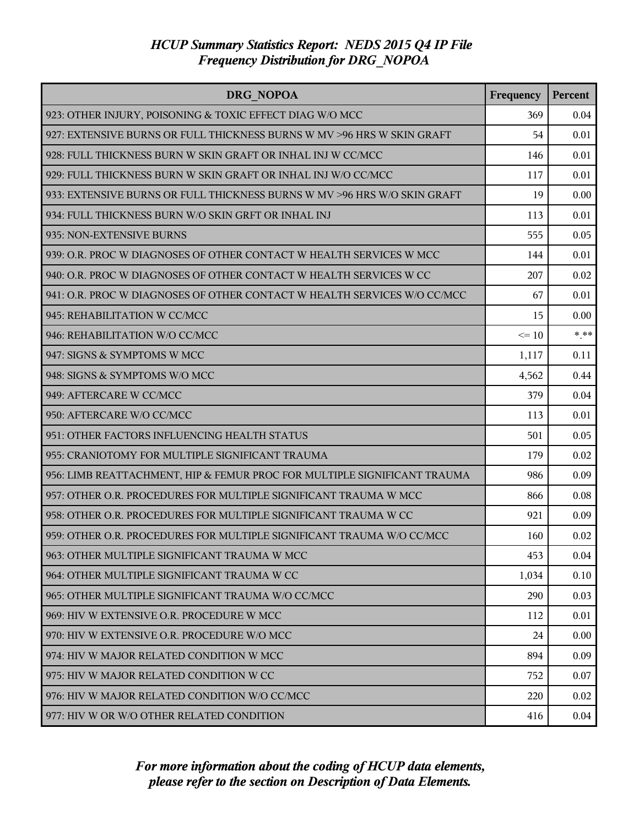| <b>DRG NOPOA</b>                                                          | Frequency | Percent |
|---------------------------------------------------------------------------|-----------|---------|
| 923: OTHER INJURY, POISONING & TOXIC EFFECT DIAG W/O MCC                  | 369       | 0.04    |
| 927: EXTENSIVE BURNS OR FULL THICKNESS BURNS W MV >96 HRS W SKIN GRAFT    | 54        | 0.01    |
| 928: FULL THICKNESS BURN W SKIN GRAFT OR INHAL INJ W CC/MCC               | 146       | 0.01    |
| 929: FULL THICKNESS BURN W SKIN GRAFT OR INHAL INJ W/O CC/MCC             | 117       | 0.01    |
| 933: EXTENSIVE BURNS OR FULL THICKNESS BURNS W MV > 96 HRS W/O SKIN GRAFT | 19        | 0.00    |
| 934: FULL THICKNESS BURN W/O SKIN GRFT OR INHAL INJ                       | 113       | 0.01    |
| 935: NON-EXTENSIVE BURNS                                                  | 555       | 0.05    |
| 939: O.R. PROC W DIAGNOSES OF OTHER CONTACT W HEALTH SERVICES W MCC       | 144       | 0.01    |
| 940: O.R. PROC W DIAGNOSES OF OTHER CONTACT W HEALTH SERVICES W CC        | 207       | 0.02    |
| 941: O.R. PROC W DIAGNOSES OF OTHER CONTACT W HEALTH SERVICES W/O CC/MCC  | 67        | 0.01    |
| 945: REHABILITATION W CC/MCC                                              | 15        | 0.00    |
| 946: REHABILITATION W/O CC/MCC                                            | $\leq 10$ | $* * *$ |
| 947: SIGNS & SYMPTOMS W MCC                                               | 1,117     | 0.11    |
| 948: SIGNS & SYMPTOMS W/O MCC                                             | 4,562     | 0.44    |
| 949: AFTERCARE W CC/MCC                                                   | 379       | 0.04    |
| 950: AFTERCARE W/O CC/MCC                                                 | 113       | 0.01    |
| 951: OTHER FACTORS INFLUENCING HEALTH STATUS                              | 501       | 0.05    |
| 955: CRANIOTOMY FOR MULTIPLE SIGNIFICANT TRAUMA                           | 179       | 0.02    |
| 956: LIMB REATTACHMENT, HIP & FEMUR PROC FOR MULTIPLE SIGNIFICANT TRAUMA  | 986       | 0.09    |
| 957: OTHER O.R. PROCEDURES FOR MULTIPLE SIGNIFICANT TRAUMA W MCC          | 866       | 0.08    |
| 958: OTHER O.R. PROCEDURES FOR MULTIPLE SIGNIFICANT TRAUMA W CC           | 921       | 0.09    |
| 959: OTHER O.R. PROCEDURES FOR MULTIPLE SIGNIFICANT TRAUMA W/O CC/MCC     | 160       | 0.02    |
| 963: OTHER MULTIPLE SIGNIFICANT TRAUMA W MCC                              | 453       | 0.04    |
| 964: OTHER MULTIPLE SIGNIFICANT TRAUMA W CC                               | 1,034     | 0.10    |
| 965: OTHER MULTIPLE SIGNIFICANT TRAUMA W/O CC/MCC                         | 290       | 0.03    |
| 969: HIV W EXTENSIVE O.R. PROCEDURE W MCC                                 | 112       | 0.01    |
| 970: HIV W EXTENSIVE O.R. PROCEDURE W/O MCC                               | 24        | 0.00    |
| 974: HIV W MAJOR RELATED CONDITION W MCC                                  | 894       | 0.09    |
| 975: HIV W MAJOR RELATED CONDITION W CC                                   | 752       | 0.07    |
| 976: HIV W MAJOR RELATED CONDITION W/O CC/MCC                             | 220       | 0.02    |
| 977: HIV W OR W/O OTHER RELATED CONDITION                                 | 416       | 0.04    |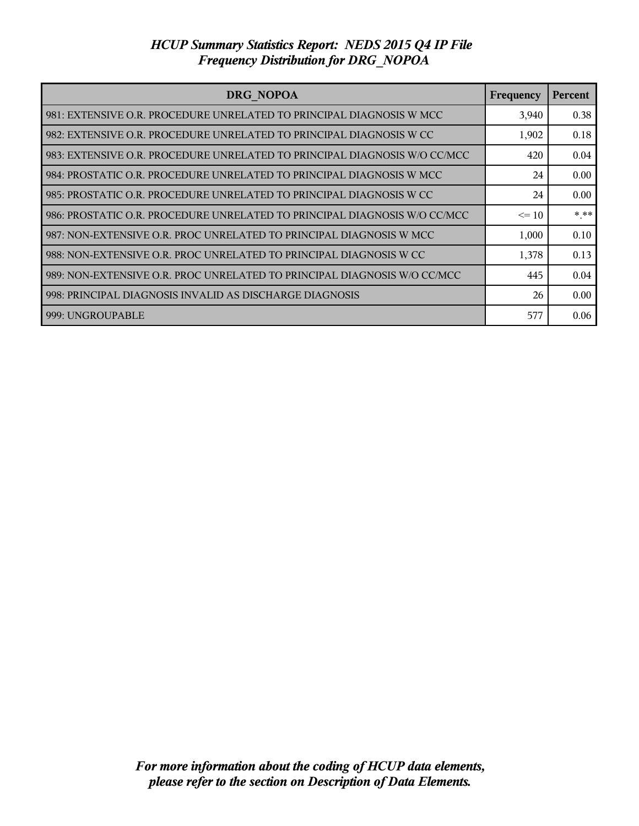| DRG NOPOA                                                                 | Frequency | <b>Percent</b> |
|---------------------------------------------------------------------------|-----------|----------------|
| 981: EXTENSIVE O.R. PROCEDURE UNRELATED TO PRINCIPAL DIAGNOSIS W MCC      | 3,940     | 0.38           |
| 982: EXTENSIVE O.R. PROCEDURE UNRELATED TO PRINCIPAL DIAGNOSIS W CC       | 1,902     | 0.18           |
| 983: EXTENSIVE O.R. PROCEDURE UNRELATED TO PRINCIPAL DIAGNOSIS W/O CC/MCC | 420       | 0.04           |
| 984: PROSTATIC O.R. PROCEDURE UNRELATED TO PRINCIPAL DIAGNOSIS W MCC      | 24        | 0.00           |
| 985: PROSTATIC O.R. PROCEDURE UNRELATED TO PRINCIPAL DIAGNOSIS W CC       | 24        | 0.00           |
| 986: PROSTATIC O.R. PROCEDURE UNRELATED TO PRINCIPAL DIAGNOSIS W/O CC/MCC | $\leq$ 10 | $***$          |
| 987: NON-EXTENSIVE O.R. PROC UNRELATED TO PRINCIPAL DIAGNOSIS W MCC       | 1,000     | 0.10           |
| 988: NON-EXTENSIVE O.R. PROC UNRELATED TO PRINCIPAL DIAGNOSIS W CC        | 1,378     | 0.13           |
| 989: NON-EXTENSIVE O.R. PROC UNRELATED TO PRINCIPAL DIAGNOSIS W/O CC/MCC  | 445       | 0.04           |
| 998: PRINCIPAL DIAGNOSIS INVALID AS DISCHARGE DIAGNOSIS                   | 26        | 0.00           |
| 999: UNGROUPABLE                                                          | 577       | 0.06           |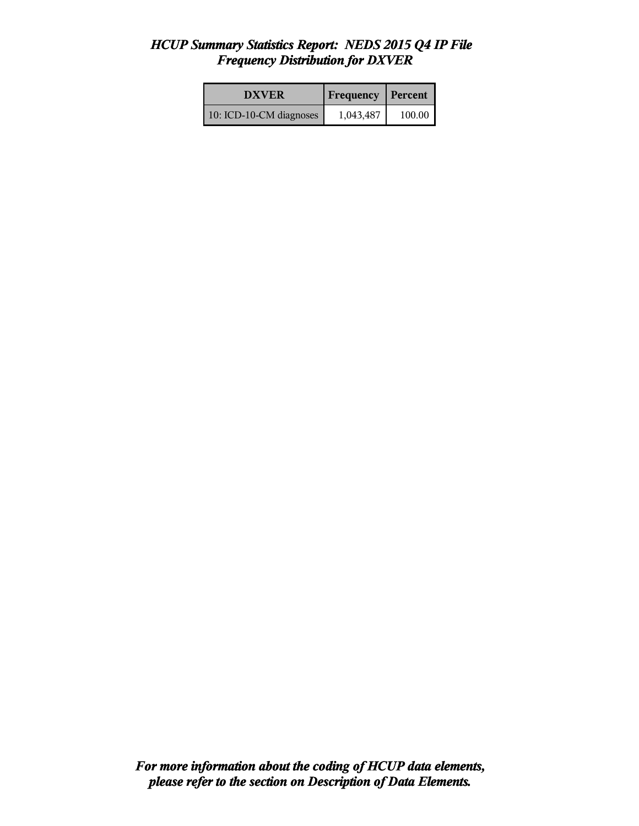| <b>DXVER</b>            | <b>Frequency Percent</b> |        |
|-------------------------|--------------------------|--------|
| 10: ICD-10-CM diagnoses | 1,043,487                | 100.00 |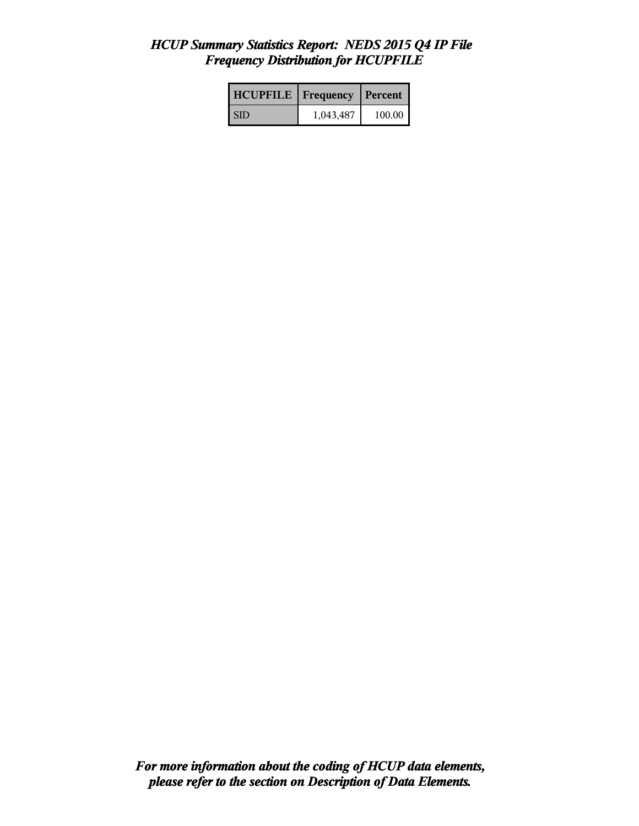| <b>HCUPFILE</b>   Frequency |           | Percent |
|-----------------------------|-----------|---------|
| <b>SID</b>                  | 1,043,487 | 100.00  |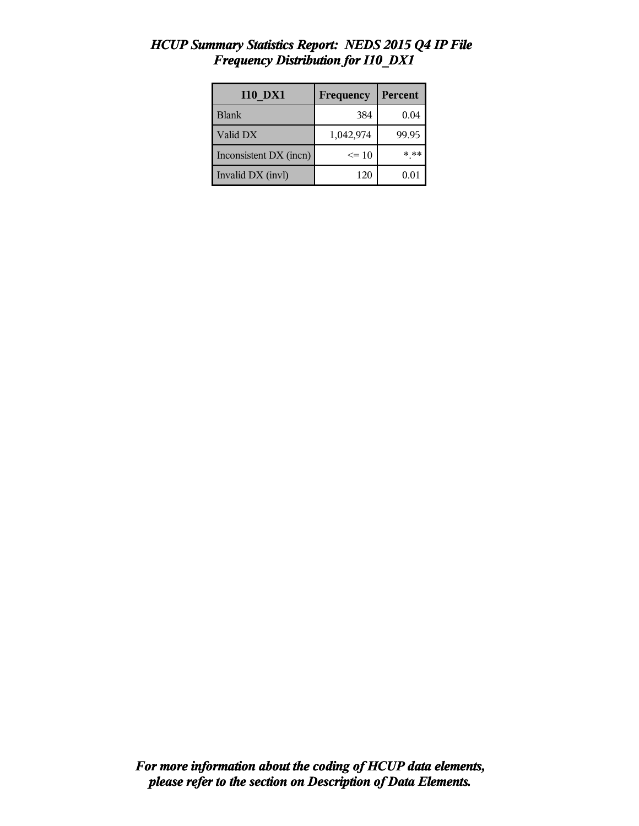| <b>I10 DX1</b>         | Frequency | Percent |
|------------------------|-----------|---------|
| Blank                  | 384       | 0.04    |
| Valid DX               | 1,042,974 | 99.95   |
| Inconsistent DX (incn) | $\leq$ 10 | * **    |
| Invalid DX (invl)      | 120       | 0.01    |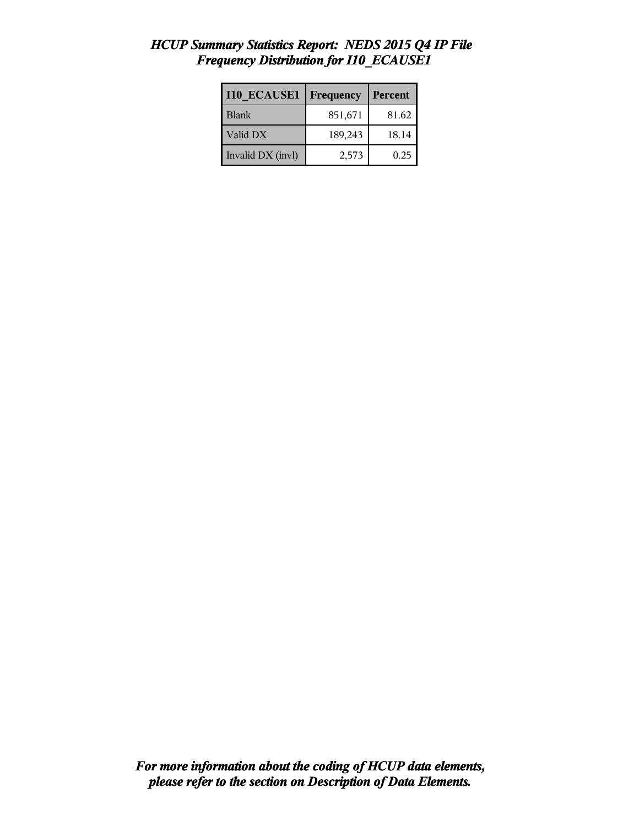| <b>I10 ECAUSE1</b> | Frequency | Percent |
|--------------------|-----------|---------|
| <b>Blank</b>       | 851,671   | 81.62   |
| Valid DX           | 189,243   | 18.14   |
| Invalid DX (invl)  | 2,573     | 0.25    |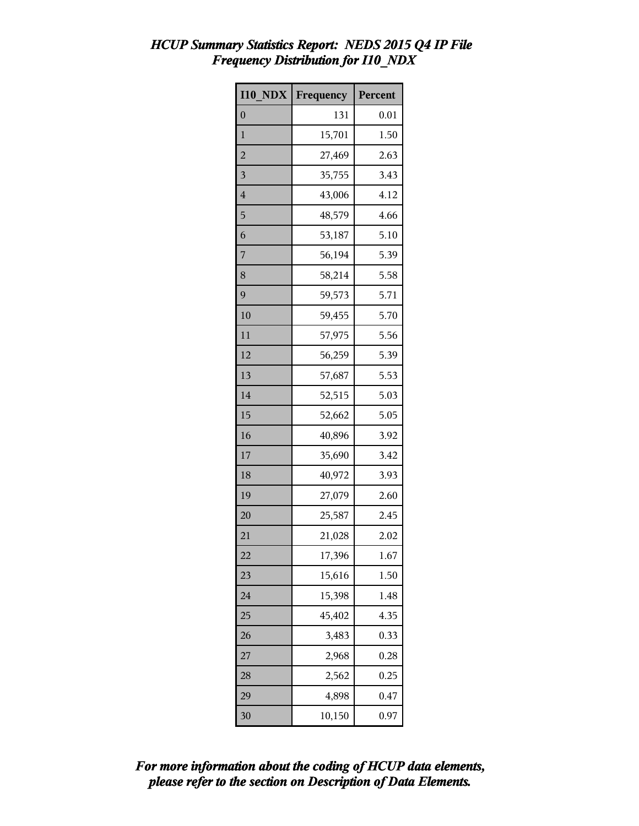| <b>I10 NDX</b>          | Frequency | Percent |
|-------------------------|-----------|---------|
| $\overline{0}$          | 131       | 0.01    |
| $\mathbf{1}$            | 15,701    | 1.50    |
| $\overline{c}$          | 27,469    | 2.63    |
| $\overline{\mathbf{3}}$ | 35,755    | 3.43    |
| $\overline{4}$          | 43,006    | 4.12    |
| 5                       | 48,579    | 4.66    |
| 6                       | 53,187    | 5.10    |
| 7                       | 56,194    | 5.39    |
| 8                       | 58,214    | 5.58    |
| 9                       | 59,573    | 5.71    |
| 10                      | 59,455    | 5.70    |
| 11                      | 57,975    | 5.56    |
| 12                      | 56,259    | 5.39    |
| 13                      | 57,687    | 5.53    |
| 14                      | 52,515    | 5.03    |
| 15                      | 52,662    | 5.05    |
| 16                      | 40,896    | 3.92    |
| 17                      | 35,690    | 3.42    |
| 18                      | 40,972    | 3.93    |
| 19                      | 27,079    | 2.60    |
| 20                      | 25,587    | 2.45    |
| 21                      | 21,028    | 2.02    |
| 22                      | 17,396    | 1.67    |
| 23                      | 15,616    | 1.50    |
| 24                      | 15,398    | 1.48    |
| 25                      | 45,402    | 4.35    |
| 26                      | 3,483     | 0.33    |
| 27                      | 2,968     | 0.28    |
| 28                      | 2,562     | 0.25    |
| 29                      | 4,898     | 0.47    |
| 30                      | 10,150    | 0.97    |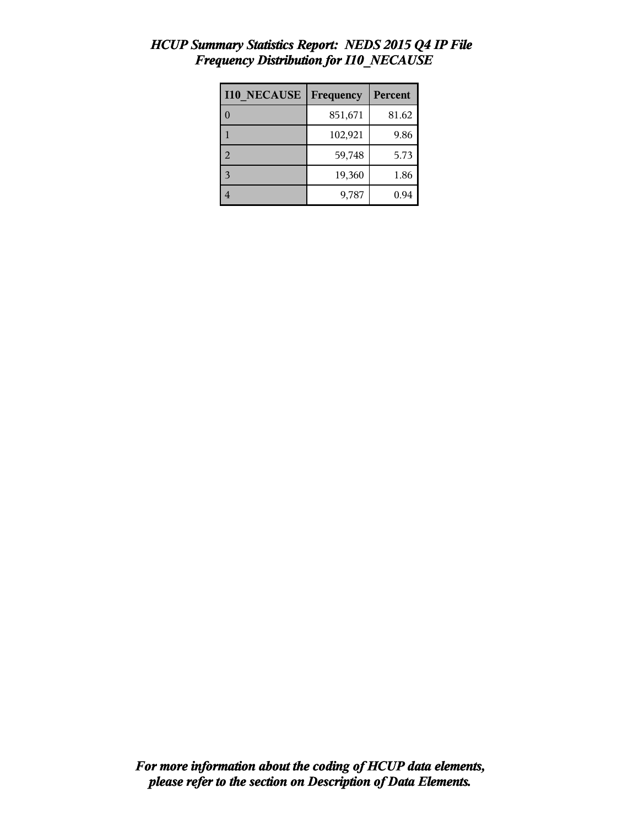| <b>I10 NECAUSE</b> | Frequency | <b>Percent</b> |
|--------------------|-----------|----------------|
|                    | 851,671   | 81.62          |
|                    | 102,921   | 9.86           |
| 2                  | 59,748    | 5.73           |
| $\mathbf{R}$       | 19,360    | 1.86           |
|                    | 9,787     | 0.94           |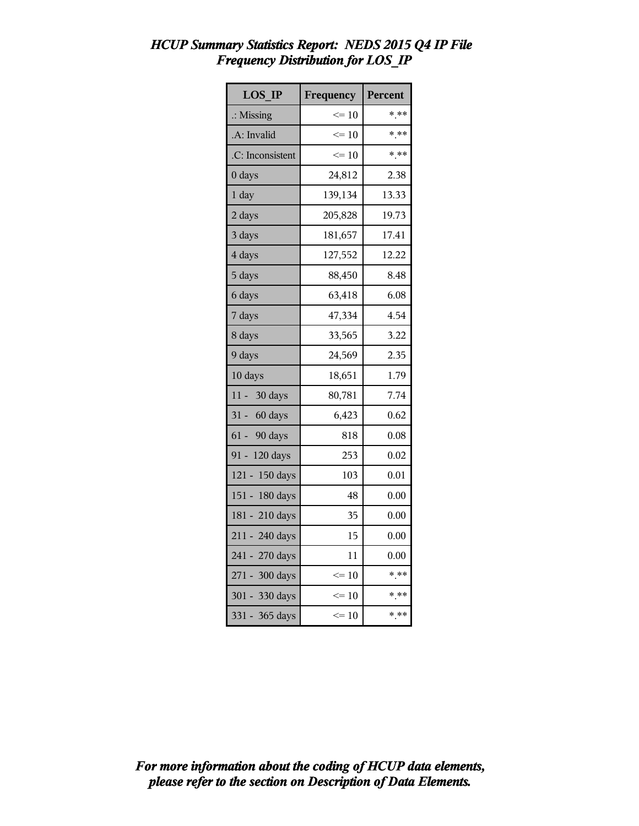| <b>LOS IP</b>        | Frequency       | <b>Percent</b> |
|----------------------|-----------------|----------------|
| $\therefore$ Missing | $\leq 10$       | * **           |
| A: Invalid           | $\leq 10$       | $***$          |
| .C: Inconsistent     | $\leq 10$       | $***$          |
| 0 days               | 24,812          | 2.38           |
| 1 day                | 139,134         | 13.33          |
| 2 days               | 205,828         | 19.73          |
| 3 days               | 181,657         | 17.41          |
| 4 days               | 127,552         | 12.22          |
| 5 days               | 88,450          | 8.48           |
| 6 days               | 63,418          | 6.08           |
| 7 days               | 47,334          | 4.54           |
| 8 days               | 33,565          | 3.22           |
| 9 days               | 24,569          | 2.35           |
| 10 days              | 18,651          | 1.79           |
| 11 - 30 days         | 80,781          | 7.74           |
| 31 - 60 days         | 6,423           | 0.62           |
| 61 - 90 days         | 818             | 0.08           |
| 91 - 120 days        | 253             | 0.02           |
| 121 - 150 days       | 103             | 0.01           |
| 151 - 180 days       | 48              | 0.00           |
| 181 - 210 days       | 35              | 0.00           |
| 211 - 240 days       | 15              | 0.00           |
| 241 - 270 days       | 11              | 0.00           |
| 271 - 300 days       | $\Leftarrow$ 10 | * **           |
| 301 - 330 days       | $\leq 10$       | * **           |
| 331 - 365 days       | $\leq 10$       | * **           |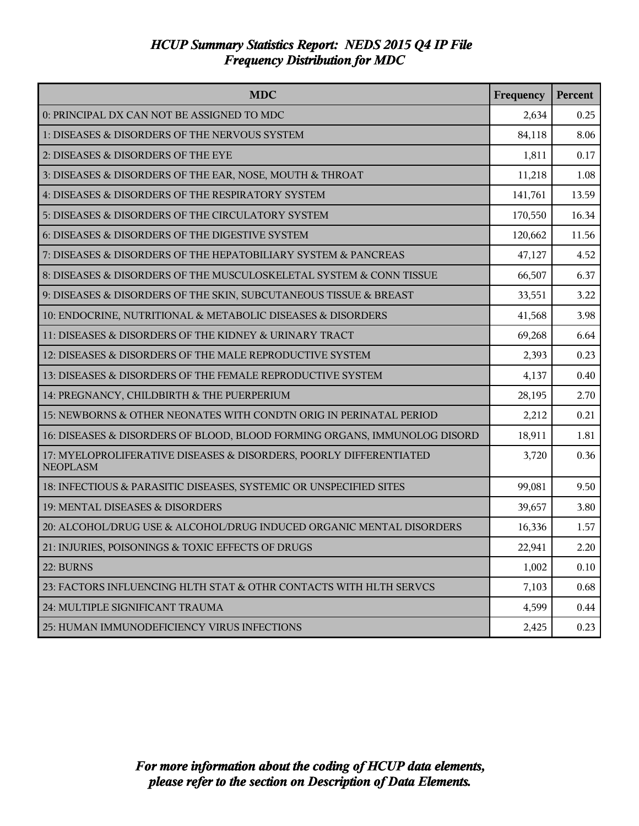| <b>MDC</b>                                                                            | Frequency | Percent |
|---------------------------------------------------------------------------------------|-----------|---------|
| 0: PRINCIPAL DX CAN NOT BE ASSIGNED TO MDC                                            | 2,634     | 0.25    |
| 1: DISEASES & DISORDERS OF THE NERVOUS SYSTEM                                         | 84,118    | 8.06    |
| 2: DISEASES & DISORDERS OF THE EYE                                                    | 1,811     | 0.17    |
| 3: DISEASES & DISORDERS OF THE EAR, NOSE, MOUTH & THROAT                              | 11,218    | 1.08    |
| 4: DISEASES & DISORDERS OF THE RESPIRATORY SYSTEM                                     | 141,761   | 13.59   |
| 5: DISEASES & DISORDERS OF THE CIRCULATORY SYSTEM                                     | 170,550   | 16.34   |
| 6: DISEASES & DISORDERS OF THE DIGESTIVE SYSTEM                                       | 120,662   | 11.56   |
| 7: DISEASES & DISORDERS OF THE HEPATOBILIARY SYSTEM & PANCREAS                        | 47,127    | 4.52    |
| 8: DISEASES & DISORDERS OF THE MUSCULOSKELETAL SYSTEM & CONN TISSUE                   | 66,507    | 6.37    |
| 9: DISEASES & DISORDERS OF THE SKIN, SUBCUTANEOUS TISSUE & BREAST                     | 33,551    | 3.22    |
| 10: ENDOCRINE, NUTRITIONAL & METABOLIC DISEASES & DISORDERS                           | 41,568    | 3.98    |
| 11: DISEASES & DISORDERS OF THE KIDNEY & URINARY TRACT                                | 69,268    | 6.64    |
| 12: DISEASES & DISORDERS OF THE MALE REPRODUCTIVE SYSTEM                              | 2,393     | 0.23    |
| 13: DISEASES & DISORDERS OF THE FEMALE REPRODUCTIVE SYSTEM                            | 4,137     | 0.40    |
| 14: PREGNANCY, CHILDBIRTH & THE PUERPERIUM                                            | 28,195    | 2.70    |
| 15: NEWBORNS & OTHER NEONATES WITH CONDTN ORIG IN PERINATAL PERIOD                    | 2,212     | 0.21    |
| 16: DISEASES & DISORDERS OF BLOOD, BLOOD FORMING ORGANS, IMMUNOLOG DISORD             | 18,911    | 1.81    |
| 17: MYELOPROLIFERATIVE DISEASES & DISORDERS, POORLY DIFFERENTIATED<br><b>NEOPLASM</b> | 3,720     | 0.36    |
| 18: INFECTIOUS & PARASITIC DISEASES, SYSTEMIC OR UNSPECIFIED SITES                    | 99,081    | 9.50    |
| 19: MENTAL DISEASES & DISORDERS                                                       | 39,657    | 3.80    |
| 20: ALCOHOL/DRUG USE & ALCOHOL/DRUG INDUCED ORGANIC MENTAL DISORDERS                  | 16,336    | 1.57    |
| 21: INJURIES, POISONINGS & TOXIC EFFECTS OF DRUGS                                     | 22,941    | 2.20    |
| 22: BURNS                                                                             | 1,002     | 0.10    |
| 23: FACTORS INFLUENCING HLTH STAT & OTHR CONTACTS WITH HLTH SERVCS                    | 7,103     | 0.68    |
| 24: MULTIPLE SIGNIFICANT TRAUMA                                                       | 4,599     | 0.44    |
| 25: HUMAN IMMUNODEFICIENCY VIRUS INFECTIONS                                           | 2,425     | 0.23    |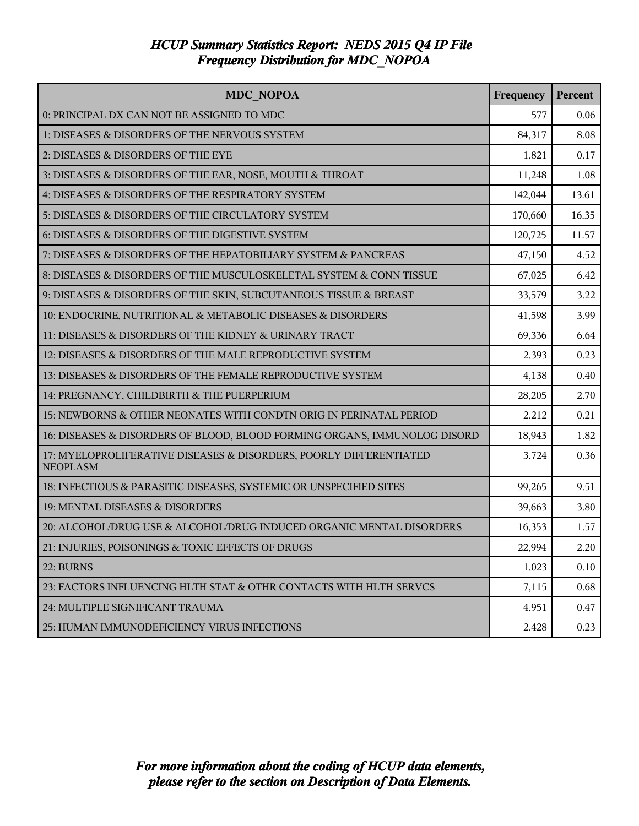| <b>MDC NOPOA</b>                                                                      | Frequency | Percent |
|---------------------------------------------------------------------------------------|-----------|---------|
| 0: PRINCIPAL DX CAN NOT BE ASSIGNED TO MDC                                            | 577       | 0.06    |
| 1: DISEASES & DISORDERS OF THE NERVOUS SYSTEM                                         | 84,317    | 8.08    |
| 2: DISEASES & DISORDERS OF THE EYE                                                    | 1,821     | 0.17    |
| 3: DISEASES & DISORDERS OF THE EAR, NOSE, MOUTH & THROAT                              | 11,248    | 1.08    |
| 4: DISEASES & DISORDERS OF THE RESPIRATORY SYSTEM                                     | 142,044   | 13.61   |
| 5: DISEASES & DISORDERS OF THE CIRCULATORY SYSTEM                                     | 170,660   | 16.35   |
| 6: DISEASES & DISORDERS OF THE DIGESTIVE SYSTEM                                       | 120,725   | 11.57   |
| 7: DISEASES & DISORDERS OF THE HEPATOBILIARY SYSTEM & PANCREAS                        | 47,150    | 4.52    |
| 8: DISEASES & DISORDERS OF THE MUSCULOSKELETAL SYSTEM & CONN TISSUE                   | 67,025    | 6.42    |
| 9: DISEASES & DISORDERS OF THE SKIN, SUBCUTANEOUS TISSUE & BREAST                     | 33,579    | 3.22    |
| 10: ENDOCRINE, NUTRITIONAL & METABOLIC DISEASES & DISORDERS                           | 41,598    | 3.99    |
| 11: DISEASES & DISORDERS OF THE KIDNEY & URINARY TRACT                                | 69,336    | 6.64    |
| 12: DISEASES & DISORDERS OF THE MALE REPRODUCTIVE SYSTEM                              | 2,393     | 0.23    |
| 13: DISEASES & DISORDERS OF THE FEMALE REPRODUCTIVE SYSTEM                            | 4,138     | 0.40    |
| 14: PREGNANCY, CHILDBIRTH & THE PUERPERIUM                                            | 28,205    | 2.70    |
| 15: NEWBORNS & OTHER NEONATES WITH CONDTN ORIG IN PERINATAL PERIOD                    | 2,212     | 0.21    |
| 16: DISEASES & DISORDERS OF BLOOD, BLOOD FORMING ORGANS, IMMUNOLOG DISORD             | 18,943    | 1.82    |
| 17: MYELOPROLIFERATIVE DISEASES & DISORDERS, POORLY DIFFERENTIATED<br><b>NEOPLASM</b> | 3,724     | 0.36    |
| 18: INFECTIOUS & PARASITIC DISEASES, SYSTEMIC OR UNSPECIFIED SITES                    | 99,265    | 9.51    |
| 19: MENTAL DISEASES & DISORDERS                                                       | 39,663    | 3.80    |
| 20: ALCOHOL/DRUG USE & ALCOHOL/DRUG INDUCED ORGANIC MENTAL DISORDERS                  | 16,353    | 1.57    |
| 21: INJURIES, POISONINGS & TOXIC EFFECTS OF DRUGS                                     | 22,994    | 2.20    |
| 22: BURNS                                                                             | 1,023     | 0.10    |
| 23: FACTORS INFLUENCING HLTH STAT & OTHR CONTACTS WITH HLTH SERVCS                    | 7,115     | 0.68    |
| 24: MULTIPLE SIGNIFICANT TRAUMA                                                       | 4,951     | 0.47    |
| 25: HUMAN IMMUNODEFICIENCY VIRUS INFECTIONS                                           | 2,428     | 0.23    |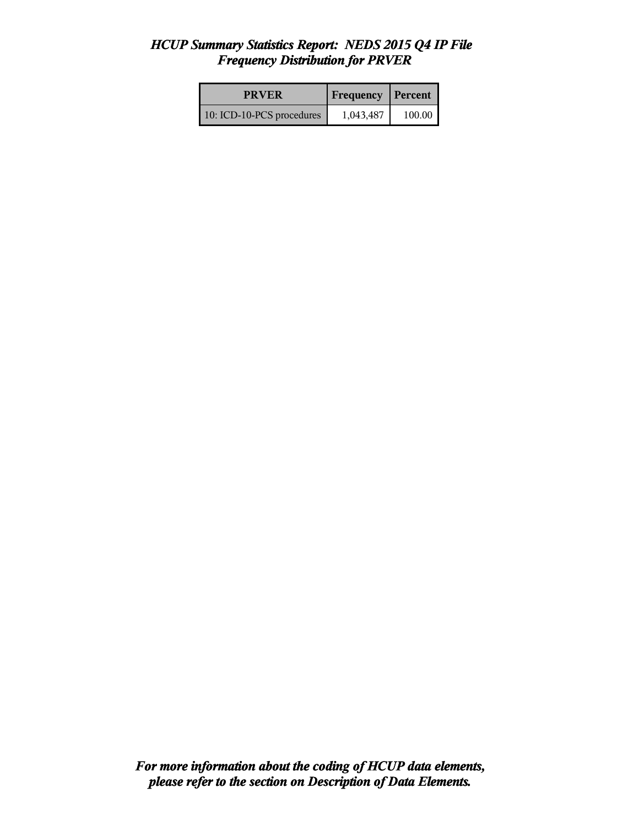| <b>PRVER</b>              | <b>Frequency Percent</b> |        |
|---------------------------|--------------------------|--------|
| 10: ICD-10-PCS procedures | 1,043,487                | 100.00 |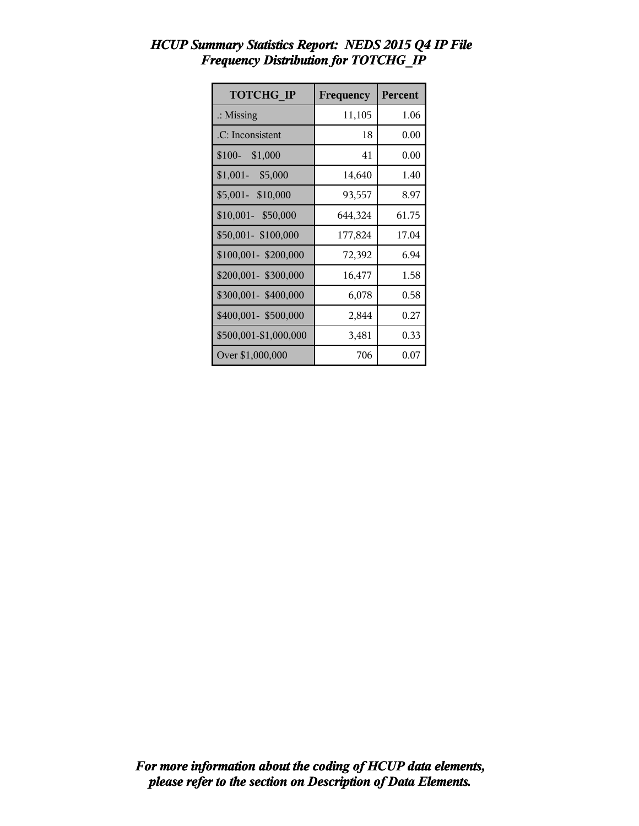| <b>TOTCHG IP</b>      | Frequency | Percent |
|-----------------------|-----------|---------|
| $\therefore$ Missing  | 11,105    | 1.06    |
| .C: Inconsistent      | 18        | 0.00    |
| $$100-$ \$1,000       | 41        | 0.00    |
| $$1,001-$<br>\$5,000  | 14,640    | 1.40    |
| \$5,001- \$10,000     | 93,557    | 8.97    |
| \$10,001- \$50,000    | 644,324   | 61.75   |
| \$50,001-\$100,000    | 177,824   | 17.04   |
| \$100,001-\$200,000   | 72,392    | 6.94    |
| \$200,001- \$300,000  | 16,477    | 1.58    |
| \$300,001- \$400,000  | 6,078     | 0.58    |
| \$400,001- \$500,000  | 2,844     | 0.27    |
| \$500,001-\$1,000,000 | 3,481     | 0.33    |
| Over \$1,000,000      | 706       | 0.07    |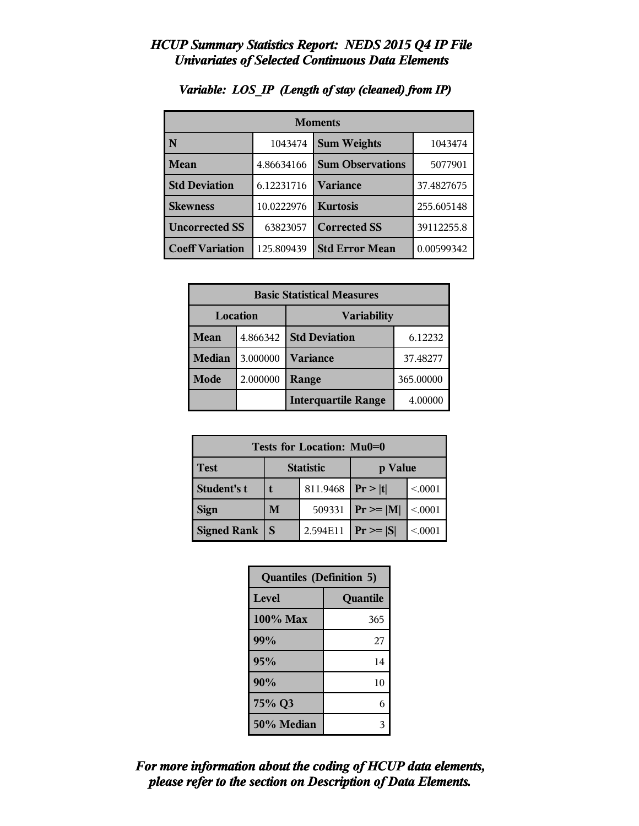| <b>Moments</b>         |            |                         |            |
|------------------------|------------|-------------------------|------------|
| N                      | 1043474    | <b>Sum Weights</b>      | 1043474    |
| Mean                   | 4.86634166 | <b>Sum Observations</b> | 5077901    |
| <b>Std Deviation</b>   | 6.12231716 | <b>Variance</b>         | 37.4827675 |
| <b>Skewness</b>        | 10.0222976 | <b>Kurtosis</b>         | 255.605148 |
| <b>Uncorrected SS</b>  | 63823057   | <b>Corrected SS</b>     | 39112255.8 |
| <b>Coeff Variation</b> | 125.809439 | <b>Std Error Mean</b>   | 0.00599342 |

# *Variable: LOS\_IP (Length of stay (cleaned) from IP)*

| <b>Basic Statistical Measures</b> |          |                            |           |
|-----------------------------------|----------|----------------------------|-----------|
| Location<br><b>Variability</b>    |          |                            |           |
| Mean                              | 4.866342 | <b>Std Deviation</b>       | 6.12232   |
| Median                            | 3.000000 | <b>Variance</b>            | 37.48277  |
| Mode                              | 2.000000 | Range                      | 365.00000 |
|                                   |          | <b>Interquartile Range</b> | 4.00000   |

| Tests for Location: Mu0=0 |                             |          |               |         |
|---------------------------|-----------------------------|----------|---------------|---------|
| <b>Test</b>               | <b>Statistic</b><br>p Value |          |               |         |
| Student's t               | 811.9468                    |          | Pr> t         | < 0.001 |
| <b>Sign</b>               | M                           | 509331   | $Pr \geq  M $ | < 0001  |
| <b>Signed Rank</b>        | S                           | 2.594E11 | $Pr \geq  S $ | < 0001  |

| <b>Quantiles (Definition 5)</b> |          |  |
|---------------------------------|----------|--|
| Level                           | Quantile |  |
| 100% Max                        | 365      |  |
| 99%                             | 27       |  |
| 95%                             | 14       |  |
| 90%                             | 10       |  |
| 75% Q3                          | 6        |  |
| 50% Median                      |          |  |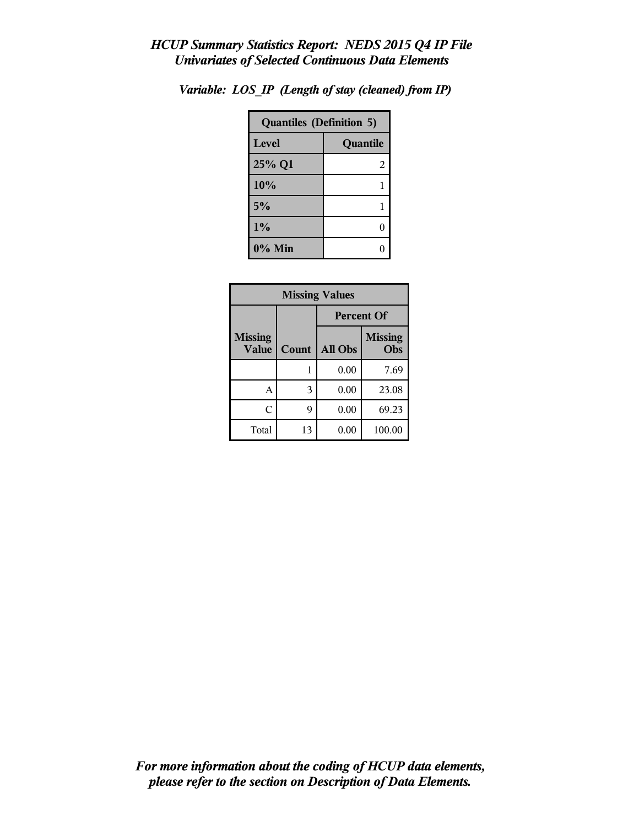| <b>Quantiles (Definition 5)</b> |          |  |
|---------------------------------|----------|--|
| Level                           | Quantile |  |
| 25% Q1                          | 2        |  |
| 10%                             |          |  |
| 5%                              |          |  |
| 1%                              | C        |  |
| $0\%$ Min                       |          |  |

*Variable: LOS\_IP (Length of stay (cleaned) from IP)*

| <b>Missing Values</b>          |       |                   |                       |  |
|--------------------------------|-------|-------------------|-----------------------|--|
|                                |       | <b>Percent Of</b> |                       |  |
| <b>Missing</b><br><b>Value</b> | Count | <b>All Obs</b>    | <b>Missing</b><br>Obs |  |
|                                | 1     | 0.00              | 7.69                  |  |
| А                              | 3     | 0.00              | 23.08                 |  |
| C                              | 9     | 0.00              | 69.23                 |  |
| Total                          | 13    | 0.00              | 100.00                |  |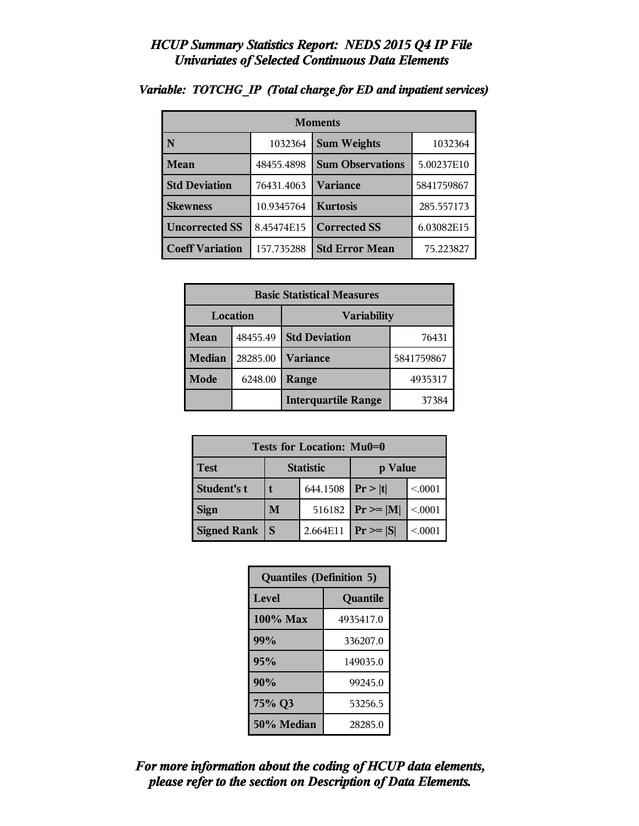| <b>Moments</b>         |            |                         |            |
|------------------------|------------|-------------------------|------------|
| N                      | 1032364    | <b>Sum Weights</b>      | 1032364    |
| Mean                   | 48455.4898 | <b>Sum Observations</b> | 5.00237E10 |
| <b>Std Deviation</b>   | 76431.4063 | Variance                | 5841759867 |
| <b>Skewness</b>        | 10.9345764 | <b>Kurtosis</b>         | 285.557173 |
| <b>Uncorrected SS</b>  | 8.45474E15 | <b>Corrected SS</b>     | 6.03082E15 |
| <b>Coeff Variation</b> | 157.735288 | <b>Std Error Mean</b>   | 75.223827  |

#### *Variable: TOTCHG\_IP (Total charge for ED and inpatient services)*

| <b>Basic Statistical Measures</b> |          |                            |            |
|-----------------------------------|----------|----------------------------|------------|
| Location<br><b>Variability</b>    |          |                            |            |
| <b>Mean</b>                       | 48455.49 | <b>Std Deviation</b>       | 76431      |
| <b>Median</b>                     | 28285.00 | <b>Variance</b>            | 5841759867 |
| <b>Mode</b>                       | 6248.00  | Range                      | 4935317    |
|                                   |          | <b>Interquartile Range</b> | 37384      |

| Tests for Location: Mu0=0 |                  |          |                               |         |  |  |  |
|---------------------------|------------------|----------|-------------------------------|---------|--|--|--|
| <b>Test</b>               | <b>Statistic</b> |          | p Value                       |         |  |  |  |
| Student's t               |                  | 644.1508 | Pr> t                         | < 0.001 |  |  |  |
| <b>Sign</b>               | M                | 516182   | $\mathbf{Pr} \geq \mathbf{M}$ | < .0001 |  |  |  |
| <b>Signed Rank</b>        | S                | 2.664E11 | $Pr \geq  S $                 | < 0001  |  |  |  |

| <b>Quantiles (Definition 5)</b> |           |  |  |  |
|---------------------------------|-----------|--|--|--|
| Level                           | Quantile  |  |  |  |
| $100\%$ Max                     | 4935417.0 |  |  |  |
| 99%                             | 336207.0  |  |  |  |
| 95%                             | 149035.0  |  |  |  |
| 90%                             | 99245.0   |  |  |  |
| 75% Q3                          | 53256.5   |  |  |  |
| 50% Median                      | 28285.0   |  |  |  |